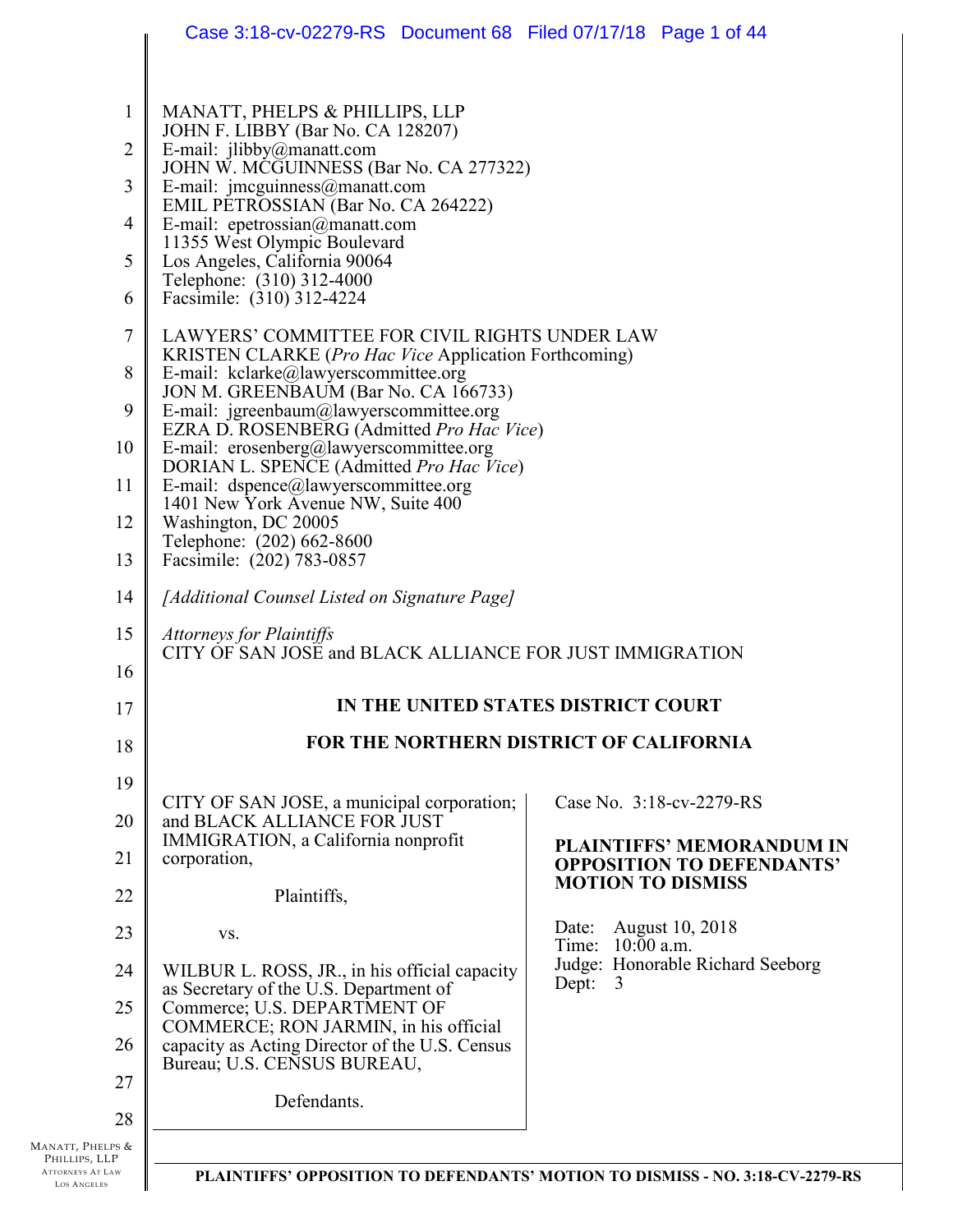|                                                                             | Case 3:18-cv-02279-RS Document 68 Filed 07/17/18 Page 1 of 44                                                                                 |                                                                      |  |  |  |  |  |
|-----------------------------------------------------------------------------|-----------------------------------------------------------------------------------------------------------------------------------------------|----------------------------------------------------------------------|--|--|--|--|--|
| $\mathbf{1}$<br>$\overline{2}$                                              | MANATT, PHELPS & PHILLIPS, LLP<br>JOHN F. LIBBY (Bar No. CA 128207)<br>E-mail: jlibby@manatt.com<br>JOHN W. MCGUINNESS (Bar No. CA 277322)    |                                                                      |  |  |  |  |  |
| 3<br>4                                                                      | E-mail: jmcguinness@manatt.com<br>EMIL PETROSSIAN (Bar No. CA 264222)                                                                         |                                                                      |  |  |  |  |  |
| 5                                                                           | E-mail: epetrossian@manatt.com<br>11355 West Olympic Boulevard<br>Los Angeles, California 90064                                               |                                                                      |  |  |  |  |  |
| 6                                                                           | Telephone: (310) 312-4000<br>Facsimile: (310) 312-4224                                                                                        |                                                                      |  |  |  |  |  |
| $\tau$                                                                      | LAWYERS' COMMITTEE FOR CIVIL RIGHTS UNDER LAW                                                                                                 |                                                                      |  |  |  |  |  |
| 8                                                                           | KRISTEN CLARKE ( <i>Pro Hac Vice</i> Application Forthcoming)<br>E-mail: kclarke@lawyerscommittee.org<br>JON M. GREENBAUM (Bar No. CA 166733) |                                                                      |  |  |  |  |  |
| 9                                                                           | E-mail: jgreenbaum@lawyerscommittee.org<br>EZRA D. ROSENBERG (Admitted Pro Hac Vice)                                                          |                                                                      |  |  |  |  |  |
| 10                                                                          | E-mail: erosenberg@lawyerscommittee.org<br>DORIAN L. SPENCE (Admitted Pro Hac Vice)                                                           |                                                                      |  |  |  |  |  |
| 11                                                                          | E-mail: dspence@lawyerscommittee.org<br>1401 New York Avenue NW, Suite 400                                                                    |                                                                      |  |  |  |  |  |
| 12                                                                          | Washington, DC 20005<br>Telephone: (202) 662-8600                                                                                             |                                                                      |  |  |  |  |  |
| 13                                                                          | Facsimile: (202) 783-0857                                                                                                                     |                                                                      |  |  |  |  |  |
| 14<br>[Additional Counsel Listed on Signature Page]                         |                                                                                                                                               |                                                                      |  |  |  |  |  |
| 16                                                                          | 15<br><b>Attorneys for Plaintiffs</b><br>CITY OF SAN JOSE and BLACK ALLIANCE FOR JUST IMMIGRATION                                             |                                                                      |  |  |  |  |  |
| 17                                                                          | IN THE UNITED STATES DISTRICT COURT                                                                                                           |                                                                      |  |  |  |  |  |
| 18                                                                          | <b>FOR THE NORTHERN DISTRICT OF CALIFORNIA</b>                                                                                                |                                                                      |  |  |  |  |  |
| 19                                                                          |                                                                                                                                               |                                                                      |  |  |  |  |  |
| 20                                                                          | CITY OF SAN JOSE, a municipal corporation;<br>and BLACK ALLIANCE FOR JUST                                                                     | Case No. 3:18-cv-2279-RS                                             |  |  |  |  |  |
| 21                                                                          | IMMIGRATION, a California nonprofit<br>corporation,                                                                                           | <b>PLAINTIFFS' MEMORANDUM IN</b><br><b>OPPOSITION TO DEFENDANTS'</b> |  |  |  |  |  |
| 22                                                                          | Plaintiffs,                                                                                                                                   | <b>MOTION TO DISMISS</b>                                             |  |  |  |  |  |
| 23                                                                          | VS.                                                                                                                                           | <b>August 10, 2018</b><br>Date:<br>Time: 10:00 a.m.                  |  |  |  |  |  |
| 24                                                                          | Judge: Honorable Richard Seeborg<br>WILBUR L. ROSS, JR., in his official capacity<br>Dept:<br>3<br>as Secretary of the U.S. Department of     |                                                                      |  |  |  |  |  |
| Commerce; U.S. DEPARTMENT OF<br>25<br>COMMERCE; RON JARMIN, in his official |                                                                                                                                               |                                                                      |  |  |  |  |  |
| 26                                                                          | capacity as Acting Director of the U.S. Census<br>Bureau; U.S. CENSUS BUREAU,                                                                 |                                                                      |  |  |  |  |  |
| 27<br>28                                                                    | Defendants.                                                                                                                                   |                                                                      |  |  |  |  |  |
| Manatt, Phelps &                                                            |                                                                                                                                               |                                                                      |  |  |  |  |  |
| PLITTIDE II                                                                 |                                                                                                                                               |                                                                      |  |  |  |  |  |

PHILLIPS, LLP ATTORNEYS AT LAW LOS A NGELES

 $\mathsf{l}$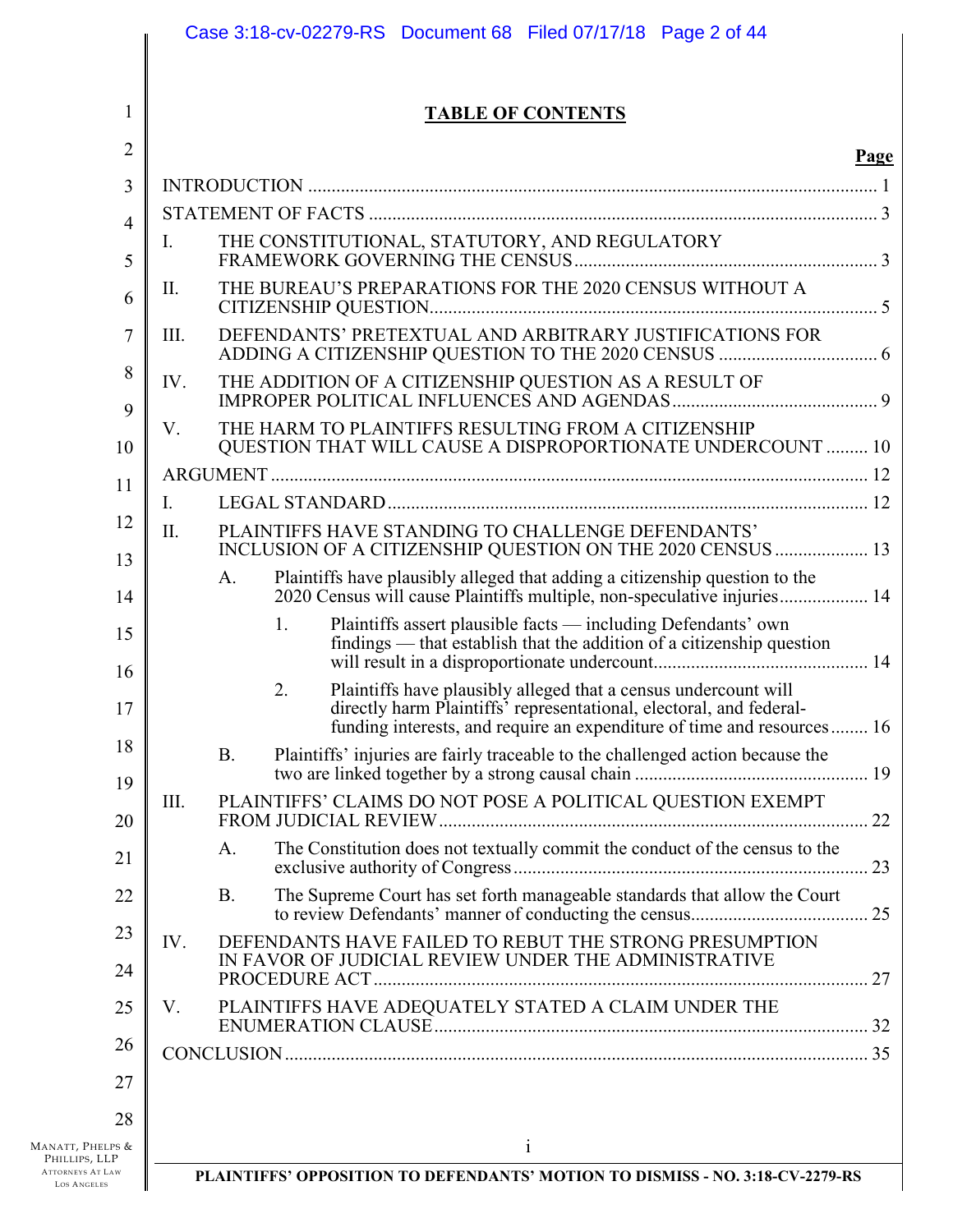| $\overline{2}$<br><b>Page</b><br>3<br>$\overline{4}$<br>THE CONSTITUTIONAL, STATUTORY, AND REGULATORY<br>$I_{\cdot}$<br>5<br>THE BUREAU'S PREPARATIONS FOR THE 2020 CENSUS WITHOUT A<br>II.<br>6<br>DEFENDANTS' PRETEXTUAL AND ARBITRARY JUSTIFICATIONS FOR<br>7<br>III.<br>8<br>THE ADDITION OF A CITIZENSHIP QUESTION AS A RESULT OF<br>IV.<br>9<br>THE HARM TO PLAINTIFFS RESULTING FROM A CITIZENSHIP<br>V.<br>QUESTION THAT WILL CAUSE A DISPROPORTIONATE UNDERCOUNT  10<br>10<br>11<br>$I_{\cdot}$<br>12<br>II.<br>PLAINTIFFS HAVE STANDING TO CHALLENGE DEFENDANTS'<br>INCLUSION OF A CITIZENSHIP QUESTION ON THE 2020 CENSUS  13<br>13<br>Plaintiffs have plausibly alleged that adding a citizenship question to the<br>A.<br>2020 Census will cause Plaintiffs multiple, non-speculative injuries 14<br>14<br>Plaintiffs assert plausible facts - including Defendants' own<br>1.<br>15<br>findings — that establish that the addition of a citizenship question<br>16<br>Plaintiffs have plausibly alleged that a census undercount will<br>2.<br>directly harm Plaintiffs' representational, electoral, and federal-<br>17<br>funding interests, and require an expenditure of time and resources 16<br>18<br>Plaintiffs' injuries are fairly traceable to the challenged action because the<br><b>B.</b><br>19<br>PLAINTIFFS' CLAIMS DO NOT POSE A POLITICAL QUESTION EXEMPT<br>III.<br>20<br>The Constitution does not textually commit the conduct of the census to the<br>A.<br>21<br>The Supreme Court has set forth manageable standards that allow the Court<br><b>B.</b><br>22<br>23<br>DEFENDANTS HAVE FAILED TO REBUT THE STRONG PRESUMPTION<br>IV.<br>IN FAVOR OF JUDICIAL REVIEW UNDER THE ADMINISTRATIVE<br>24<br>25<br>PLAINTIFFS HAVE ADEQUATELY STATED A CLAIM UNDER THE<br>V.<br>26<br>27 | 1                                 |  | <b>TABLE OF CONTENTS</b> |  |
|------------------------------------------------------------------------------------------------------------------------------------------------------------------------------------------------------------------------------------------------------------------------------------------------------------------------------------------------------------------------------------------------------------------------------------------------------------------------------------------------------------------------------------------------------------------------------------------------------------------------------------------------------------------------------------------------------------------------------------------------------------------------------------------------------------------------------------------------------------------------------------------------------------------------------------------------------------------------------------------------------------------------------------------------------------------------------------------------------------------------------------------------------------------------------------------------------------------------------------------------------------------------------------------------------------------------------------------------------------------------------------------------------------------------------------------------------------------------------------------------------------------------------------------------------------------------------------------------------------------------------------------------------------------------------------------------------------------------------------------------------------------------------------------------------------------------|-----------------------------------|--|--------------------------|--|
|                                                                                                                                                                                                                                                                                                                                                                                                                                                                                                                                                                                                                                                                                                                                                                                                                                                                                                                                                                                                                                                                                                                                                                                                                                                                                                                                                                                                                                                                                                                                                                                                                                                                                                                                                                                                                        |                                   |  |                          |  |
|                                                                                                                                                                                                                                                                                                                                                                                                                                                                                                                                                                                                                                                                                                                                                                                                                                                                                                                                                                                                                                                                                                                                                                                                                                                                                                                                                                                                                                                                                                                                                                                                                                                                                                                                                                                                                        |                                   |  |                          |  |
|                                                                                                                                                                                                                                                                                                                                                                                                                                                                                                                                                                                                                                                                                                                                                                                                                                                                                                                                                                                                                                                                                                                                                                                                                                                                                                                                                                                                                                                                                                                                                                                                                                                                                                                                                                                                                        |                                   |  |                          |  |
|                                                                                                                                                                                                                                                                                                                                                                                                                                                                                                                                                                                                                                                                                                                                                                                                                                                                                                                                                                                                                                                                                                                                                                                                                                                                                                                                                                                                                                                                                                                                                                                                                                                                                                                                                                                                                        |                                   |  |                          |  |
|                                                                                                                                                                                                                                                                                                                                                                                                                                                                                                                                                                                                                                                                                                                                                                                                                                                                                                                                                                                                                                                                                                                                                                                                                                                                                                                                                                                                                                                                                                                                                                                                                                                                                                                                                                                                                        |                                   |  |                          |  |
|                                                                                                                                                                                                                                                                                                                                                                                                                                                                                                                                                                                                                                                                                                                                                                                                                                                                                                                                                                                                                                                                                                                                                                                                                                                                                                                                                                                                                                                                                                                                                                                                                                                                                                                                                                                                                        |                                   |  |                          |  |
|                                                                                                                                                                                                                                                                                                                                                                                                                                                                                                                                                                                                                                                                                                                                                                                                                                                                                                                                                                                                                                                                                                                                                                                                                                                                                                                                                                                                                                                                                                                                                                                                                                                                                                                                                                                                                        |                                   |  |                          |  |
|                                                                                                                                                                                                                                                                                                                                                                                                                                                                                                                                                                                                                                                                                                                                                                                                                                                                                                                                                                                                                                                                                                                                                                                                                                                                                                                                                                                                                                                                                                                                                                                                                                                                                                                                                                                                                        |                                   |  |                          |  |
|                                                                                                                                                                                                                                                                                                                                                                                                                                                                                                                                                                                                                                                                                                                                                                                                                                                                                                                                                                                                                                                                                                                                                                                                                                                                                                                                                                                                                                                                                                                                                                                                                                                                                                                                                                                                                        |                                   |  |                          |  |
|                                                                                                                                                                                                                                                                                                                                                                                                                                                                                                                                                                                                                                                                                                                                                                                                                                                                                                                                                                                                                                                                                                                                                                                                                                                                                                                                                                                                                                                                                                                                                                                                                                                                                                                                                                                                                        |                                   |  |                          |  |
|                                                                                                                                                                                                                                                                                                                                                                                                                                                                                                                                                                                                                                                                                                                                                                                                                                                                                                                                                                                                                                                                                                                                                                                                                                                                                                                                                                                                                                                                                                                                                                                                                                                                                                                                                                                                                        |                                   |  |                          |  |
|                                                                                                                                                                                                                                                                                                                                                                                                                                                                                                                                                                                                                                                                                                                                                                                                                                                                                                                                                                                                                                                                                                                                                                                                                                                                                                                                                                                                                                                                                                                                                                                                                                                                                                                                                                                                                        |                                   |  |                          |  |
|                                                                                                                                                                                                                                                                                                                                                                                                                                                                                                                                                                                                                                                                                                                                                                                                                                                                                                                                                                                                                                                                                                                                                                                                                                                                                                                                                                                                                                                                                                                                                                                                                                                                                                                                                                                                                        |                                   |  |                          |  |
|                                                                                                                                                                                                                                                                                                                                                                                                                                                                                                                                                                                                                                                                                                                                                                                                                                                                                                                                                                                                                                                                                                                                                                                                                                                                                                                                                                                                                                                                                                                                                                                                                                                                                                                                                                                                                        |                                   |  |                          |  |
|                                                                                                                                                                                                                                                                                                                                                                                                                                                                                                                                                                                                                                                                                                                                                                                                                                                                                                                                                                                                                                                                                                                                                                                                                                                                                                                                                                                                                                                                                                                                                                                                                                                                                                                                                                                                                        |                                   |  |                          |  |
|                                                                                                                                                                                                                                                                                                                                                                                                                                                                                                                                                                                                                                                                                                                                                                                                                                                                                                                                                                                                                                                                                                                                                                                                                                                                                                                                                                                                                                                                                                                                                                                                                                                                                                                                                                                                                        |                                   |  |                          |  |
|                                                                                                                                                                                                                                                                                                                                                                                                                                                                                                                                                                                                                                                                                                                                                                                                                                                                                                                                                                                                                                                                                                                                                                                                                                                                                                                                                                                                                                                                                                                                                                                                                                                                                                                                                                                                                        |                                   |  |                          |  |
|                                                                                                                                                                                                                                                                                                                                                                                                                                                                                                                                                                                                                                                                                                                                                                                                                                                                                                                                                                                                                                                                                                                                                                                                                                                                                                                                                                                                                                                                                                                                                                                                                                                                                                                                                                                                                        |                                   |  |                          |  |
|                                                                                                                                                                                                                                                                                                                                                                                                                                                                                                                                                                                                                                                                                                                                                                                                                                                                                                                                                                                                                                                                                                                                                                                                                                                                                                                                                                                                                                                                                                                                                                                                                                                                                                                                                                                                                        |                                   |  |                          |  |
|                                                                                                                                                                                                                                                                                                                                                                                                                                                                                                                                                                                                                                                                                                                                                                                                                                                                                                                                                                                                                                                                                                                                                                                                                                                                                                                                                                                                                                                                                                                                                                                                                                                                                                                                                                                                                        |                                   |  |                          |  |
|                                                                                                                                                                                                                                                                                                                                                                                                                                                                                                                                                                                                                                                                                                                                                                                                                                                                                                                                                                                                                                                                                                                                                                                                                                                                                                                                                                                                                                                                                                                                                                                                                                                                                                                                                                                                                        |                                   |  |                          |  |
|                                                                                                                                                                                                                                                                                                                                                                                                                                                                                                                                                                                                                                                                                                                                                                                                                                                                                                                                                                                                                                                                                                                                                                                                                                                                                                                                                                                                                                                                                                                                                                                                                                                                                                                                                                                                                        |                                   |  |                          |  |
|                                                                                                                                                                                                                                                                                                                                                                                                                                                                                                                                                                                                                                                                                                                                                                                                                                                                                                                                                                                                                                                                                                                                                                                                                                                                                                                                                                                                                                                                                                                                                                                                                                                                                                                                                                                                                        | MANATT, PHELPS &<br>PHILLIPS, LLP |  | 1                        |  |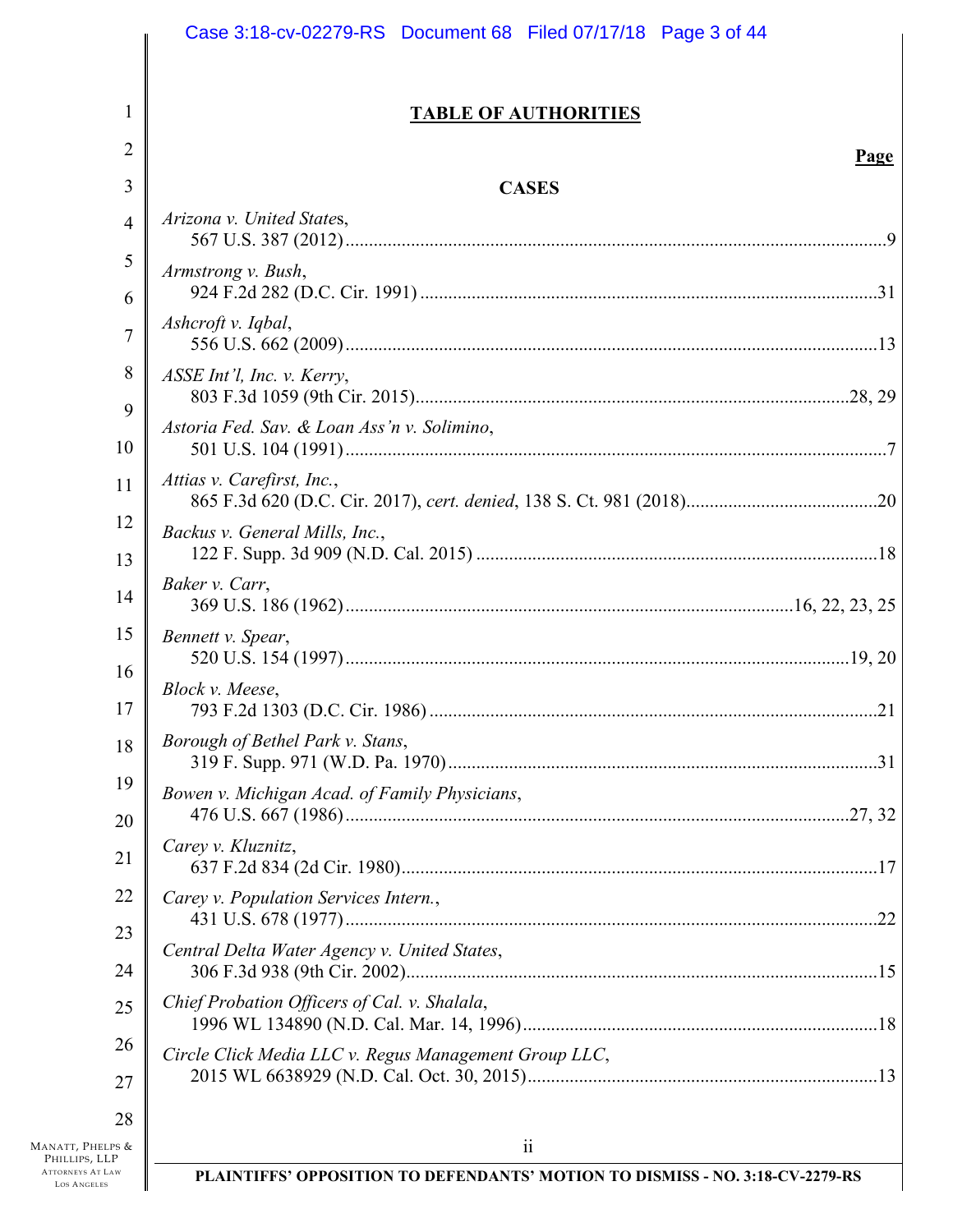|                                               | Case 3:18-cv-02279-RS Document 68 Filed 07/17/18 Page 3 of 44                 |
|-----------------------------------------------|-------------------------------------------------------------------------------|
|                                               |                                                                               |
| 1                                             | <b>TABLE OF AUTHORITIES</b>                                                   |
| $\overline{2}$                                | <b>Page</b>                                                                   |
| 3                                             | <b>CASES</b>                                                                  |
| 4                                             | Arizona v. United States,                                                     |
| 5                                             | Armstrong v. Bush,                                                            |
| 6                                             |                                                                               |
| $\overline{7}$                                | Ashcroft v. Iqbal,                                                            |
| 8                                             | ASSE Int'l, Inc. v. Kerry,                                                    |
| 9<br>10                                       | Astoria Fed. Sav. & Loan Ass'n v. Solimino,                                   |
| 11                                            | Attias v. Carefirst, Inc.,                                                    |
| 12                                            | Backus v. General Mills, Inc.,                                                |
| 13                                            |                                                                               |
| 14                                            | Baker v. Carr,                                                                |
| 15                                            | Bennett v. Spear,                                                             |
| 16<br>17                                      | Block v. Meese,<br>21                                                         |
| 18                                            | Borough of Bethel Park v. Stans,                                              |
| 19                                            | Bowen v. Michigan Acad. of Family Physicians,                                 |
| 20                                            |                                                                               |
| 21                                            | Carey v. Kluznitz,                                                            |
| 22                                            | Carey v. Population Services Intern.,                                         |
| 23<br>24                                      | Central Delta Water Agency v. United States,                                  |
| 25                                            | Chief Probation Officers of Cal. v. Shalala,                                  |
| 26                                            | Circle Click Media LLC v. Regus Management Group LLC,                         |
| 27                                            |                                                                               |
| 28                                            |                                                                               |
| Manatt, Phelps &<br>PHILLIPS, LLP             | $\overline{\mathbf{i}}$                                                       |
| <b>ATTORNEYS AT LAW</b><br><b>LOS ANGELES</b> | PLAINTIFFS' OPPOSITION TO DEFENDANTS' MOTION TO DISMISS - NO. 3:18-CV-2279-RS |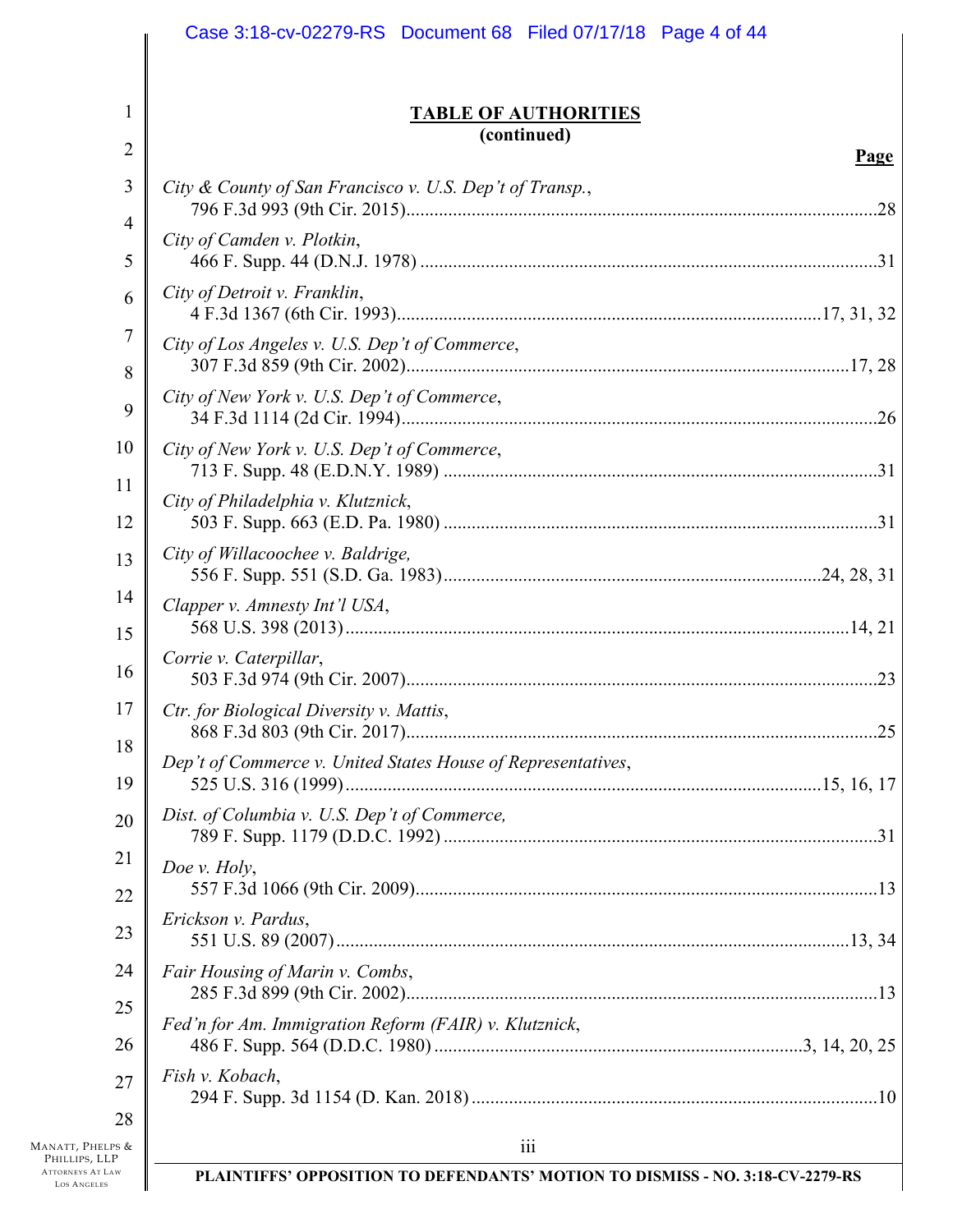|                                                                | Case 3:18-cv-02279-RS Document 68 Filed 07/17/18 Page 4 of 44                 |             |
|----------------------------------------------------------------|-------------------------------------------------------------------------------|-------------|
| 1                                                              | <b>TABLE OF AUTHORITIES</b><br>(continued)                                    |             |
| $\overline{2}$                                                 |                                                                               | <b>Page</b> |
| 3                                                              | City & County of San Francisco v. U.S. Dep't of Transp.,                      |             |
| 4<br>5                                                         | City of Camden v. Plotkin,                                                    |             |
| 6                                                              | City of Detroit v. Franklin,                                                  |             |
| 7<br>8                                                         | City of Los Angeles v. U.S. Dep't of Commerce,                                |             |
| 9                                                              | City of New York v. U.S. Dep't of Commerce,                                   |             |
| 10<br>11                                                       | City of New York v. U.S. Dep't of Commerce,                                   |             |
| 12                                                             | City of Philadelphia v. Klutznick,                                            |             |
| 13                                                             | City of Willacoochee v. Baldrige,                                             |             |
| 14<br>15                                                       | Clapper v. Amnesty Int'l USA,                                                 |             |
| 16                                                             | Corrie v. Caterpillar,                                                        |             |
| 17                                                             | Ctr. for Biological Diversity v. Mattis,                                      |             |
| 18<br>19                                                       | Dep't of Commerce v. United States House of Representatives,                  |             |
| 20                                                             | Dist. of Columbia v. U.S. Dep't of Commerce,                                  |             |
| 21<br>22                                                       | Doe v. Holy,                                                                  |             |
| 23                                                             | Erickson v. Pardus,                                                           |             |
| 24                                                             | Fair Housing of Marin v. Combs,                                               |             |
| 25<br>26                                                       | Fed'n for Am. Immigration Reform (FAIR) v. Klutznick,                         |             |
| 27                                                             | Fish v. Kobach,                                                               |             |
| 28<br>MANATT, PHELPS &                                         | iii                                                                           |             |
| PHILLIPS, LLP<br><b>ATTORNEYS AT LAW</b><br><b>LOS ANGELES</b> | PLAINTIFFS' OPPOSITION TO DEFENDANTS' MOTION TO DISMISS - NO. 3:18-CV-2279-RS |             |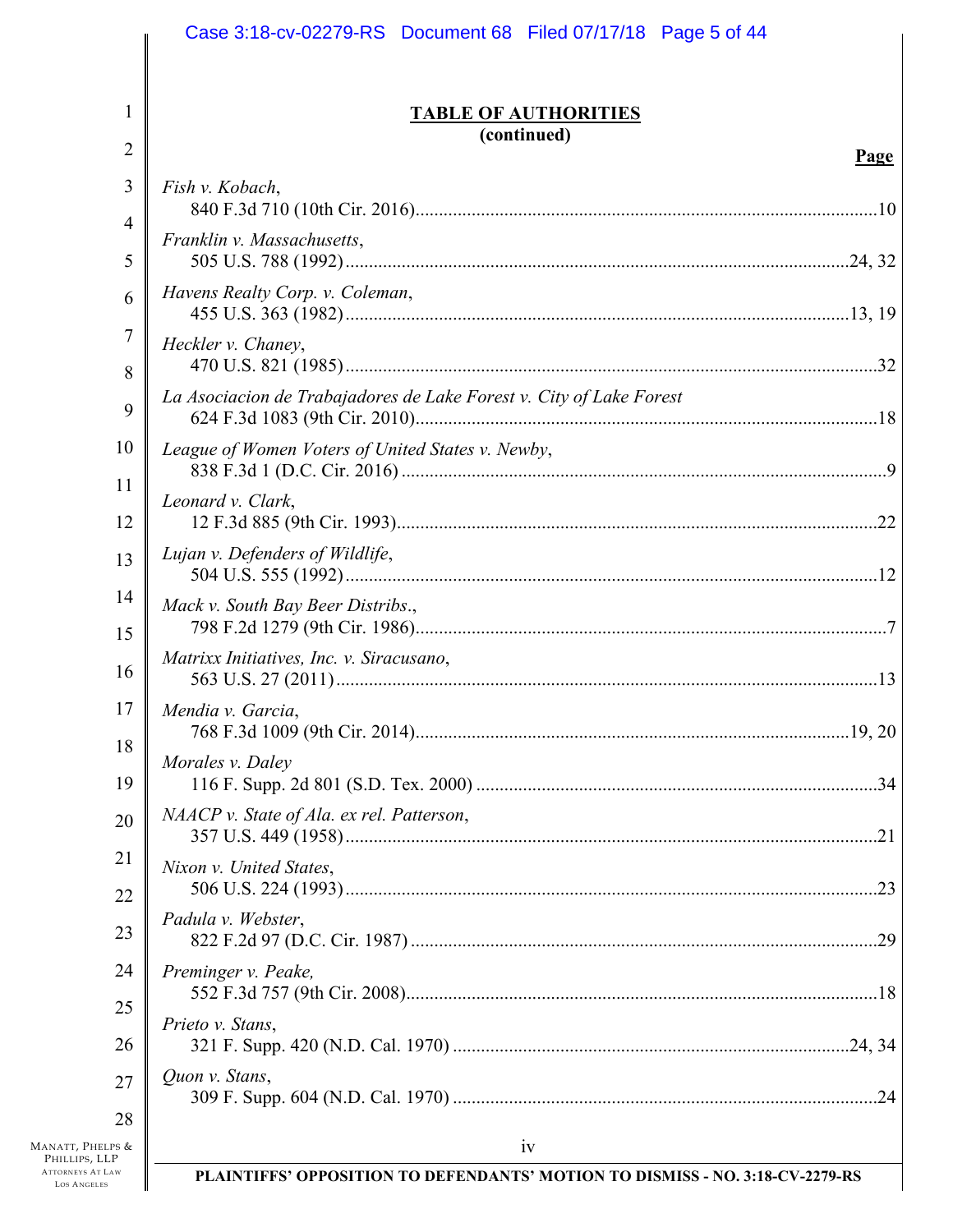|                                                              | Case 3:18-cv-02279-RS Document 68 Filed 07/17/18 Page 5 of 44                 |
|--------------------------------------------------------------|-------------------------------------------------------------------------------|
| 1                                                            | <b>TABLE OF AUTHORITIES</b><br>(continued)                                    |
| $\overline{2}$                                               | <u>Page</u>                                                                   |
| 3                                                            | Fish v. Kobach,                                                               |
| 4                                                            | Franklin v. Massachusetts,                                                    |
| 5                                                            |                                                                               |
| 6                                                            | Havens Realty Corp. v. Coleman,                                               |
| 7                                                            | Heckler v. Chaney,                                                            |
| 8                                                            |                                                                               |
| 9                                                            | La Asociacion de Trabajadores de Lake Forest v. City of Lake Forest           |
| 10                                                           | League of Women Voters of United States v. Newby,                             |
| 11                                                           |                                                                               |
| 12                                                           | Leonard v. Clark,                                                             |
| 13                                                           | Lujan v. Defenders of Wildlife,                                               |
| 14                                                           | Mack v. South Bay Beer Distribs.,                                             |
| 15                                                           |                                                                               |
| 16                                                           | Matrixx Initiatives, Inc. v. Siracusano,                                      |
| 17                                                           | Mendia v. Garcia,                                                             |
| 18<br>19                                                     | Morales v. Daley                                                              |
| 20                                                           | NAACP v. State of Ala. ex rel. Patterson,                                     |
|                                                              |                                                                               |
| 21<br>22                                                     | Nixon v. United States,                                                       |
| 23                                                           | Padula v. Webster,                                                            |
| 24                                                           | Preminger v. Peake,                                                           |
| 25                                                           |                                                                               |
| 26                                                           | Prieto v. Stans,                                                              |
| 27                                                           | Quon v. Stans,                                                                |
| 28                                                           |                                                                               |
| MANATT, PHELPS &<br>PHILLIPS, LLP<br><b>ATTORNEYS AT LAW</b> | 1V                                                                            |
| <b>LOS ANGELES</b>                                           | PLAINTIFFS' OPPOSITION TO DEFENDANTS' MOTION TO DISMISS - NO. 3:18-CV-2279-RS |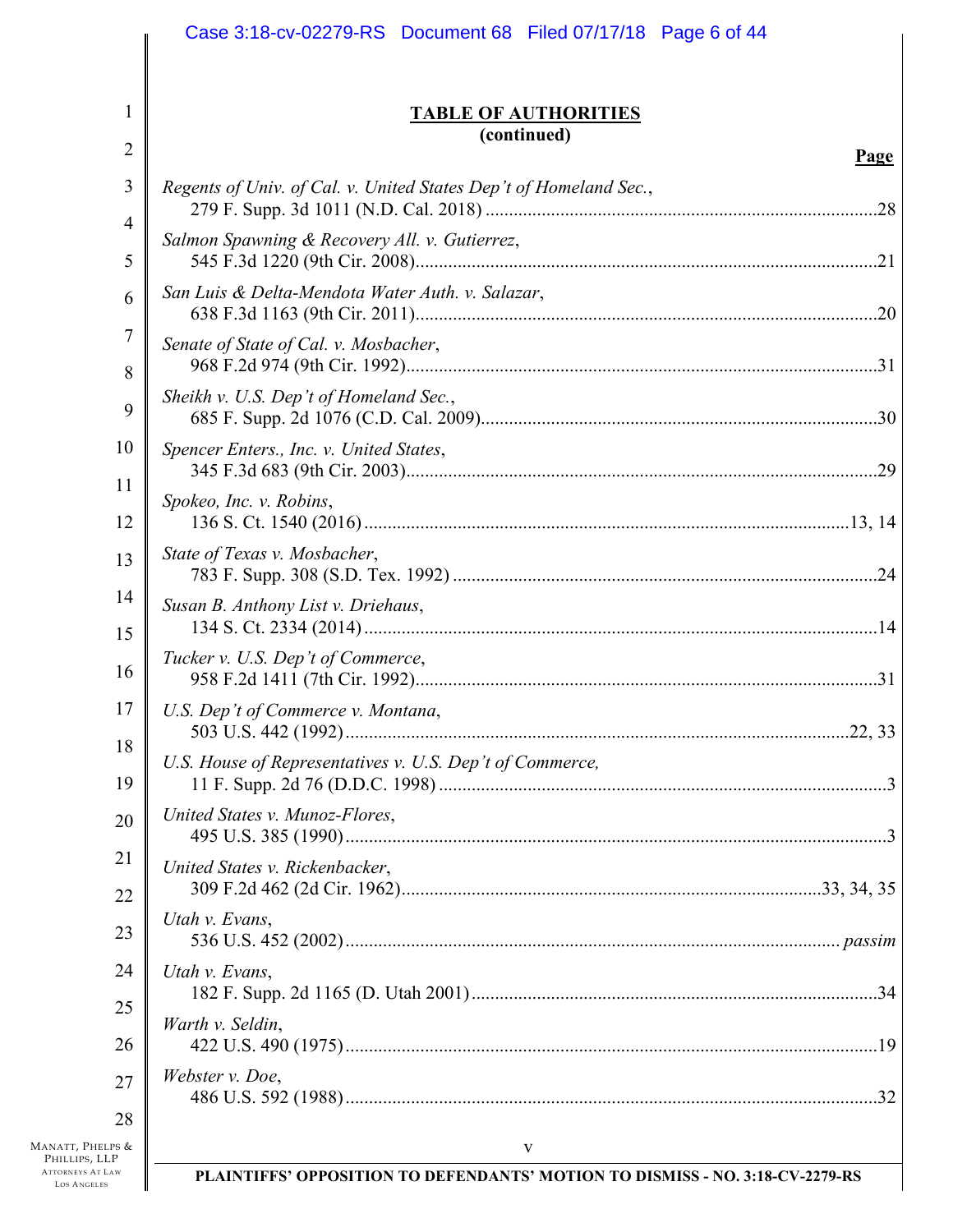|                                               | Case 3:18-cv-02279-RS Document 68 Filed 07/17/18 Page 6 of 44                 |      |
|-----------------------------------------------|-------------------------------------------------------------------------------|------|
| 1                                             | <b>TABLE OF AUTHORITIES</b>                                                   |      |
| $\overline{2}$                                | (continued)                                                                   |      |
| 3                                             | Regents of Univ. of Cal. v. United States Dep't of Homeland Sec.,             | Page |
| 4                                             |                                                                               |      |
| 5                                             | Salmon Spawning & Recovery All. v. Gutierrez,                                 |      |
| 6                                             | San Luis & Delta-Mendota Water Auth. v. Salazar,                              |      |
| 7                                             | Senate of State of Cal. v. Mosbacher,                                         |      |
| 8                                             |                                                                               |      |
| 9                                             | Sheikh v. U.S. Dep't of Homeland Sec.,                                        |      |
| 10                                            | Spencer Enters., Inc. v. United States,                                       |      |
| 11                                            | Spokeo, Inc. v. Robins,                                                       |      |
| 12                                            |                                                                               |      |
| 13                                            | State of Texas v. Mosbacher,                                                  |      |
| 14                                            | Susan B. Anthony List v. Driehaus,                                            |      |
| 15<br>16                                      | Tucker v. U.S. Dep't of Commerce,                                             |      |
| $17 \parallel$<br>18                          | U.S. Dep't of Commerce v. Montana,                                            |      |
| 19                                            | U.S. House of Representatives v. U.S. Dep't of Commerce,                      |      |
| 20                                            | United States v. Munoz-Flores,                                                |      |
| 21                                            | United States v. Rickenbacker,                                                |      |
| 22                                            | Utah v. Evans,                                                                |      |
| 23                                            |                                                                               |      |
| 24                                            | Utah v. Evans,                                                                |      |
| 25<br>26                                      | Warth v. Seldin,                                                              |      |
| 27                                            | Webster v. Doe,                                                               |      |
| 28                                            |                                                                               |      |
| MANATT, PHELPS &<br>PHILLIPS, LLP             | $\mathbf{V}$                                                                  |      |
| <b>ATTORNEYS AT LAW</b><br><b>LOS ANGELES</b> | PLAINTIFFS' OPPOSITION TO DEFENDANTS' MOTION TO DISMISS - NO. 3:18-CV-2279-RS |      |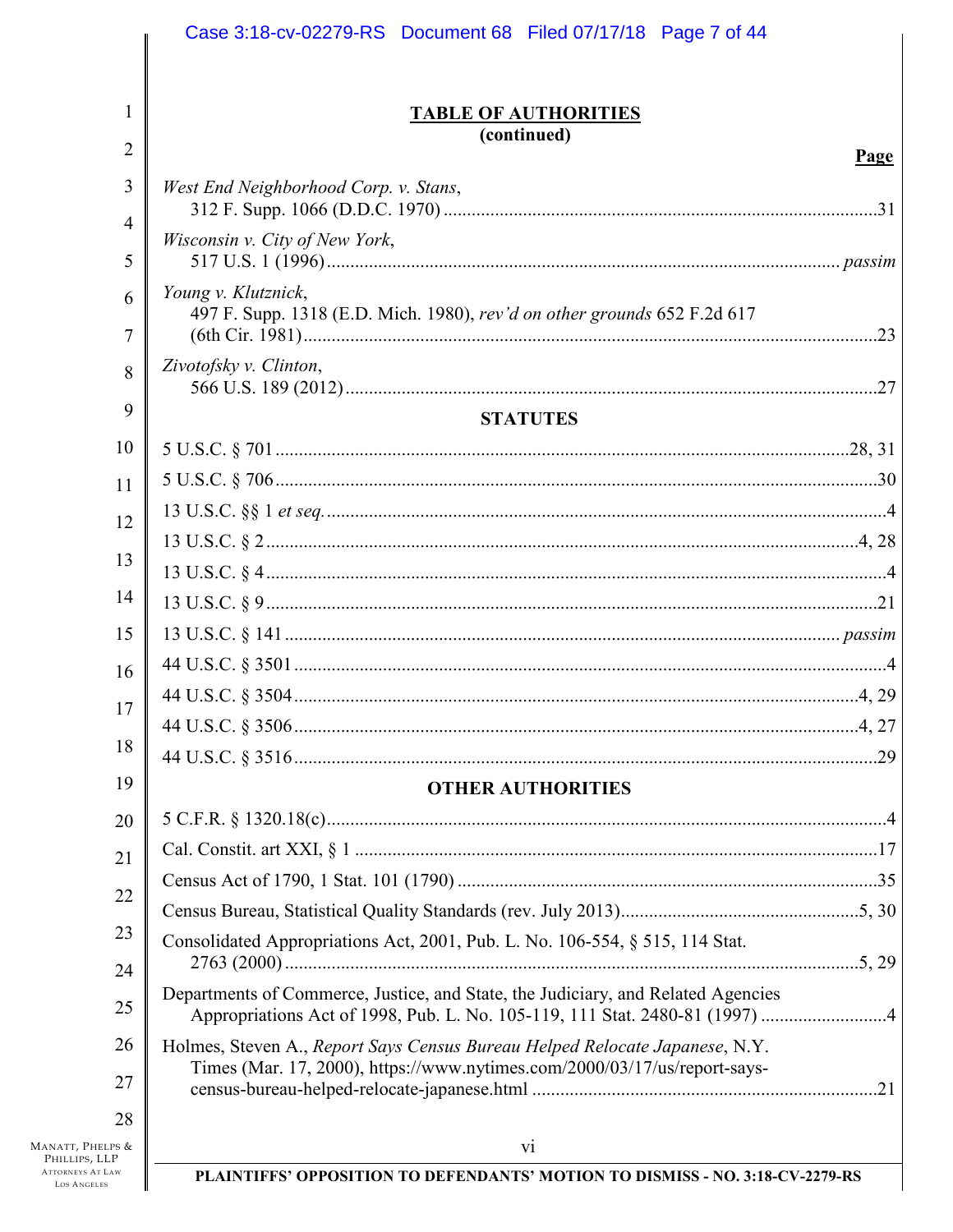|                | Case 3:18-cv-02279-RS  Document 68  Filed 07/17/18  Page 7 of 44                                                                                         |      |
|----------------|----------------------------------------------------------------------------------------------------------------------------------------------------------|------|
|                |                                                                                                                                                          |      |
| 1              | <b>TABLE OF AUTHORITIES</b>                                                                                                                              |      |
| $\overline{2}$ | (continued)                                                                                                                                              |      |
|                |                                                                                                                                                          | Page |
| 3              | West End Neighborhood Corp. v. Stans,                                                                                                                    |      |
| $\overline{4}$ | Wisconsin v. City of New York,                                                                                                                           |      |
| 5              |                                                                                                                                                          |      |
| 6              | Young v. Klutznick,                                                                                                                                      |      |
| 7              | 497 F. Supp. 1318 (E.D. Mich. 1980), rev'd on other grounds 652 F.2d 617                                                                                 |      |
| 8              | Zivotofsky v. Clinton,                                                                                                                                   |      |
| 9              |                                                                                                                                                          | .27  |
|                | <b>STATUTES</b>                                                                                                                                          |      |
| 10             |                                                                                                                                                          |      |
| 11             |                                                                                                                                                          |      |
| 12             |                                                                                                                                                          |      |
| 13             |                                                                                                                                                          |      |
| 14             |                                                                                                                                                          |      |
|                |                                                                                                                                                          |      |
| 15             |                                                                                                                                                          |      |
| 16             |                                                                                                                                                          |      |
| 17             |                                                                                                                                                          |      |
| 18             |                                                                                                                                                          |      |
| 19             |                                                                                                                                                          |      |
|                | <b>OTHER AUTHORITIES</b>                                                                                                                                 |      |
| 20             |                                                                                                                                                          |      |
| 21             |                                                                                                                                                          |      |
| 22             |                                                                                                                                                          |      |
| 23             |                                                                                                                                                          |      |
| 24             | Consolidated Appropriations Act, 2001, Pub. L. No. 106-554, § 515, 114 Stat.                                                                             |      |
| 25             | Departments of Commerce, Justice, and State, the Judiciary, and Related Agencies                                                                         |      |
| 26<br>27       | Holmes, Steven A., Report Says Census Bureau Helped Relocate Japanese, N.Y.<br>Times (Mar. 17, 2000), https://www.nytimes.com/2000/03/17/us/report-says- |      |
| 28<br>LPS &    | vi                                                                                                                                                       |      |
| LP<br>Law      | PLAINTIFFS' OPPOSITION TO DEFENDANTS' MOTION TO DISMISS - NO. 3:18-CV-2279-RS                                                                            |      |
|                |                                                                                                                                                          |      |

MANATT, PHEL<br>PHILLIPS, LL ATTORNEYS AT L. **LOS ANGELES**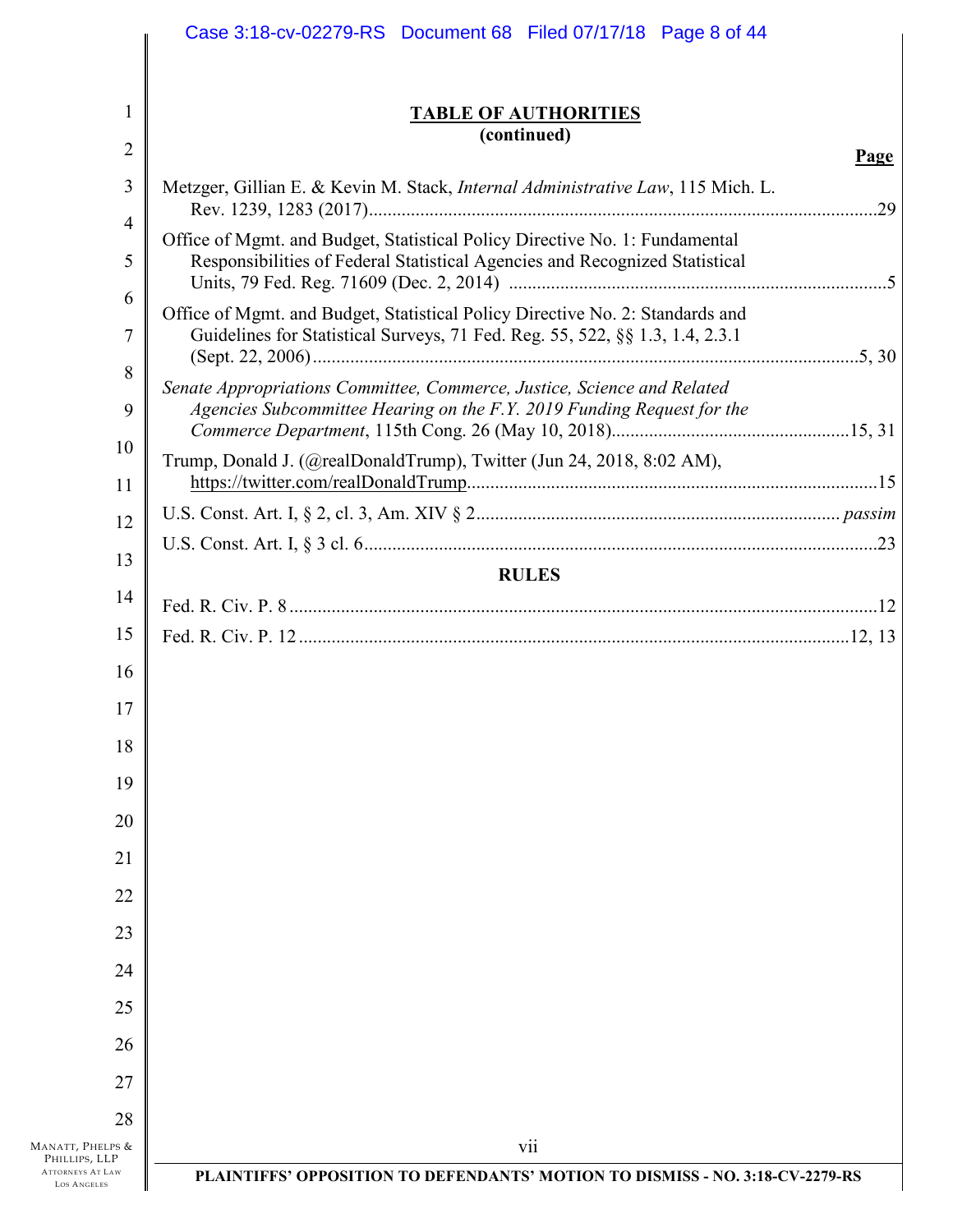|                                               | Case 3:18-cv-02279-RS Document 68 Filed 07/17/18 Page 8 of 44                                                                                                 |             |
|-----------------------------------------------|---------------------------------------------------------------------------------------------------------------------------------------------------------------|-------------|
|                                               |                                                                                                                                                               |             |
| 1                                             | <b>TABLE OF AUTHORITIES</b><br>(continued)                                                                                                                    |             |
| $\overline{2}$                                |                                                                                                                                                               | <u>Page</u> |
| 3                                             | Metzger, Gillian E. & Kevin M. Stack, <i>Internal Administrative Law</i> , 115 Mich. L.                                                                       |             |
| 4<br>5                                        | Office of Mgmt. and Budget, Statistical Policy Directive No. 1: Fundamental                                                                                   |             |
| 6                                             | Responsibilities of Federal Statistical Agencies and Recognized Statistical                                                                                   |             |
| 7                                             | Office of Mgmt. and Budget, Statistical Policy Directive No. 2: Standards and<br>Guidelines for Statistical Surveys, 71 Fed. Reg. 55, 522, §§ 1.3, 1.4, 2.3.1 |             |
| 8<br>9                                        | Senate Appropriations Committee, Commerce, Justice, Science and Related<br>Agencies Subcommittee Hearing on the F.Y. 2019 Funding Request for the             |             |
| 10                                            | Trump, Donald J. (@realDonaldTrump), Twitter (Jun 24, 2018, 8:02 AM),                                                                                         |             |
| 11                                            |                                                                                                                                                               |             |
| 12                                            |                                                                                                                                                               |             |
| 13                                            | <b>RULES</b>                                                                                                                                                  |             |
| 14                                            |                                                                                                                                                               |             |
| 15                                            |                                                                                                                                                               |             |
| 16                                            |                                                                                                                                                               |             |
| 17                                            |                                                                                                                                                               |             |
| 18                                            |                                                                                                                                                               |             |
| 19                                            |                                                                                                                                                               |             |
| 20                                            |                                                                                                                                                               |             |
| 21                                            |                                                                                                                                                               |             |
| 22<br>23                                      |                                                                                                                                                               |             |
| 24                                            |                                                                                                                                                               |             |
| 25                                            |                                                                                                                                                               |             |
| 26                                            |                                                                                                                                                               |             |
| 27                                            |                                                                                                                                                               |             |
| 28                                            |                                                                                                                                                               |             |
| MANATT, PHELPS &<br>PHILLIPS, LLP             | V11                                                                                                                                                           |             |
| <b>ATTORNEYS AT LAW</b><br><b>LOS ANGELES</b> | PLAINTIFFS' OPPOSITION TO DEFENDANTS' MOTION TO DISMISS - NO. 3:18-CV-2279-RS                                                                                 |             |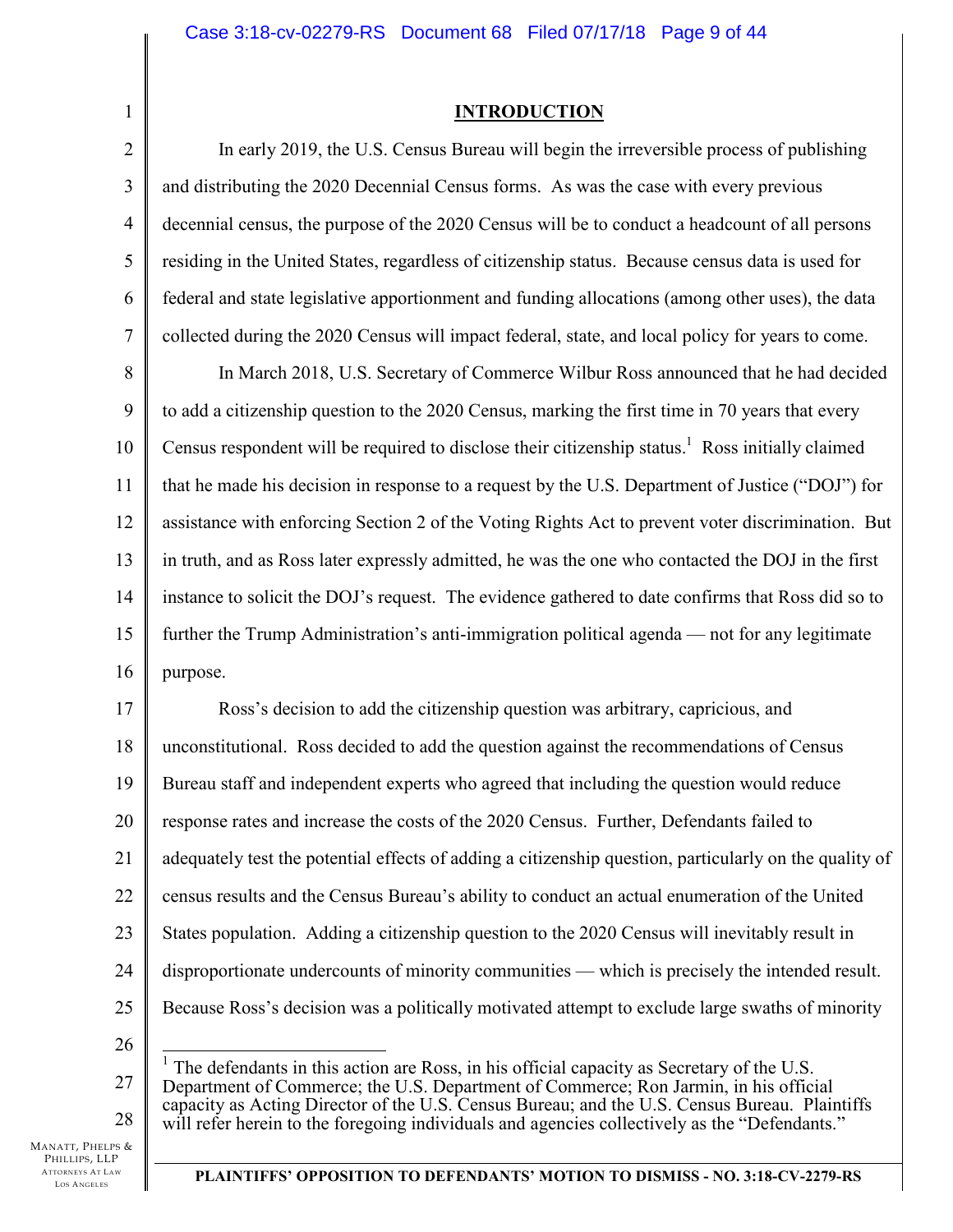### **INTRODUCTION**

2 3 4 5 6 7 In early 2019, the U.S. Census Bureau will begin the irreversible process of publishing and distributing the 2020 Decennial Census forms. As was the case with every previous decennial census, the purpose of the 2020 Census will be to conduct a headcount of all persons residing in the United States, regardless of citizenship status. Because census data is used for federal and state legislative apportionment and funding allocations (among other uses), the data collected during the 2020 Census will impact federal, state, and local policy for years to come.

8 9 10 11 12 13 14 15 16 In March 2018, U.S. Secretary of Commerce Wilbur Ross announced that he had decided to add a citizenship question to the 2020 Census, marking the first time in 70 years that every Census respondent will be required to disclose their citizenship status.<sup>1</sup> Ross initially claimed that he made his decision in response to a request by the U.S. Department of Justice ("DOJ") for assistance with enforcing Section 2 of the Voting Rights Act to prevent voter discrimination. But in truth, and as Ross later expressly admitted, he was the one who contacted the DOJ in the first instance to solicit the DOJ's request. The evidence gathered to date confirms that Ross did so to further the Trump Administration's anti-immigration political agenda — not for any legitimate purpose.

17 18 19 20 21 22 23 24 25 Ross's decision to add the citizenship question was arbitrary, capricious, and unconstitutional. Ross decided to add the question against the recommendations of Census Bureau staff and independent experts who agreed that including the question would reduce response rates and increase the costs of the 2020 Census. Further, Defendants failed to adequately test the potential effects of adding a citizenship question, particularly on the quality of census results and the Census Bureau's ability to conduct an actual enumeration of the United States population. Adding a citizenship question to the 2020 Census will inevitably result in disproportionate undercounts of minority communities — which is precisely the intended result. Because Ross's decision was a politically motivated attempt to exclude large swaths of minority

26

1

27 28  $\overline{a}$  $<sup>1</sup>$  The defendants in this action are Ross, in his official capacity as Secretary of the U.S.</sup> Department of Commerce; the U.S. Department of Commerce; Ron Jarmin, in his official capacity as Acting Director of the U.S. Census Bureau; and the U.S. Census Bureau. Plaintiffs will refer herein to the foregoing individuals and agencies collectively as the "Defendants."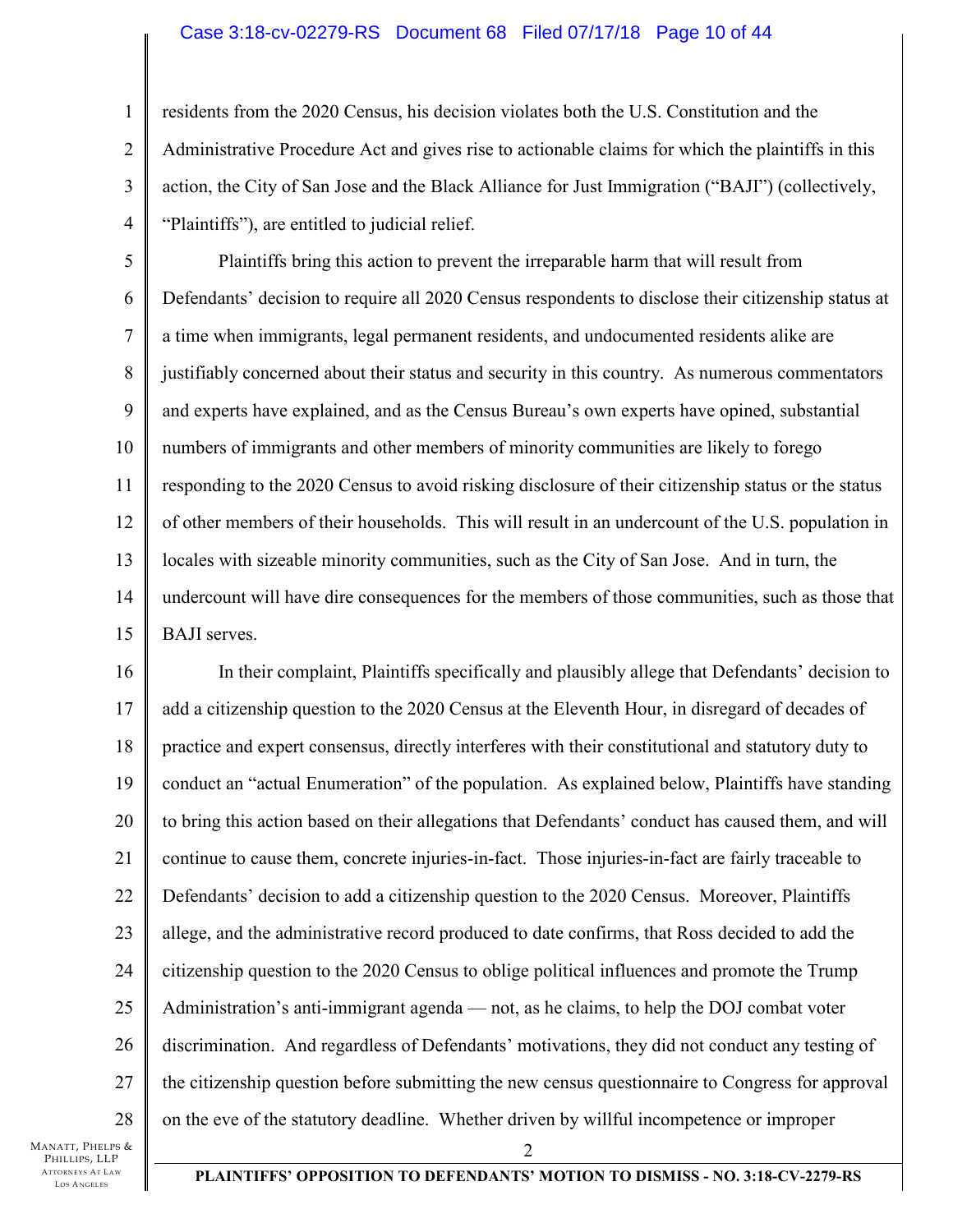### Case 3:18-cv-02279-RS Document 68 Filed 07/17/18 Page 10 of 44

2 3 4 residents from the 2020 Census, his decision violates both the U.S. Constitution and the Administrative Procedure Act and gives rise to actionable claims for which the plaintiffs in this action, the City of San Jose and the Black Alliance for Just Immigration ("BAJI") (collectively, "Plaintiffs"), are entitled to judicial relief.

5 6 7 8 9 10 11 12 13 14 15 Plaintiffs bring this action to prevent the irreparable harm that will result from Defendants' decision to require all 2020 Census respondents to disclose their citizenship status at a time when immigrants, legal permanent residents, and undocumented residents alike are justifiably concerned about their status and security in this country. As numerous commentators and experts have explained, and as the Census Bureau's own experts have opined, substantial numbers of immigrants and other members of minority communities are likely to forego responding to the 2020 Census to avoid risking disclosure of their citizenship status or the status of other members of their households. This will result in an undercount of the U.S. population in locales with sizeable minority communities, such as the City of San Jose. And in turn, the undercount will have dire consequences for the members of those communities, such as those that BAJI serves.

16 17 18 19 20 21 22 23 24 25 26 27 28 2 In their complaint, Plaintiffs specifically and plausibly allege that Defendants' decision to add a citizenship question to the 2020 Census at the Eleventh Hour, in disregard of decades of practice and expert consensus, directly interferes with their constitutional and statutory duty to conduct an "actual Enumeration" of the population. As explained below, Plaintiffs have standing to bring this action based on their allegations that Defendants' conduct has caused them, and will continue to cause them, concrete injuries-in-fact. Those injuries-in-fact are fairly traceable to Defendants' decision to add a citizenship question to the 2020 Census. Moreover, Plaintiffs allege, and the administrative record produced to date confirms, that Ross decided to add the citizenship question to the 2020 Census to oblige political influences and promote the Trump Administration's anti-immigrant agenda — not, as he claims, to help the DOJ combat voter discrimination. And regardless of Defendants' motivations, they did not conduct any testing of the citizenship question before submitting the new census questionnaire to Congress for approval on the eve of the statutory deadline. Whether driven by willful incompetence or improper

MANATT, PHELPS & PHILLIPS, LLP ATTORNEYS AT LAW LOS A NGELES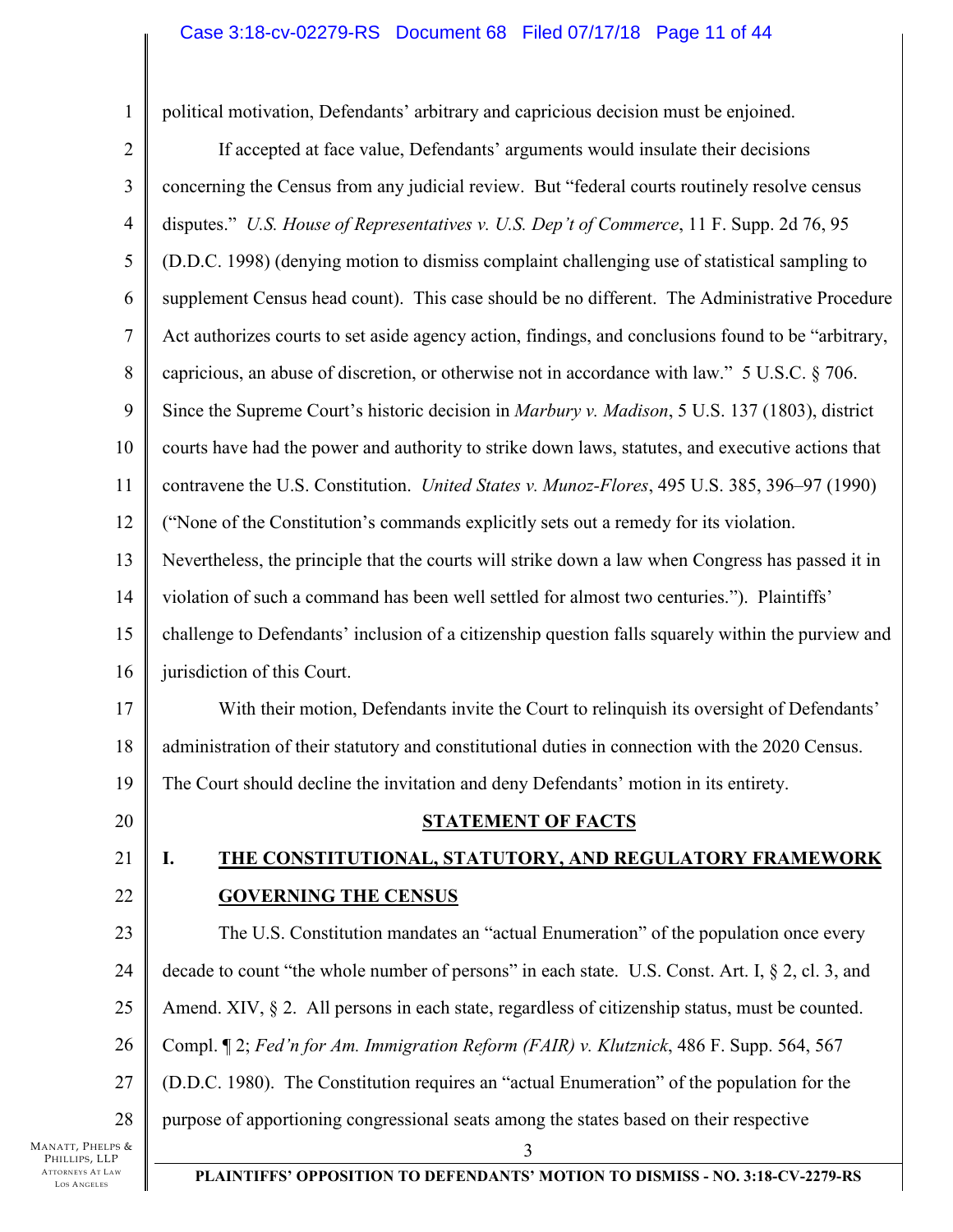### Case 3:18-cv-02279-RS Document 68 Filed 07/17/18 Page 11 of 44

political motivation, Defendants' arbitrary and capricious decision must be enjoined.

2

3

4

5

6

7

8

9

10

11

12

13

14

15

16

17

18

19

20

21

22

23

24

25

26

27

28

1

3 If accepted at face value, Defendants' arguments would insulate their decisions concerning the Census from any judicial review. But "federal courts routinely resolve census disputes." *U.S. House of Representatives v. U.S. Dep't of Commerce*, 11 F. Supp. 2d 76, 95 (D.D.C. 1998) (denying motion to dismiss complaint challenging use of statistical sampling to supplement Census head count). This case should be no different. The Administrative Procedure Act authorizes courts to set aside agency action, findings, and conclusions found to be "arbitrary, capricious, an abuse of discretion, or otherwise not in accordance with law." 5 U.S.C. § 706. Since the Supreme Court's historic decision in *Marbury v. Madison*, 5 U.S. 137 (1803), district courts have had the power and authority to strike down laws, statutes, and executive actions that contravene the U.S. Constitution. *United States v. Munoz-Flores*, 495 U.S. 385, 396–97 (1990) ("None of the Constitution's commands explicitly sets out a remedy for its violation. Nevertheless, the principle that the courts will strike down a law when Congress has passed it in violation of such a command has been well settled for almost two centuries."). Plaintiffs' challenge to Defendants' inclusion of a citizenship question falls squarely within the purview and jurisdiction of this Court. With their motion, Defendants invite the Court to relinquish its oversight of Defendants' administration of their statutory and constitutional duties in connection with the 2020 Census. The Court should decline the invitation and deny Defendants' motion in its entirety. **STATEMENT OF FACTS I. THE CONSTITUTIONAL, STATUTORY, AND REGULATORY FRAMEWORK GOVERNING THE CENSUS**  The U.S. Constitution mandates an "actual Enumeration" of the population once every decade to count "the whole number of persons" in each state. U.S. Const. Art. I, § 2, cl. 3, and Amend. XIV, § 2. All persons in each state, regardless of citizenship status, must be counted. Compl. ¶ 2; *Fed'n for Am. Immigration Reform (FAIR) v. Klutznick*, 486 F. Supp. 564, 567 (D.D.C. 1980). The Constitution requires an "actual Enumeration" of the population for the purpose of apportioning congressional seats among the states based on their respective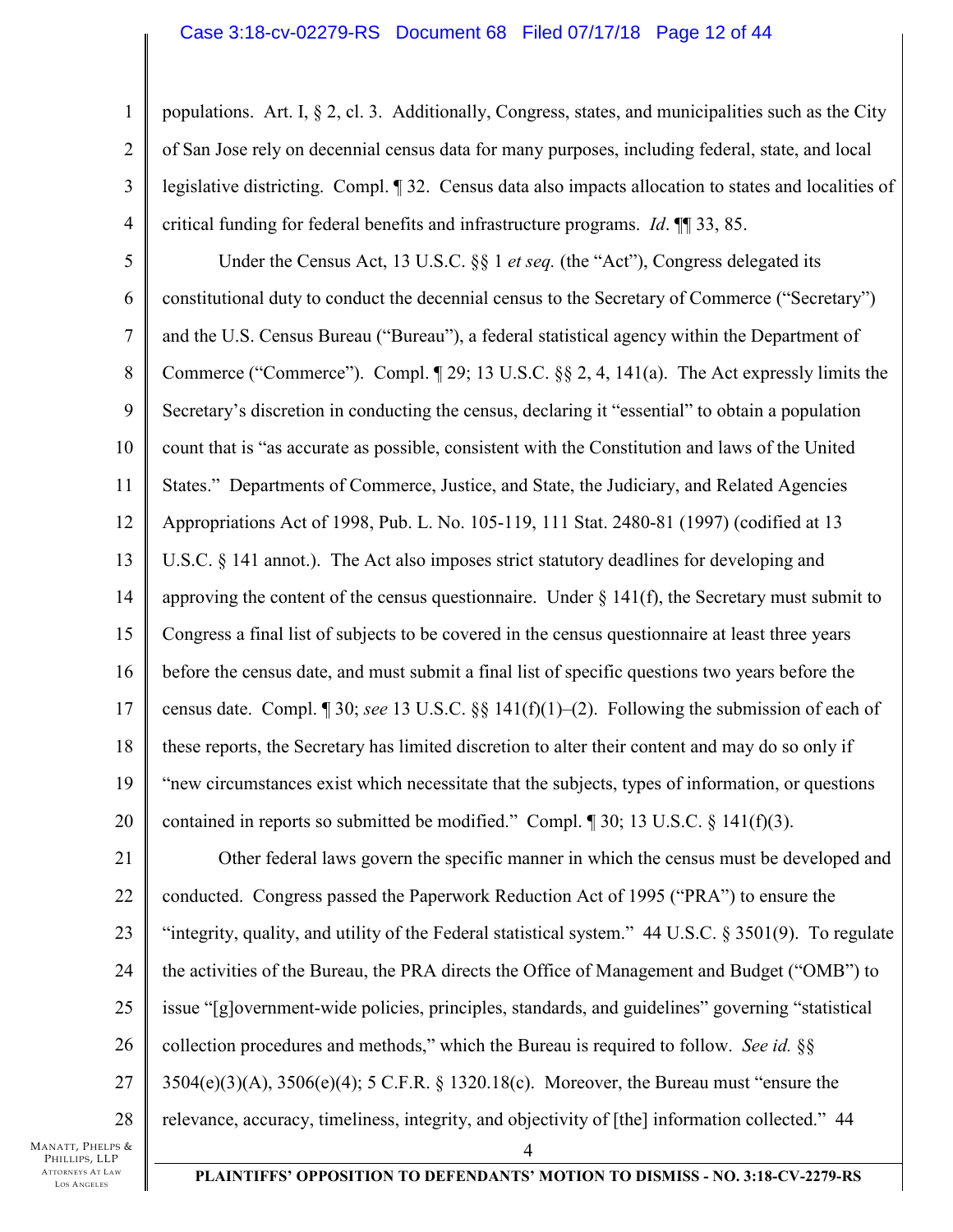#### Case 3:18-cv-02279-RS Document 68 Filed 07/17/18 Page 12 of 44

1 2 3 4 populations. Art. I, § 2, cl. 3. Additionally, Congress, states, and municipalities such as the City of San Jose rely on decennial census data for many purposes, including federal, state, and local legislative districting. Compl. ¶ 32. Census data also impacts allocation to states and localities of critical funding for federal benefits and infrastructure programs. *Id*. ¶¶ 33, 85.

5 6 7 8 9 10 11 12 13 14 15 16 17 18 19 20 Under the Census Act, 13 U.S.C. §§ 1 *et seq.* (the "Act"), Congress delegated its constitutional duty to conduct the decennial census to the Secretary of Commerce ("Secretary") and the U.S. Census Bureau ("Bureau"), a federal statistical agency within the Department of Commerce ("Commerce"). Compl. ¶ 29; 13 U.S.C. §§ 2, 4, 141(a). The Act expressly limits the Secretary's discretion in conducting the census, declaring it "essential" to obtain a population count that is "as accurate as possible, consistent with the Constitution and laws of the United States." Departments of Commerce, Justice, and State, the Judiciary, and Related Agencies Appropriations Act of 1998, Pub. L. No. 105-119, 111 Stat. 2480-81 (1997) (codified at 13 U.S.C. § 141 annot.). The Act also imposes strict statutory deadlines for developing and approving the content of the census questionnaire. Under  $\S 141(f)$ , the Secretary must submit to Congress a final list of subjects to be covered in the census questionnaire at least three years before the census date, and must submit a final list of specific questions two years before the census date. Compl. ¶ 30; *see* 13 U.S.C. §§ 141(f)(1)–(2). Following the submission of each of these reports, the Secretary has limited discretion to alter their content and may do so only if "new circumstances exist which necessitate that the subjects, types of information, or questions contained in reports so submitted be modified." Compl. ¶ 30; 13 U.S.C. § 141(f)(3).

21 22 23 24 25 26 27 28 4 Other federal laws govern the specific manner in which the census must be developed and conducted. Congress passed the Paperwork Reduction Act of 1995 ("PRA") to ensure the "integrity, quality, and utility of the Federal statistical system."  $44 \text{ U.S.C. }$  § 3501(9). To regulate the activities of the Bureau, the PRA directs the Office of Management and Budget ("OMB") to issue "[g]overnment-wide policies, principles, standards, and guidelines" governing "statistical collection procedures and methods," which the Bureau is required to follow. *See id.* §§ 3504(e)(3)(A), 3506(e)(4); 5 C.F.R. § 1320.18(c). Moreover, the Bureau must "ensure the relevance, accuracy, timeliness, integrity, and objectivity of [the] information collected." 44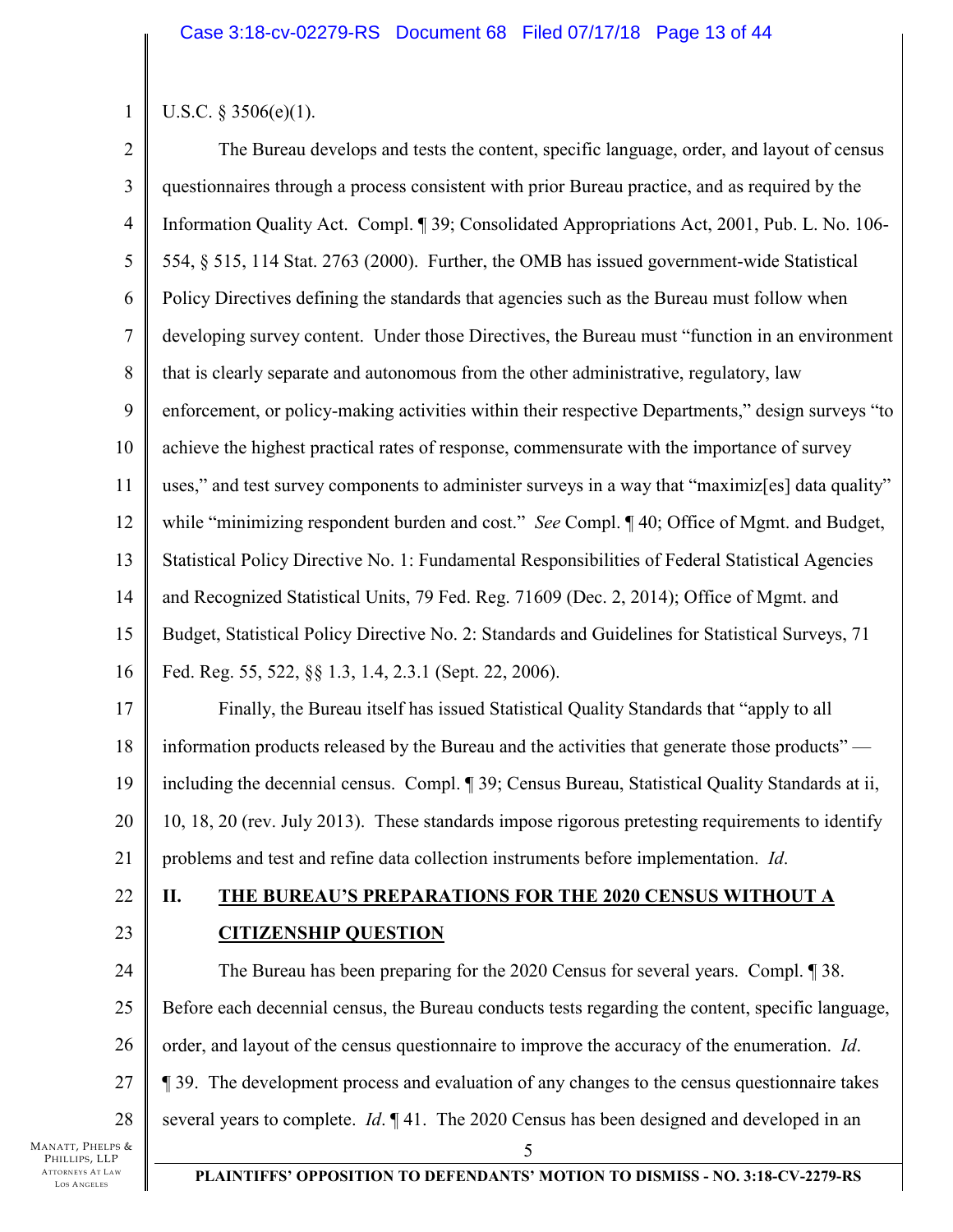# U.S.C. § 3506(e)(1).

1

2 3 4 5 6 7 8 9 10 11 12 13 14 15 16 17 18 19 20 21 The Bureau develops and tests the content, specific language, order, and layout of census questionnaires through a process consistent with prior Bureau practice, and as required by the Information Quality Act. Compl. ¶ 39; Consolidated Appropriations Act, 2001, Pub. L. No. 106- 554, § 515, 114 Stat. 2763 (2000). Further, the OMB has issued government-wide Statistical Policy Directives defining the standards that agencies such as the Bureau must follow when developing survey content. Under those Directives, the Bureau must "function in an environment that is clearly separate and autonomous from the other administrative, regulatory, law enforcement, or policy-making activities within their respective Departments," design surveys "to achieve the highest practical rates of response, commensurate with the importance of survey uses," and test survey components to administer surveys in a way that "maximiz[es] data quality" while "minimizing respondent burden and cost." *See* Compl. ¶ 40; Office of Mgmt. and Budget, Statistical Policy Directive No. 1: Fundamental Responsibilities of Federal Statistical Agencies and Recognized Statistical Units, 79 Fed. Reg. 71609 (Dec. 2, 2014); Office of Mgmt. and Budget, Statistical Policy Directive No. 2: Standards and Guidelines for Statistical Surveys, 71 Fed. Reg. 55, 522, §§ 1.3, 1.4, 2.3.1 (Sept. 22, 2006). Finally, the Bureau itself has issued Statistical Quality Standards that "apply to all information products released by the Bureau and the activities that generate those products" including the decennial census. Compl. ¶ 39; Census Bureau, Statistical Quality Standards at ii, 10, 18, 20 (rev. July 2013). These standards impose rigorous pretesting requirements to identify problems and test and refine data collection instruments before implementation. *Id*.

- 22
- 23

# **II. THE BUREAU'S PREPARATIONS FOR THE 2020 CENSUS WITHOUT A CITIZENSHIP QUESTION**

24 25 26 27 28 5 The Bureau has been preparing for the 2020 Census for several years. Compl. ¶ 38. Before each decennial census, the Bureau conducts tests regarding the content, specific language, order, and layout of the census questionnaire to improve the accuracy of the enumeration. *Id*. ¶ 39. The development process and evaluation of any changes to the census questionnaire takes several years to complete. *Id*. ¶ 41. The 2020 Census has been designed and developed in an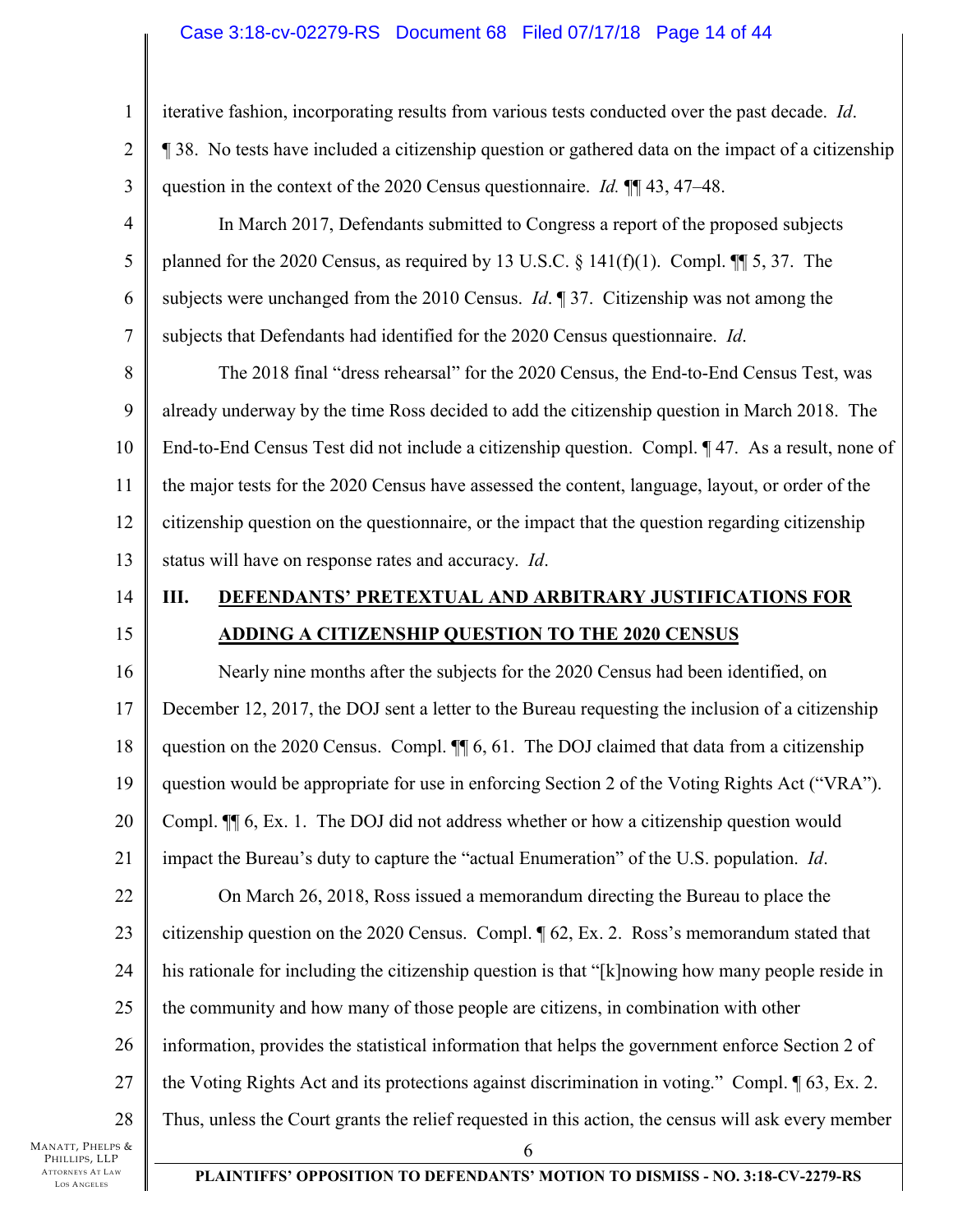### Case 3:18-cv-02279-RS Document 68 Filed 07/17/18 Page 14 of 44

iterative fashion, incorporating results from various tests conducted over the past decade. *Id*.

¶ 38. No tests have included a citizenship question or gathered data on the impact of a citizenship question in the context of the 2020 Census questionnaire. *Id.* ¶¶ 43, 47–48.

5 6 7 In March 2017, Defendants submitted to Congress a report of the proposed subjects planned for the 2020 Census, as required by 13 U.S.C.  $\S$  141(f)(1). Compl.  $\P$  5, 37. The subjects were unchanged from the 2010 Census. *Id*. ¶ 37. Citizenship was not among the subjects that Defendants had identified for the 2020 Census questionnaire. *Id*.

8 9 10 11 12 13 The 2018 final "dress rehearsal" for the 2020 Census, the End-to-End Census Test, was already underway by the time Ross decided to add the citizenship question in March 2018. The End-to-End Census Test did not include a citizenship question. Compl. ¶ 47. As a result, none of the major tests for the 2020 Census have assessed the content, language, layout, or order of the citizenship question on the questionnaire, or the impact that the question regarding citizenship status will have on response rates and accuracy. *Id*.

- 14
- 15

# **III. DEFENDANTS' PRETEXTUAL AND ARBITRARY JUSTIFICATIONS FOR ADDING A CITIZENSHIP QUESTION TO THE 2020 CENSUS**

16 17 18 19 20 21 22 23 24 25 26 27 28 6 Nearly nine months after the subjects for the 2020 Census had been identified, on December 12, 2017, the DOJ sent a letter to the Bureau requesting the inclusion of a citizenship question on the 2020 Census. Compl.  $\P$  6, 61. The DOJ claimed that data from a citizenship question would be appropriate for use in enforcing Section 2 of the Voting Rights Act ("VRA"). Compl. ¶¶ 6, Ex. 1. The DOJ did not address whether or how a citizenship question would impact the Bureau's duty to capture the "actual Enumeration" of the U.S. population. *Id*. On March 26, 2018, Ross issued a memorandum directing the Bureau to place the citizenship question on the 2020 Census. Compl. ¶ 62, Ex. 2. Ross's memorandum stated that his rationale for including the citizenship question is that "[k]nowing how many people reside in the community and how many of those people are citizens, in combination with other information, provides the statistical information that helps the government enforce Section 2 of the Voting Rights Act and its protections against discrimination in voting." Compl. ¶ 63, Ex. 2. Thus, unless the Court grants the relief requested in this action, the census will ask every member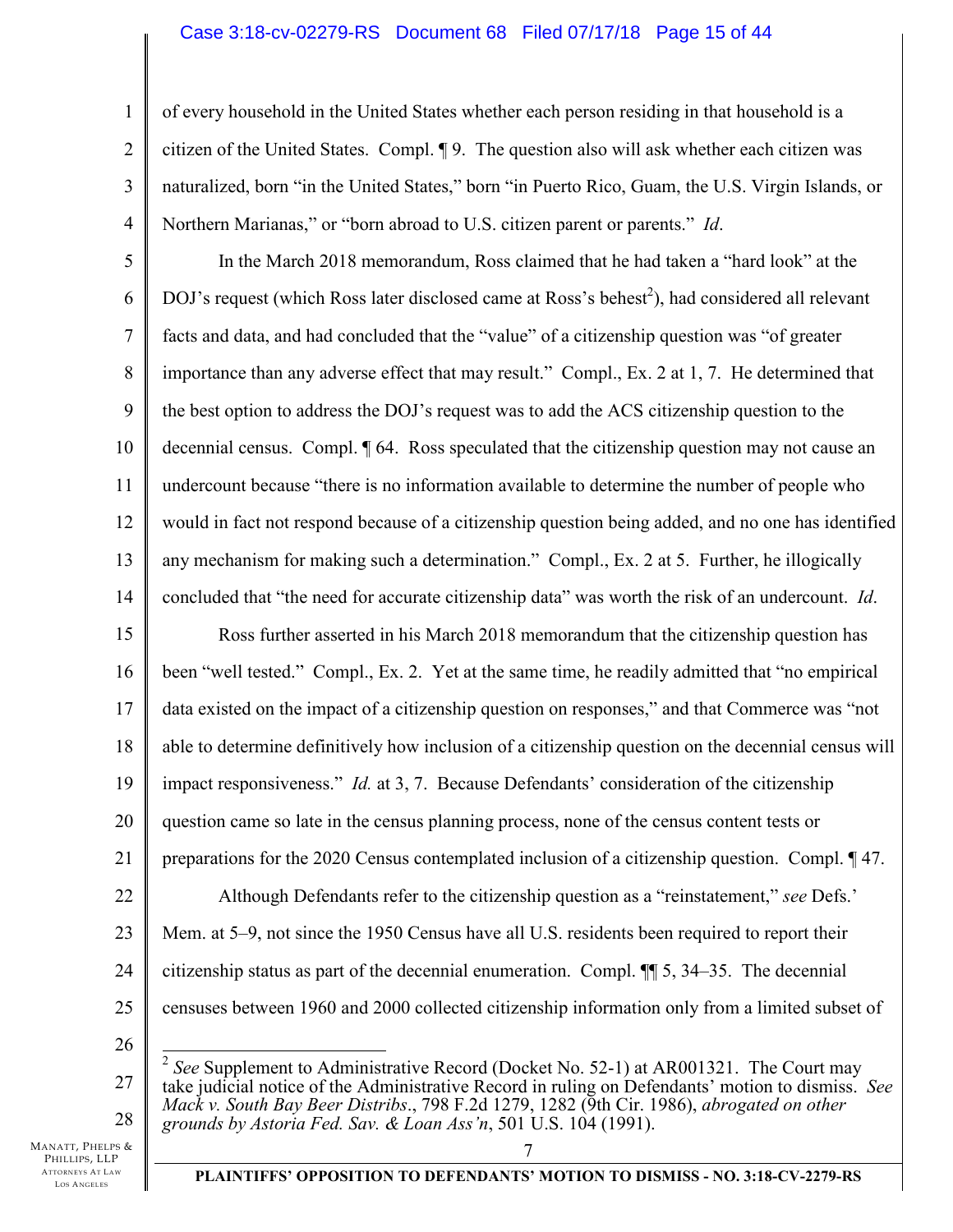### Case 3:18-cv-02279-RS Document 68 Filed 07/17/18 Page 15 of 44

of every household in the United States whether each person residing in that household is a citizen of the United States. Compl. ¶ 9. The question also will ask whether each citizen was naturalized, born "in the United States," born "in Puerto Rico, Guam, the U.S. Virgin Islands, or Northern Marianas," or "born abroad to U.S. citizen parent or parents." *Id*.

5 6 7 8 9 10 11 12 13 14 In the March 2018 memorandum, Ross claimed that he had taken a "hard look" at the DOJ's request (which Ross later disclosed came at Ross's behest<sup>2</sup>), had considered all relevant facts and data, and had concluded that the "value" of a citizenship question was "of greater importance than any adverse effect that may result." Compl., Ex. 2 at 1, 7. He determined that the best option to address the DOJ's request was to add the ACS citizenship question to the decennial census. Compl. ¶ 64. Ross speculated that the citizenship question may not cause an undercount because "there is no information available to determine the number of people who would in fact not respond because of a citizenship question being added, and no one has identified any mechanism for making such a determination." Compl., Ex. 2 at 5. Further, he illogically concluded that "the need for accurate citizenship data" was worth the risk of an undercount. *Id*.

15 16 17 18 19 20 21 22 23 24 25 Ross further asserted in his March 2018 memorandum that the citizenship question has been "well tested." Compl., Ex. 2. Yet at the same time, he readily admitted that "no empirical data existed on the impact of a citizenship question on responses," and that Commerce was "not able to determine definitively how inclusion of a citizenship question on the decennial census will impact responsiveness." *Id.* at 3, 7. Because Defendants' consideration of the citizenship question came so late in the census planning process, none of the census content tests or preparations for the 2020 Census contemplated inclusion of a citizenship question. Compl. ¶ 47. Although Defendants refer to the citizenship question as a "reinstatement," *see* Defs.' Mem. at 5–9, not since the 1950 Census have all U.S. residents been required to report their citizenship status as part of the decennial enumeration. Compl. ¶¶ 5, 34–35. The decennial censuses between 1960 and 2000 collected citizenship information only from a limited subset of

26

 $\overline{\phantom{a}}$ 

28

1

2

3

4

27 <sup>2</sup> See Supplement to Administrative Record (Docket No. 52-1) at AR001321. The Court may take judicial notice of the Administrative Record in ruling on Defendants' motion to dismiss. *See Mack v. South Bay Beer Distribs*., 798 F.2d 1279, 1282 (9th Cir. 1986), *abrogated on other grounds by Astoria Fed. Sav. & Loan Ass'n*, 501 U.S. 104 (1991).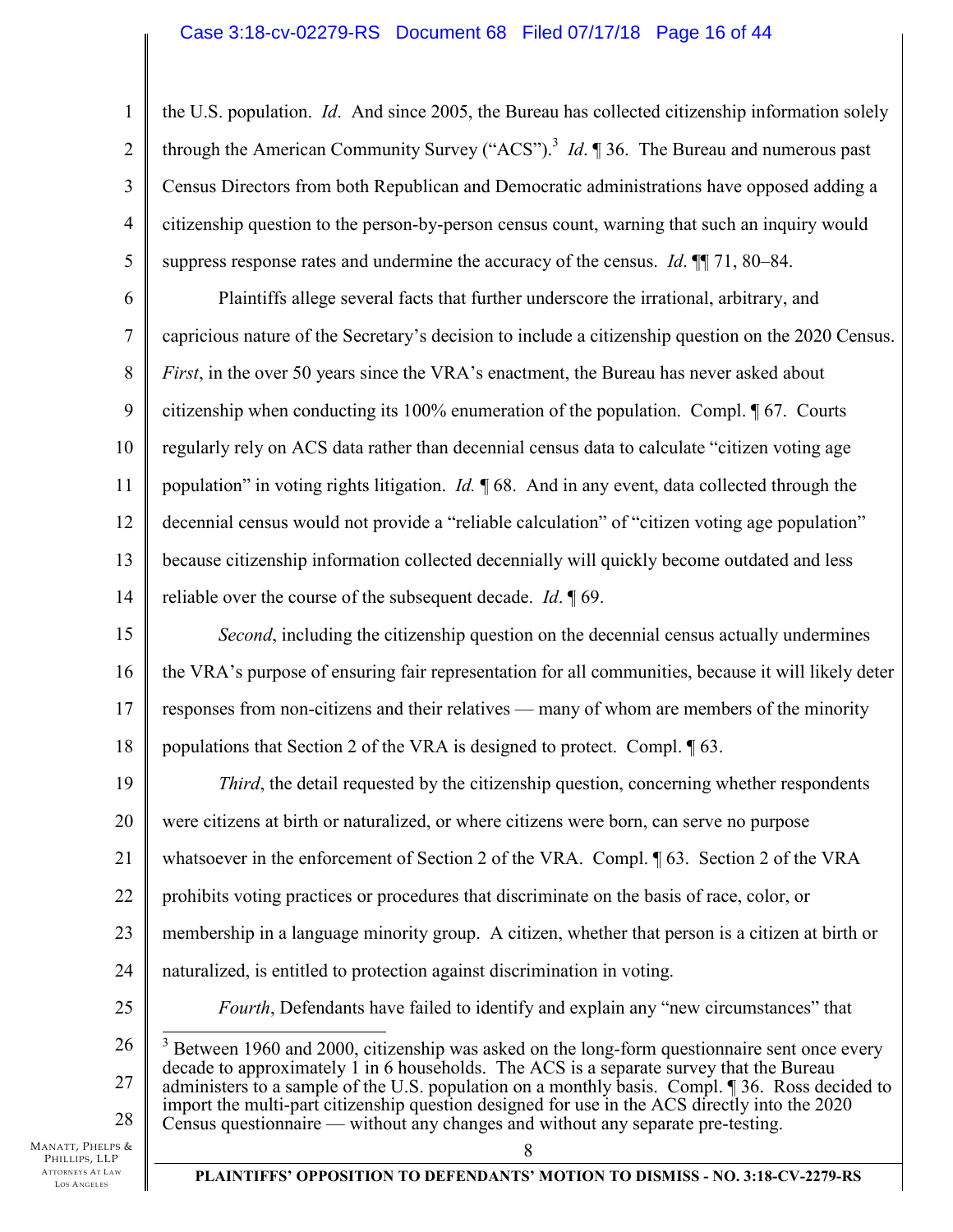### Case 3:18-cv-02279-RS Document 68 Filed 07/17/18 Page 16 of 44

1 2 3 4 5 the U.S. population. *Id*. And since 2005, the Bureau has collected citizenship information solely through the American Community Survey ("ACS").<sup>3</sup> *Id*.  $\parallel$  36. The Bureau and numerous past Census Directors from both Republican and Democratic administrations have opposed adding a citizenship question to the person-by-person census count, warning that such an inquiry would suppress response rates and undermine the accuracy of the census. *Id*. ¶¶ 71, 80–84.

6 7 8 9 10 11 12 13 14 Plaintiffs allege several facts that further underscore the irrational, arbitrary, and capricious nature of the Secretary's decision to include a citizenship question on the 2020 Census. *First*, in the over 50 years since the VRA's enactment, the Bureau has never asked about citizenship when conducting its 100% enumeration of the population. Compl. ¶ 67. Courts regularly rely on ACS data rather than decennial census data to calculate "citizen voting age population" in voting rights litigation. *Id.* ¶ 68. And in any event, data collected through the decennial census would not provide a "reliable calculation" of "citizen voting age population" because citizenship information collected decennially will quickly become outdated and less reliable over the course of the subsequent decade. *Id*. ¶ 69.

15 16 17 18 *Second*, including the citizenship question on the decennial census actually undermines the VRA's purpose of ensuring fair representation for all communities, because it will likely deter responses from non-citizens and their relatives — many of whom are members of the minority populations that Section 2 of the VRA is designed to protect. Compl. ¶ 63.

19 20 21 22 23 24 25 26 *Third*, the detail requested by the citizenship question, concerning whether respondents were citizens at birth or naturalized, or where citizens were born, can serve no purpose whatsoever in the enforcement of Section 2 of the VRA. Compl. ¶ 63. Section 2 of the VRA prohibits voting practices or procedures that discriminate on the basis of race, color, or membership in a language minority group. A citizen, whether that person is a citizen at birth or naturalized, is entitled to protection against discrimination in voting. *Fourth*, Defendants have failed to identify and explain any "new circumstances" that <sup>3</sup> Between 1960 and 2000, citizenship was asked on the long-form questionnaire sent once every

27 28 decade to approximately 1 in 6 households. The ACS is a separate survey that the Bureau administers to a sample of the U.S. population on a monthly basis. Compl. ¶ 36. Ross decided to import the multi-part citizenship question designed for use in the ACS directly into the 2020 Census questionnaire — without any changes and without any separate pre-testing.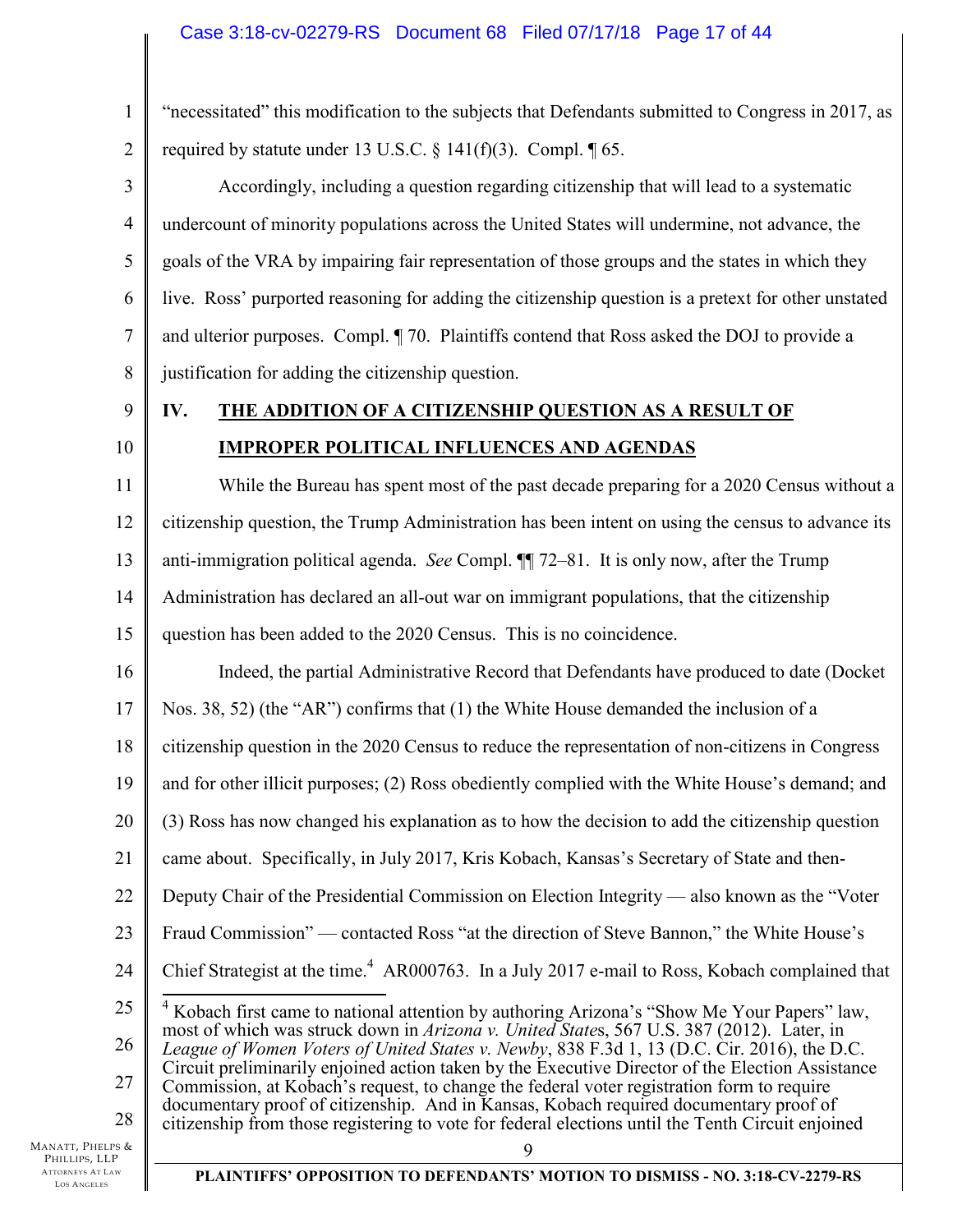1 2 "necessitated" this modification to the subjects that Defendants submitted to Congress in 2017, as required by statute under 13 U.S.C.  $\S$  141(f)(3). Compl.  $\P$  65.

3 4 5 6 7 8 Accordingly, including a question regarding citizenship that will lead to a systematic undercount of minority populations across the United States will undermine, not advance, the goals of the VRA by impairing fair representation of those groups and the states in which they live. Ross' purported reasoning for adding the citizenship question is a pretext for other unstated and ulterior purposes. Compl. ¶ 70. Plaintiffs contend that Ross asked the DOJ to provide a justification for adding the citizenship question.

9 10

# **IV. THE ADDITION OF A CITIZENSHIP QUESTION AS A RESULT OF IMPROPER POLITICAL INFLUENCES AND AGENDAS**

11 12 13 14 15 While the Bureau has spent most of the past decade preparing for a 2020 Census without a citizenship question, the Trump Administration has been intent on using the census to advance its anti-immigration political agenda. *See* Compl. ¶¶ 72–81. It is only now, after the Trump Administration has declared an all-out war on immigrant populations, that the citizenship question has been added to the 2020 Census. This is no coincidence.

16 Indeed, the partial Administrative Record that Defendants have produced to date (Docket

17 Nos. 38, 52) (the "AR") confirms that (1) the White House demanded the inclusion of a

18 citizenship question in the 2020 Census to reduce the representation of non-citizens in Congress

19 and for other illicit purposes; (2) Ross obediently complied with the White House's demand; and

20 (3) Ross has now changed his explanation as to how the decision to add the citizenship question

21 came about. Specifically, in July 2017, Kris Kobach, Kansas's Secretary of State and then-

22 Deputy Chair of the Presidential Commission on Election Integrity — also known as the "Voter

23 Fraud Commission" — contacted Ross "at the direction of Steve Bannon," the White House's

24 Chief Strategist at the time.<sup>4</sup> AR000763. In a July 2017 e-mail to Ross, Kobach complained that

25 26 27 <sup>4</sup> Kobach first came to national attention by authoring Arizona's "Show Me Your Papers" law, most of which was struck down in *Arizona v. United State*s, 567 U.S. 387 (2012). Later, in *League of Women Voters of United States v. Newby*, 838 F.3d 1, 13 (D.C. Cir. 2016), the D.C. Circuit preliminarily enjoined action taken by the Executive Director of the Election Assistance Commission, at Kobach's request, to change the federal voter registration form to require documentary proof of citizenship. And in Kansas, Kobach required documentary proof of

28 citizenship from those registering to vote for federal elections until the Tenth Circuit enjoined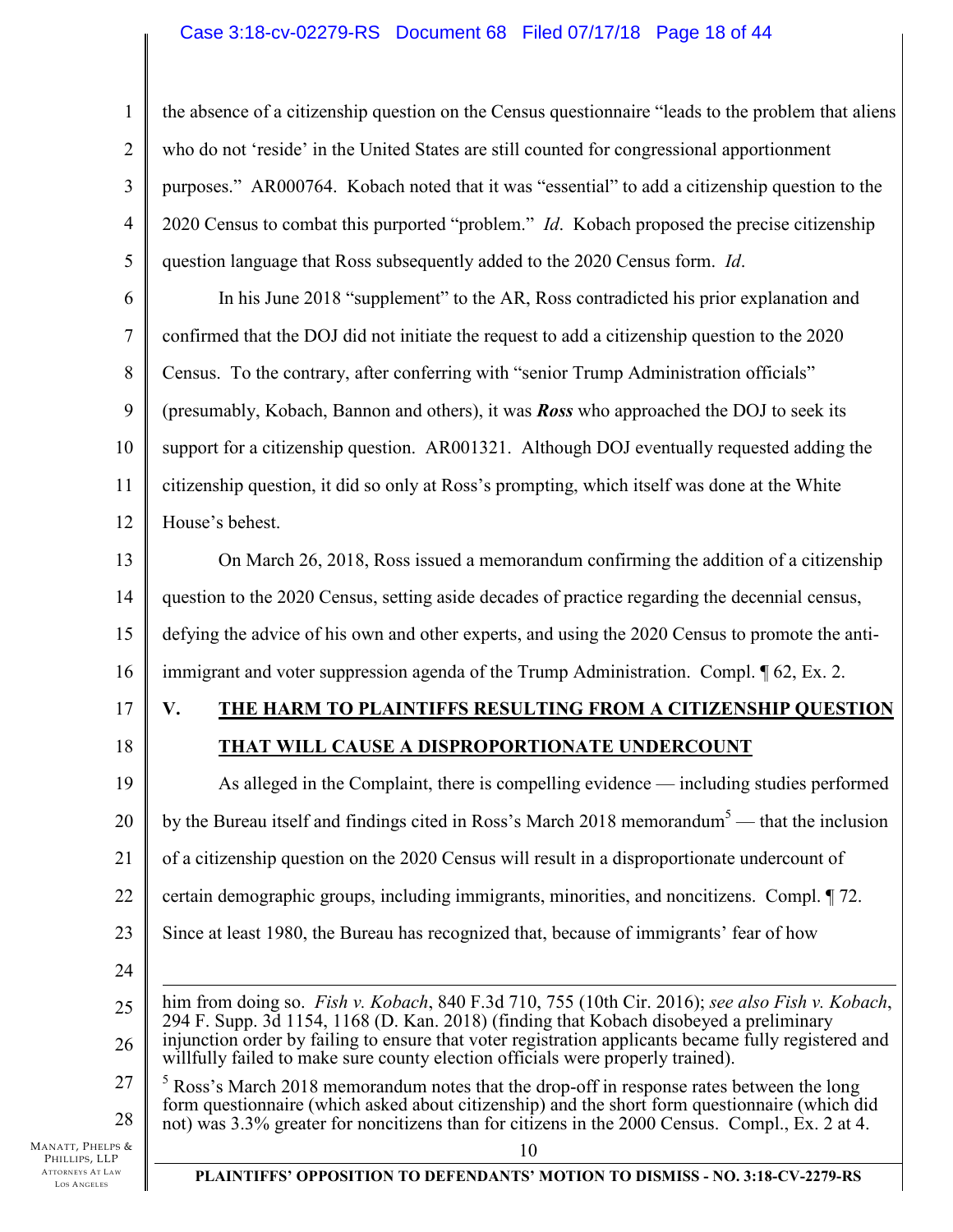### Case 3:18-cv-02279-RS Document 68 Filed 07/17/18 Page 18 of 44

1 2 3 4 5 the absence of a citizenship question on the Census questionnaire "leads to the problem that aliens who do not 'reside' in the United States are still counted for congressional apportionment purposes." AR000764. Kobach noted that it was "essential" to add a citizenship question to the 2020 Census to combat this purported "problem." *Id*. Kobach proposed the precise citizenship question language that Ross subsequently added to the 2020 Census form. *Id*.

6 7 8 9 10 11 12 In his June 2018 "supplement" to the AR, Ross contradicted his prior explanation and confirmed that the DOJ did not initiate the request to add a citizenship question to the 2020 Census. To the contrary, after conferring with "senior Trump Administration officials" (presumably, Kobach, Bannon and others), it was *Ross* who approached the DOJ to seek its support for a citizenship question. AR001321. Although DOJ eventually requested adding the citizenship question, it did so only at Ross's prompting, which itself was done at the White House's behest.

13 14 15 16 On March 26, 2018, Ross issued a memorandum confirming the addition of a citizenship question to the 2020 Census, setting aside decades of practice regarding the decennial census, defying the advice of his own and other experts, and using the 2020 Census to promote the antiimmigrant and voter suppression agenda of the Trump Administration. Compl. ¶ 62, Ex. 2.

- 17
- 18

# **V. THE HARM TO PLAINTIFFS RESULTING FROM A CITIZENSHIP QUESTION**

# **THAT WILL CAUSE A DISPROPORTIONATE UNDERCOUNT**

19 20 21 22 23 As alleged in the Complaint, there is compelling evidence — including studies performed by the Bureau itself and findings cited in Ross's March 2018 memorandum<sup>5</sup> — that the inclusion of a citizenship question on the 2020 Census will result in a disproportionate undercount of certain demographic groups, including immigrants, minorities, and noncitizens. Compl. ¶ 72. Since at least 1980, the Bureau has recognized that, because of immigrants' fear of how

- 24
- 25 26  $\overline{a}$ him from doing so. *Fish v. Kobach*, 840 F.3d 710, 755 (10th Cir. 2016); *see also Fish v. Kobach*, 294 F. Supp. 3d 1154, 1168 (D. Kan. 2018) (finding that Kobach disobeyed a preliminary injunction order by failing to ensure that voter registration applicants became fully registered and willfully failed to make sure county election officials were properly trained).
- 27 28  $<sup>5</sup>$  Ross's March 2018 memorandum notes that the drop-off in response rates between the long</sup> form questionnaire (which asked about citizenship) and the short form questionnaire (which did not) was 3.3% greater for noncitizens than for citizens in the 2000 Census. Compl., Ex. 2 at 4.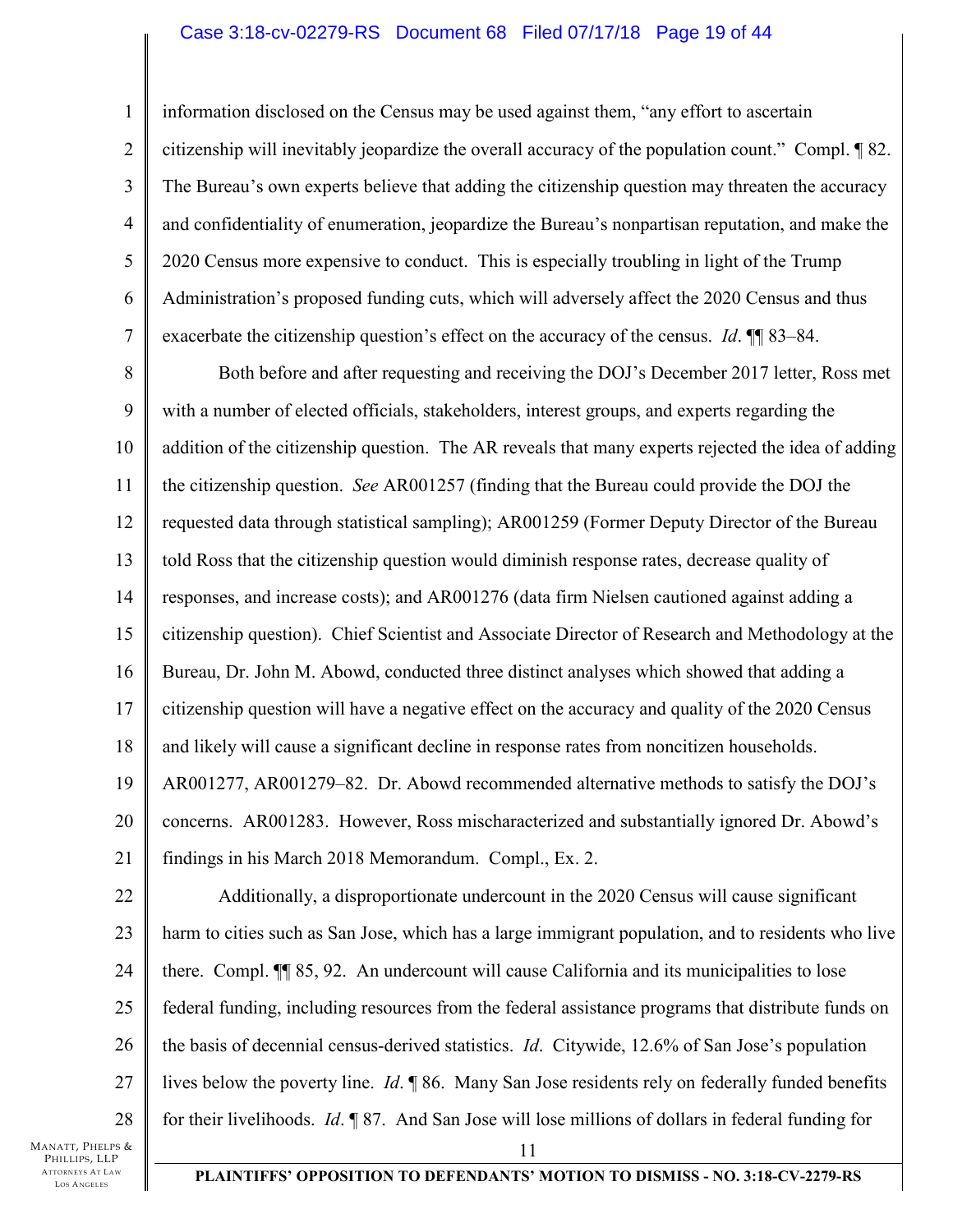### Case 3:18-cv-02279-RS Document 68 Filed 07/17/18 Page 19 of 44

1 2 3 4 5 6 7 information disclosed on the Census may be used against them, "any effort to ascertain citizenship will inevitably jeopardize the overall accuracy of the population count." Compl. ¶ 82. The Bureau's own experts believe that adding the citizenship question may threaten the accuracy and confidentiality of enumeration, jeopardize the Bureau's nonpartisan reputation, and make the 2020 Census more expensive to conduct. This is especially troubling in light of the Trump Administration's proposed funding cuts, which will adversely affect the 2020 Census and thus exacerbate the citizenship question's effect on the accuracy of the census. *Id*. ¶¶ 83–84.

8 9 10 11 12 13 14 15 16 17 18 19 20 21 Both before and after requesting and receiving the DOJ's December 2017 letter, Ross met with a number of elected officials, stakeholders, interest groups, and experts regarding the addition of the citizenship question. The AR reveals that many experts rejected the idea of adding the citizenship question. *See* AR001257 (finding that the Bureau could provide the DOJ the requested data through statistical sampling); AR001259 (Former Deputy Director of the Bureau told Ross that the citizenship question would diminish response rates, decrease quality of responses, and increase costs); and AR001276 (data firm Nielsen cautioned against adding a citizenship question). Chief Scientist and Associate Director of Research and Methodology at the Bureau, Dr. John M. Abowd, conducted three distinct analyses which showed that adding a citizenship question will have a negative effect on the accuracy and quality of the 2020 Census and likely will cause a significant decline in response rates from noncitizen households. AR001277, AR001279–82. Dr. Abowd recommended alternative methods to satisfy the DOJ's concerns. AR001283. However, Ross mischaracterized and substantially ignored Dr. Abowd's findings in his March 2018 Memorandum. Compl., Ex. 2.

22 23 24 25 26 27 28 11 Additionally, a disproportionate undercount in the 2020 Census will cause significant harm to cities such as San Jose, which has a large immigrant population, and to residents who live there. Compl. ¶¶ 85, 92. An undercount will cause California and its municipalities to lose federal funding, including resources from the federal assistance programs that distribute funds on the basis of decennial census-derived statistics. *Id*. Citywide, 12.6% of San Jose's population lives below the poverty line. *Id*. ¶ 86. Many San Jose residents rely on federally funded benefits for their livelihoods. *Id*. ¶ 87. And San Jose will lose millions of dollars in federal funding for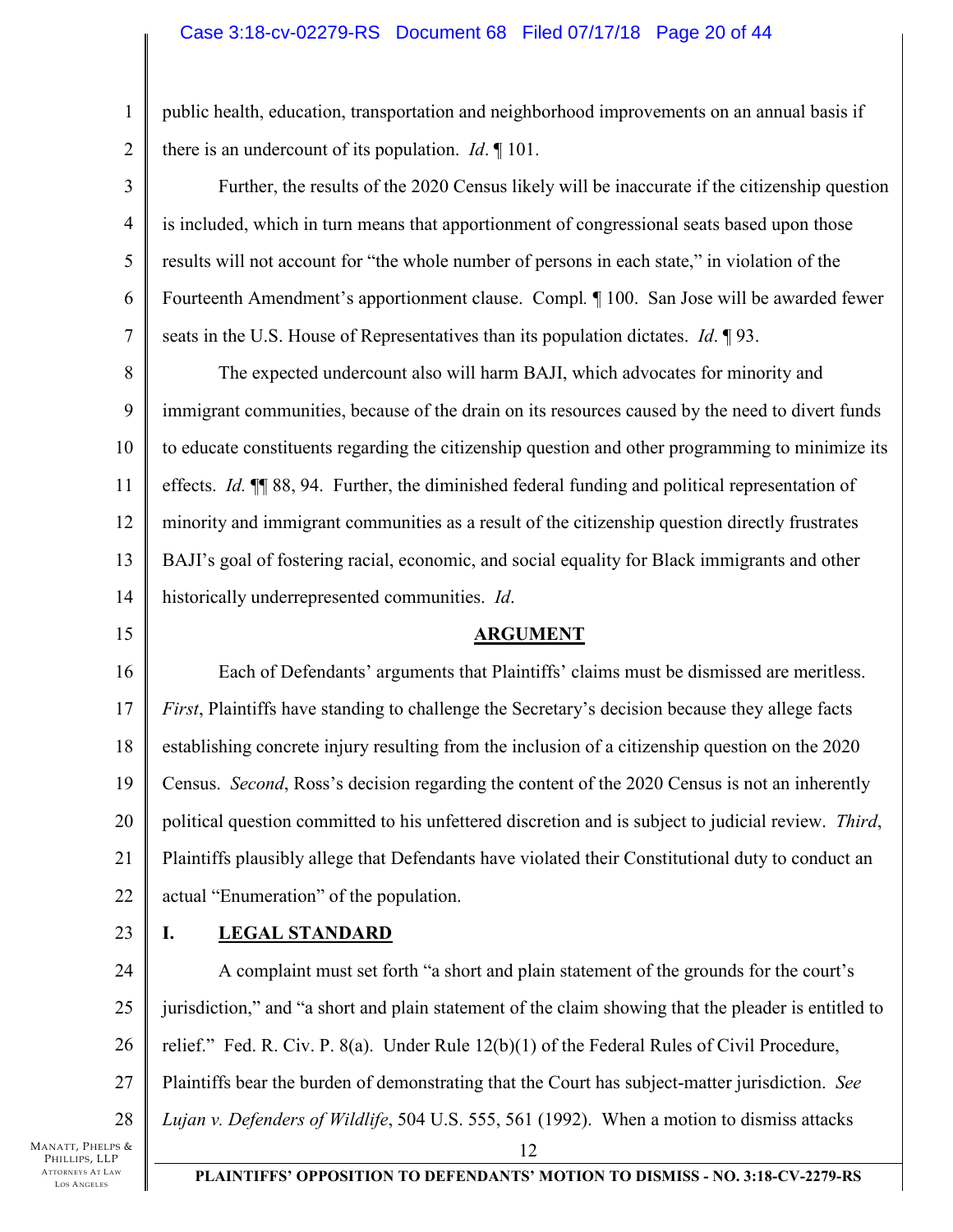### Case 3:18-cv-02279-RS Document 68 Filed 07/17/18 Page 20 of 44

public health, education, transportation and neighborhood improvements on an annual basis if there is an undercount of its population. *Id*. ¶ 101.

4 Further, the results of the 2020 Census likely will be inaccurate if the citizenship question is included, which in turn means that apportionment of congressional seats based upon those results will not account for "the whole number of persons in each state," in violation of the Fourteenth Amendment's apportionment clause. Compl*.* ¶ 100. San Jose will be awarded fewer seats in the U.S. House of Representatives than its population dictates. *Id*. ¶ 93.

8 9 10 11 12 13 14 The expected undercount also will harm BAJI, which advocates for minority and immigrant communities, because of the drain on its resources caused by the need to divert funds to educate constituents regarding the citizenship question and other programming to minimize its effects. *Id.* ¶¶ 88, 94. Further, the diminished federal funding and political representation of minority and immigrant communities as a result of the citizenship question directly frustrates BAJI's goal of fostering racial, economic, and social equality for Black immigrants and other historically underrepresented communities. *Id*.

### **ARGUMENT**

16 17 18 19 20 21 22 Each of Defendants' arguments that Plaintiffs' claims must be dismissed are meritless. *First*, Plaintiffs have standing to challenge the Secretary's decision because they allege facts establishing concrete injury resulting from the inclusion of a citizenship question on the 2020 Census. *Second*, Ross's decision regarding the content of the 2020 Census is not an inherently political question committed to his unfettered discretion and is subject to judicial review. *Third*, Plaintiffs plausibly allege that Defendants have violated their Constitutional duty to conduct an actual "Enumeration" of the population.

23

15

1

2

3

5

6

7

# **I. LEGAL STANDARD**

24 25 26 27 28 12 A complaint must set forth "a short and plain statement of the grounds for the court's jurisdiction," and "a short and plain statement of the claim showing that the pleader is entitled to relief." Fed. R. Civ. P. 8(a). Under Rule 12(b)(1) of the Federal Rules of Civil Procedure, Plaintiffs bear the burden of demonstrating that the Court has subject-matter jurisdiction. *See Lujan v. Defenders of Wildlife*, 504 U.S. 555, 561 (1992). When a motion to dismiss attacks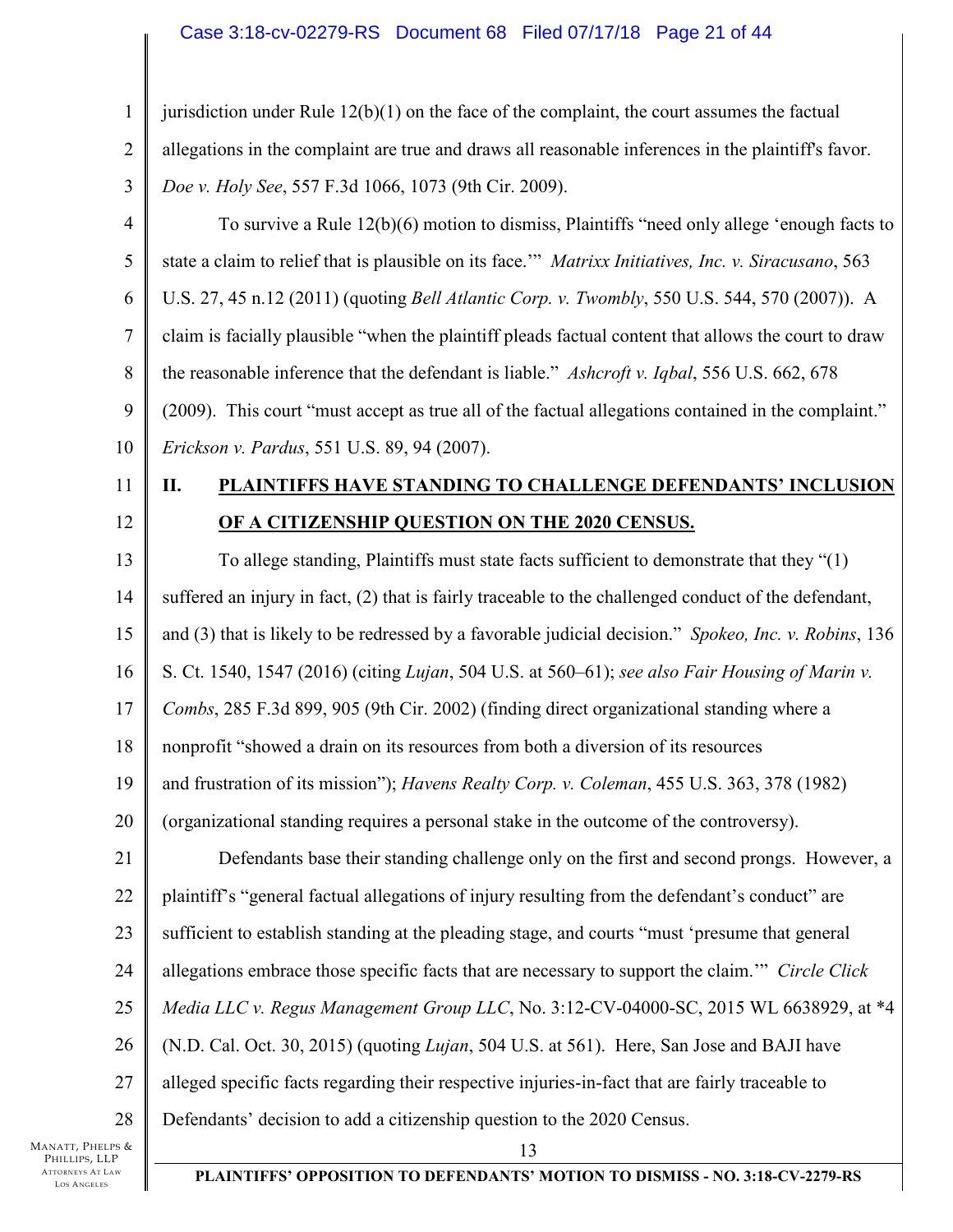# Case 3:18-cv-02279-RS Document 68 Filed 07/17/18 Page 21 of 44

| 1              | jurisdiction under Rule $12(b)(1)$ on the face of the complaint, the court assumes the factual        |
|----------------|-------------------------------------------------------------------------------------------------------|
| $\overline{2}$ | allegations in the complaint are true and draws all reasonable inferences in the plaintiff's favor.   |
| 3              | Doe v. Holy See, 557 F.3d 1066, 1073 (9th Cir. 2009).                                                 |
| $\overline{4}$ | To survive a Rule 12(b)(6) motion to dismiss, Plaintiffs "need only allege 'enough facts to           |
| 5              | state a claim to relief that is plausible on its face."" Matrixx Initiatives, Inc. v. Siracusano, 563 |
| 6              | U.S. 27, 45 n.12 (2011) (quoting Bell Atlantic Corp. v. Twombly, 550 U.S. 544, 570 (2007)). A         |
| 7              | claim is facially plausible "when the plaintiff pleads factual content that allows the court to draw  |
| 8              | the reasonable inference that the defendant is liable." Ashcroft v. Iqbal, 556 U.S. 662, 678          |
| 9              | (2009). This court "must accept as true all of the factual allegations contained in the complaint."   |
| 10             | Erickson v. Pardus, 551 U.S. 89, 94 (2007).                                                           |
| 11             | PLAINTIFFS HAVE STANDING TO CHALLENGE DEFENDANTS' INCLUSION<br>П.                                     |
| 12             | OF A CITIZENSHIP QUESTION ON THE 2020 CENSUS.                                                         |
| 13             | To allege standing, Plaintiffs must state facts sufficient to demonstrate that they "(1)              |
| 14             | suffered an injury in fact, (2) that is fairly traceable to the challenged conduct of the defendant,  |
| 15             | and (3) that is likely to be redressed by a favorable judicial decision." Spokeo, Inc. v. Robins, 136 |
| 16             | S. Ct. 1540, 1547 (2016) (citing Lujan, 504 U.S. at 560–61); see also Fair Housing of Marin v.        |
| 17             | Combs, 285 F.3d 899, 905 (9th Cir. 2002) (finding direct organizational standing where a              |
| 18             | nonprofit "showed a drain on its resources from both a diversion of its resources                     |
| 19             | and frustration of its mission"); Havens Realty Corp. v. Coleman, 455 U.S. 363, 378 (1982)            |
| 20             | (organizational standing requires a personal stake in the outcome of the controversy).                |
| 21             | Defendants base their standing challenge only on the first and second prongs. However, a              |
| 22             | plaintiff's "general factual allegations of injury resulting from the defendant's conduct" are        |
| 23             | sufficient to establish standing at the pleading stage, and courts "must 'presume that general        |
| 24             | allegations embrace those specific facts that are necessary to support the claim." Circle Click       |
| 25             | Media LLC v. Regus Management Group LLC, No. 3:12-CV-04000-SC, 2015 WL 6638929, at *4                 |
| 26             | (N.D. Cal. Oct. 30, 2015) (quoting <i>Lujan</i> , 504 U.S. at 561). Here, San Jose and BAJI have      |
| 27             | alleged specific facts regarding their respective injuries-in-fact that are fairly traceable to       |
| 28             | Defendants' decision to add a citizenship question to the 2020 Census.                                |
| 'S &<br>P      | 13                                                                                                    |

MANATT, PHELP PHILLIPS, LLP ATTORNEYS AT LAW LOS A NGELES

 $\mathsf{l}$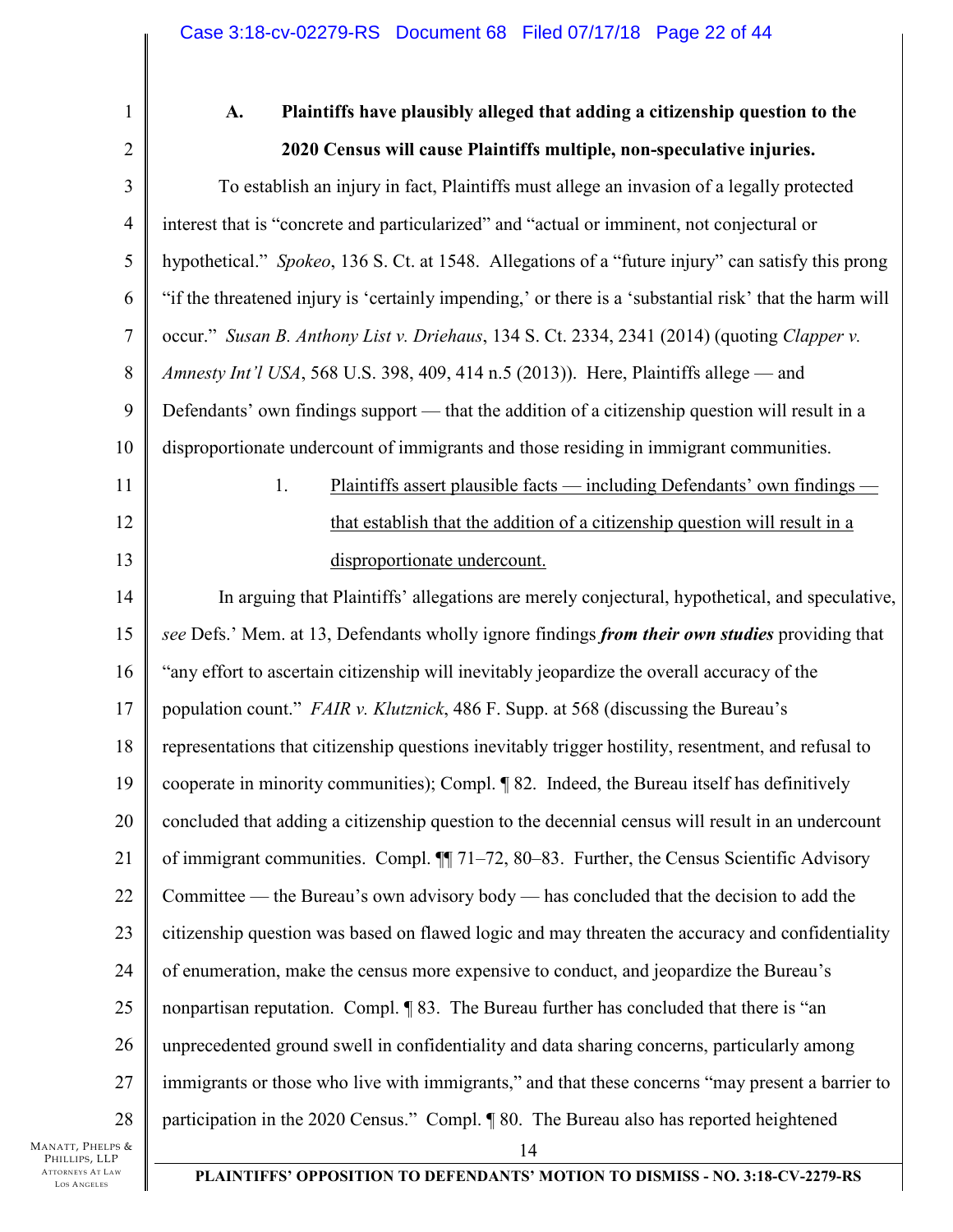| $\mathbf{1}$    | Plaintiffs have plausibly alleged that adding a citizenship question to the<br>A.                       |  |  |  |  |  |
|-----------------|---------------------------------------------------------------------------------------------------------|--|--|--|--|--|
| $\overline{2}$  | 2020 Census will cause Plaintiffs multiple, non-speculative injuries.                                   |  |  |  |  |  |
| 3               | To establish an injury in fact, Plaintiffs must allege an invasion of a legally protected               |  |  |  |  |  |
| $\overline{4}$  | interest that is "concrete and particularized" and "actual or imminent, not conjectural or              |  |  |  |  |  |
| 5               | hypothetical." Spokeo, 136 S. Ct. at 1548. Allegations of a "future injury" can satisfy this prong      |  |  |  |  |  |
| 6               | "if the threatened injury is 'certainly impending,' or there is a 'substantial risk' that the harm will |  |  |  |  |  |
| $\tau$          | occur." Susan B. Anthony List v. Driehaus, 134 S. Ct. 2334, 2341 (2014) (quoting Clapper v.             |  |  |  |  |  |
| $8\,$           | Amnesty Int'l USA, 568 U.S. 398, 409, 414 n.5 (2013)). Here, Plaintiffs allege — and                    |  |  |  |  |  |
| 9               | Defendants' own findings support — that the addition of a citizenship question will result in a         |  |  |  |  |  |
| 10              | disproportionate undercount of immigrants and those residing in immigrant communities.                  |  |  |  |  |  |
| 11              | 1.<br>Plaintiffs assert plausible facts — including Defendants' own findings -                          |  |  |  |  |  |
| 12              | that establish that the addition of a citizenship question will result in a                             |  |  |  |  |  |
| 13              | disproportionate undercount.                                                                            |  |  |  |  |  |
| 14              | In arguing that Plaintiffs' allegations are merely conjectural, hypothetical, and speculative,          |  |  |  |  |  |
| 15              | see Defs.' Mem. at 13, Defendants wholly ignore findings from their own studies providing that          |  |  |  |  |  |
| 16              | "any effort to ascertain citizenship will inevitably jeopardize the overall accuracy of the             |  |  |  |  |  |
| 17              | population count." <i>FAIR v. Klutznick</i> , 486 F. Supp. at 568 (discussing the Bureau's              |  |  |  |  |  |
| 18              | representations that citizenship questions inevitably trigger hostility, resentment, and refusal to     |  |  |  |  |  |
| 19              | cooperate in minority communities); Compl. ¶ 82. Indeed, the Bureau itself has definitively             |  |  |  |  |  |
| 20              | concluded that adding a citizenship question to the decennial census will result in an undercount       |  |  |  |  |  |
| 21              | of immigrant communities. Compl. $\P$ 71–72, 80–83. Further, the Census Scientific Advisory             |  |  |  |  |  |
| 22              | Committee — the Bureau's own advisory body — has concluded that the decision to add the                 |  |  |  |  |  |
| 23              | citizenship question was based on flawed logic and may threaten the accuracy and confidentiality        |  |  |  |  |  |
| 24              | of enumeration, make the census more expensive to conduct, and jeopardize the Bureau's                  |  |  |  |  |  |
| 25              | nonpartisan reputation. Compl. 183. The Bureau further has concluded that there is "an                  |  |  |  |  |  |
| 26              | unprecedented ground swell in confidentiality and data sharing concerns, particularly among             |  |  |  |  |  |
| 27              | immigrants or those who live with immigrants," and that these concerns "may present a barrier to        |  |  |  |  |  |
| 28              | participation in the 2020 Census." Compl. ¶ 80. The Bureau also has reported heightened                 |  |  |  |  |  |
| rs &<br>P<br>AW | 14<br>PLAINTIFFS' OPPOSITION TO DEFENDANTS' MOTION TO DISMISS - NO. 3:18-CV-2279-RS                     |  |  |  |  |  |
|                 |                                                                                                         |  |  |  |  |  |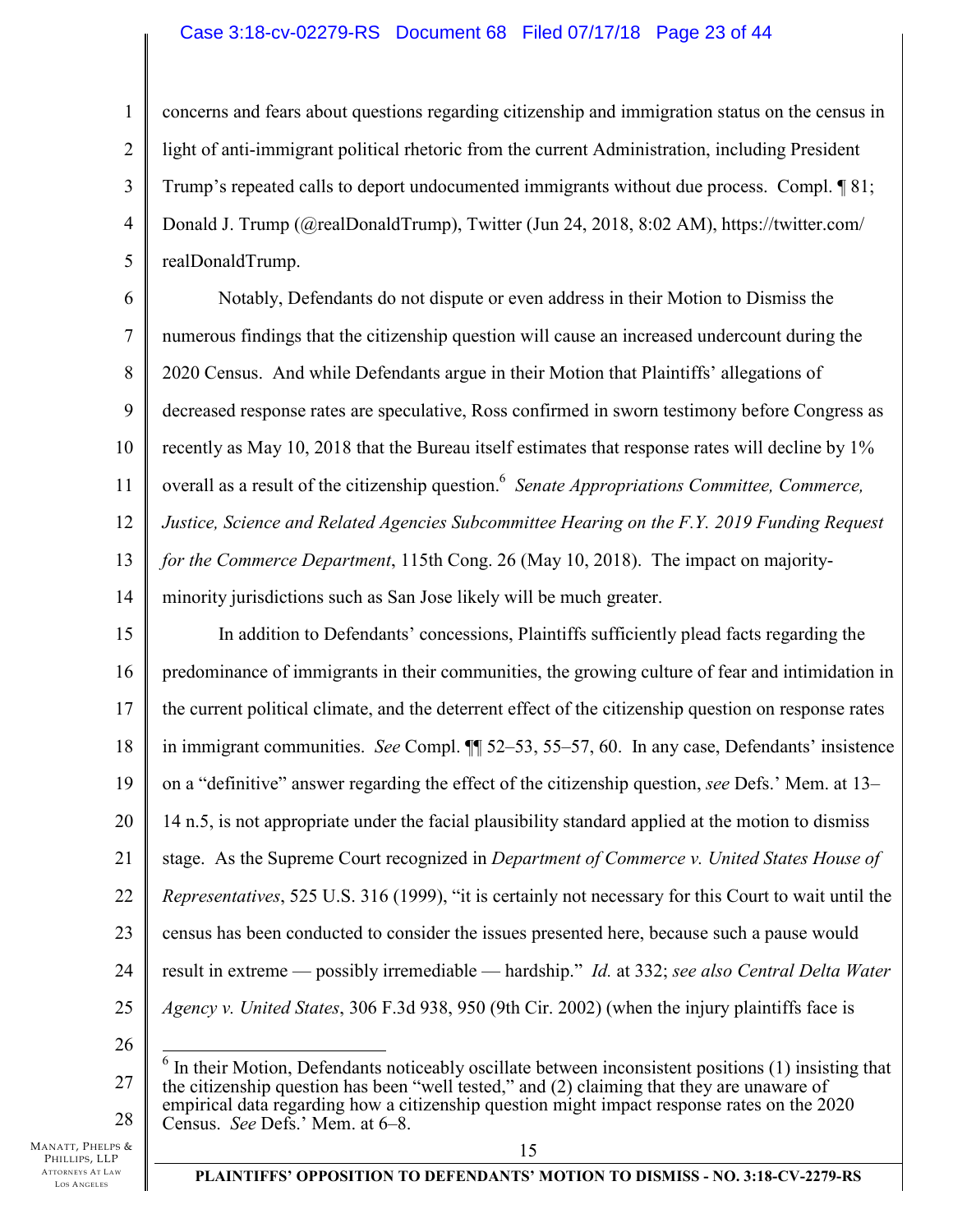### Case 3:18-cv-02279-RS Document 68 Filed 07/17/18 Page 23 of 44

1 2 3 4 5 concerns and fears about questions regarding citizenship and immigration status on the census in light of anti-immigrant political rhetoric from the current Administration, including President Trump's repeated calls to deport undocumented immigrants without due process. Compl. ¶ 81; Donald J. Trump (@realDonaldTrump), Twitter (Jun 24, 2018, 8:02 AM), https://twitter.com/ realDonaldTrump.

6 7 8 9 10 11 12 13 14 Notably, Defendants do not dispute or even address in their Motion to Dismiss the numerous findings that the citizenship question will cause an increased undercount during the 2020 Census. And while Defendants argue in their Motion that Plaintiffs' allegations of decreased response rates are speculative, Ross confirmed in sworn testimony before Congress as recently as May 10, 2018 that the Bureau itself estimates that response rates will decline by 1% overall as a result of the citizenship question.<sup>6</sup> Senate Appropriations Committee, Commerce, *Justice, Science and Related Agencies Subcommittee Hearing on the F.Y. 2019 Funding Request for the Commerce Department*, 115th Cong. 26 (May 10, 2018). The impact on majorityminority jurisdictions such as San Jose likely will be much greater.

15 16 17 18 19 20 21 22 23 24 25 In addition to Defendants' concessions, Plaintiffs sufficiently plead facts regarding the predominance of immigrants in their communities, the growing culture of fear and intimidation in the current political climate, and the deterrent effect of the citizenship question on response rates in immigrant communities. *See* Compl. ¶¶ 52–53, 55–57, 60. In any case, Defendants' insistence on a "definitive" answer regarding the effect of the citizenship question, *see* Defs.' Mem. at 13– 14 n.5, is not appropriate under the facial plausibility standard applied at the motion to dismiss stage. As the Supreme Court recognized in *Department of Commerce v. United States House of Representatives*, 525 U.S. 316 (1999), "it is certainly not necessary for this Court to wait until the census has been conducted to consider the issues presented here, because such a pause would result in extreme — possibly irremediable — hardship." *Id.* at 332; *see also Central Delta Water Agency v. United States*, 306 F.3d 938, 950 (9th Cir. 2002) (when the injury plaintiffs face is

26

27 28 <sup>6</sup> In their Motion, Defendants noticeably oscillate between inconsistent positions (1) insisting that the citizenship question has been "well tested," and (2) claiming that they are unaware of empirical data regarding how a citizenship question might impact response rates on the 2020 Census. *See* Defs.' Mem. at 6–8.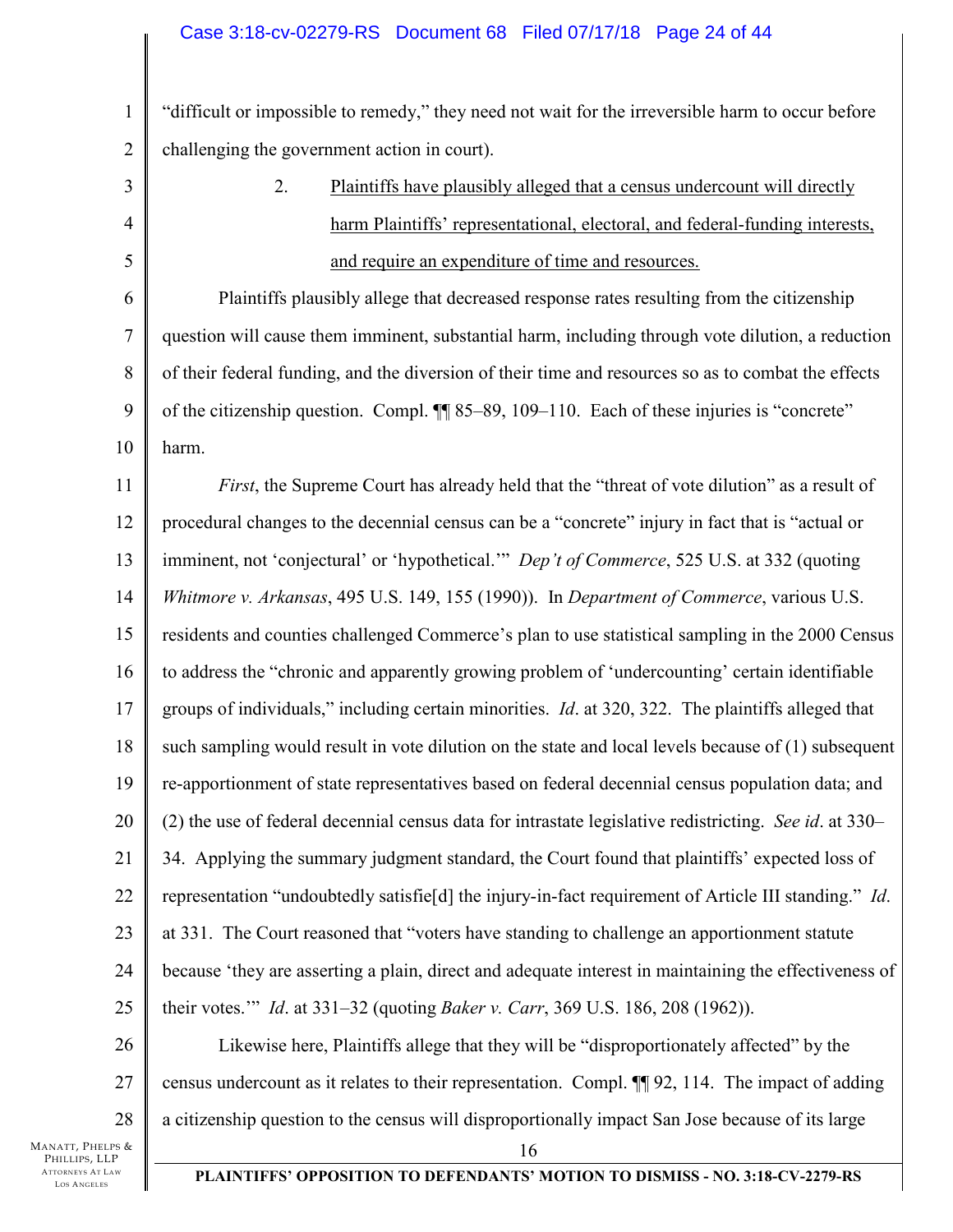1 2 "difficult or impossible to remedy," they need not wait for the irreversible harm to occur before challenging the government action in court).

3 4 5 6 7 8 9 10 2. Plaintiffs have plausibly alleged that a census undercount will directly harm Plaintiffs' representational, electoral, and federal-funding interests, and require an expenditure of time and resources. Plaintiffs plausibly allege that decreased response rates resulting from the citizenship question will cause them imminent, substantial harm, including through vote dilution, a reduction of their federal funding, and the diversion of their time and resources so as to combat the effects of the citizenship question. Compl. ¶¶ 85–89, 109–110. Each of these injuries is "concrete" harm.

11 12 13 14 15 16 17 18 19 20 21 22 23 24 25 *First*, the Supreme Court has already held that the "threat of vote dilution" as a result of procedural changes to the decennial census can be a "concrete" injury in fact that is "actual or imminent, not 'conjectural' or 'hypothetical.'" *Dep't of Commerce*, 525 U.S. at 332 (quoting *Whitmore v. Arkansas*, 495 U.S. 149, 155 (1990)). In *Department of Commerce*, various U.S. residents and counties challenged Commerce's plan to use statistical sampling in the 2000 Census to address the "chronic and apparently growing problem of 'undercounting' certain identifiable groups of individuals," including certain minorities. *Id*. at 320, 322. The plaintiffs alleged that such sampling would result in vote dilution on the state and local levels because of (1) subsequent re-apportionment of state representatives based on federal decennial census population data; and (2) the use of federal decennial census data for intrastate legislative redistricting. *See id*. at 330– 34. Applying the summary judgment standard, the Court found that plaintiffs' expected loss of representation "undoubtedly satisfie[d] the injury-in-fact requirement of Article III standing." *Id*. at 331. The Court reasoned that "voters have standing to challenge an apportionment statute because 'they are asserting a plain, direct and adequate interest in maintaining the effectiveness of their votes.'" *Id*. at 331–32 (quoting *Baker v. Carr*, 369 U.S. 186, 208 (1962)).

26 27 28 Likewise here, Plaintiffs allege that they will be "disproportionately affected" by the census undercount as it relates to their representation. Compl. ¶¶ 92, 114. The impact of adding a citizenship question to the census will disproportionally impact San Jose because of its large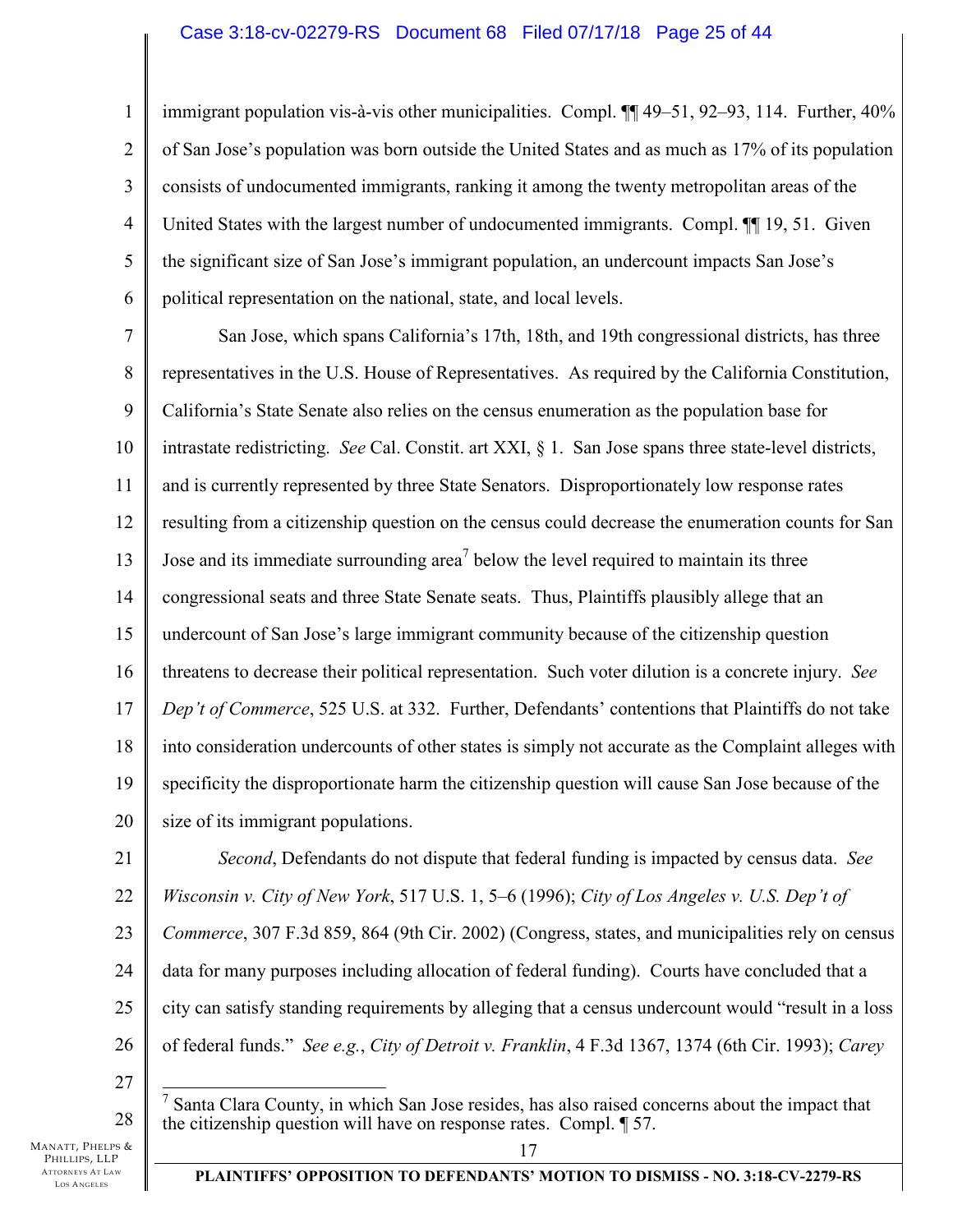### Case 3:18-cv-02279-RS Document 68 Filed 07/17/18 Page 25 of 44

1 2 3 4 5 6 immigrant population vis-à-vis other municipalities. Compl. ¶¶ 49–51, 92–93, 114. Further, 40% of San Jose's population was born outside the United States and as much as 17% of its population consists of undocumented immigrants, ranking it among the twenty metropolitan areas of the United States with the largest number of undocumented immigrants. Compl. ¶¶ 19, 51. Given the significant size of San Jose's immigrant population, an undercount impacts San Jose's political representation on the national, state, and local levels.

7 8 9 10 11 12 13 14 15 16 17 18 19 20 San Jose, which spans California's 17th, 18th, and 19th congressional districts, has three representatives in the U.S. House of Representatives. As required by the California Constitution, California's State Senate also relies on the census enumeration as the population base for intrastate redistricting. *See* Cal. Constit. art XXI, § 1. San Jose spans three state-level districts, and is currently represented by three State Senators. Disproportionately low response rates resulting from a citizenship question on the census could decrease the enumeration counts for San Jose and its immediate surrounding area<sup>7</sup> below the level required to maintain its three congressional seats and three State Senate seats. Thus, Plaintiffs plausibly allege that an undercount of San Jose's large immigrant community because of the citizenship question threatens to decrease their political representation. Such voter dilution is a concrete injury. *See Dep't of Commerce*, 525 U.S. at 332. Further, Defendants' contentions that Plaintiffs do not take into consideration undercounts of other states is simply not accurate as the Complaint alleges with specificity the disproportionate harm the citizenship question will cause San Jose because of the size of its immigrant populations.

21 22 23 24 25 26 *Second*, Defendants do not dispute that federal funding is impacted by census data. *See Wisconsin v. City of New York*, 517 U.S. 1, 5–6 (1996); *City of Los Angeles v. U.S. Dep't of Commerce*, 307 F.3d 859, 864 (9th Cir. 2002) (Congress, states, and municipalities rely on census data for many purposes including allocation of federal funding). Courts have concluded that a city can satisfy standing requirements by alleging that a census undercount would "result in a loss of federal funds." *See e.g.*, *City of Detroit v. Franklin*, 4 F.3d 1367, 1374 (6th Cir. 1993); *Carey* 

27

28

<sup>&</sup>lt;sup>7</sup> Santa Clara County, in which San Jose resides, has also raised concerns about the impact that the citizenship question will have on response rates. Compl. ¶ 57.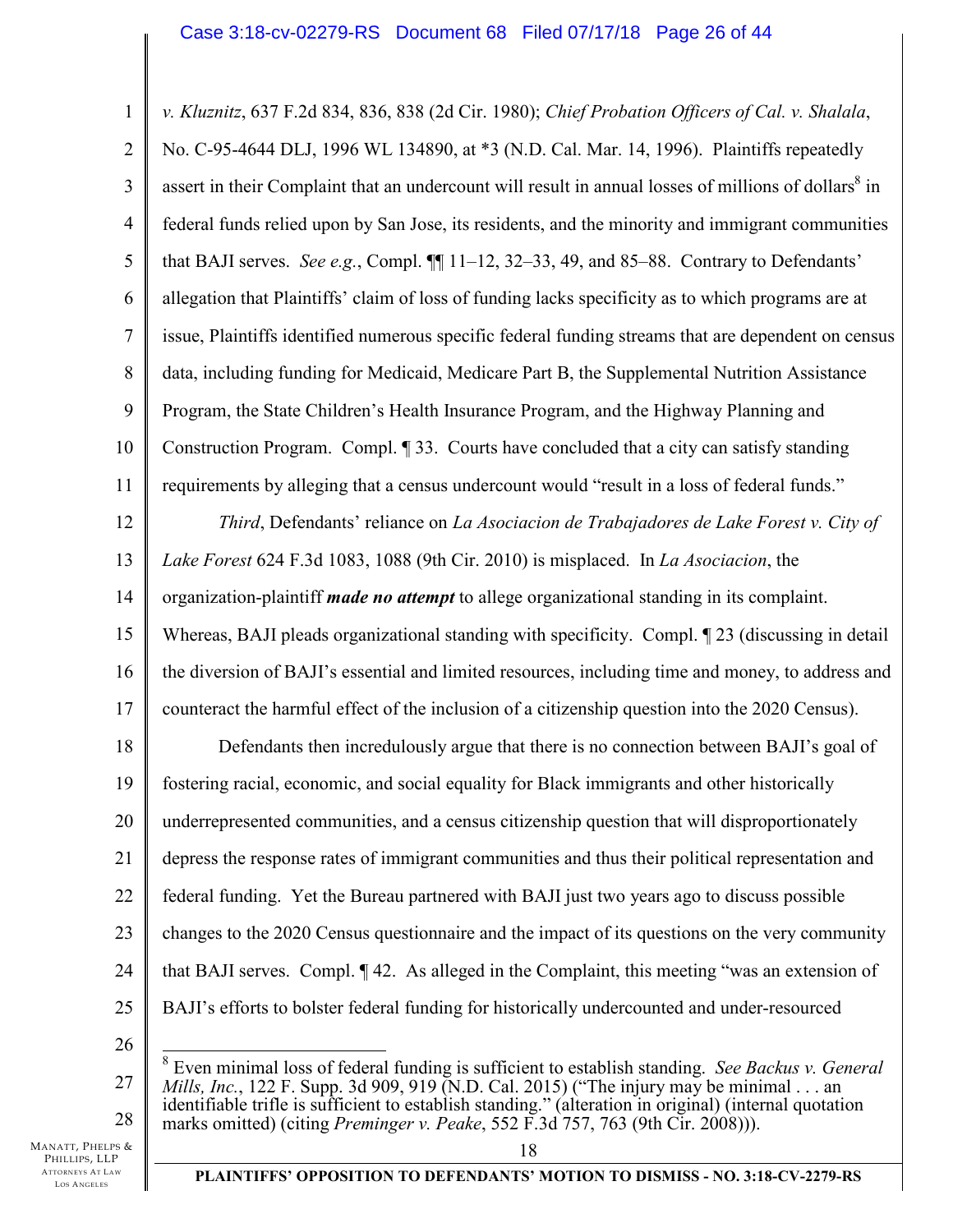1 2 3 4 5 6 7 8 9 10 11 12 13 14 15 16 17 18 19 20 21 22 23 24 25 26 *v. Kluznitz*, 637 F.2d 834, 836, 838 (2d Cir. 1980); *Chief Probation Officers of Cal. v. Shalala*, No. C-95-4644 DLJ, 1996 WL 134890, at \*3 (N.D. Cal. Mar. 14, 1996). Plaintiffs repeatedly assert in their Complaint that an undercount will result in annual losses of millions of dollars $\delta$  in federal funds relied upon by San Jose, its residents, and the minority and immigrant communities that BAJI serves. *See e.g.*, Compl.  $\P$  11–12, 32–33, 49, and 85–88. Contrary to Defendants' allegation that Plaintiffs' claim of loss of funding lacks specificity as to which programs are at issue, Plaintiffs identified numerous specific federal funding streams that are dependent on census data, including funding for Medicaid, Medicare Part B, the Supplemental Nutrition Assistance Program, the State Children's Health Insurance Program, and the Highway Planning and Construction Program. Compl. ¶ 33. Courts have concluded that a city can satisfy standing requirements by alleging that a census undercount would "result in a loss of federal funds." *Third*, Defendants' reliance on *La Asociacion de Trabajadores de Lake Forest v. City of Lake Forest* 624 F.3d 1083, 1088 (9th Cir. 2010) is misplaced. In *La Asociacion*, the organization-plaintiff *made no attempt* to allege organizational standing in its complaint. Whereas, BAJI pleads organizational standing with specificity. Compl. 123 (discussing in detail the diversion of BAJI's essential and limited resources, including time and money, to address and counteract the harmful effect of the inclusion of a citizenship question into the 2020 Census). Defendants then incredulously argue that there is no connection between BAJI's goal of fostering racial, economic, and social equality for Black immigrants and other historically underrepresented communities, and a census citizenship question that will disproportionately depress the response rates of immigrant communities and thus their political representation and federal funding. Yet the Bureau partnered with BAJI just two years ago to discuss possible changes to the 2020 Census questionnaire and the impact of its questions on the very community that BAJI serves. Compl. ¶ 42. As alleged in the Complaint, this meeting "was an extension of BAJI's efforts to bolster federal funding for historically undercounted and under-resourced  $\overline{a}$ 8 Even minimal loss of federal funding is sufficient to establish standing. *See Backus v. General* 

27 28 *Mills, Inc.*, 122 F. Supp. 3d 909, 919 (N.D. Cal. 2015) ("The injury may be minimal . . . an identifiable trifle is sufficient to establish standing." (alteration in original) (internal quotation marks omitted) (citing *Preminger v. Peake*, 552 F.3d 757, 763 (9th Cir. 2008))).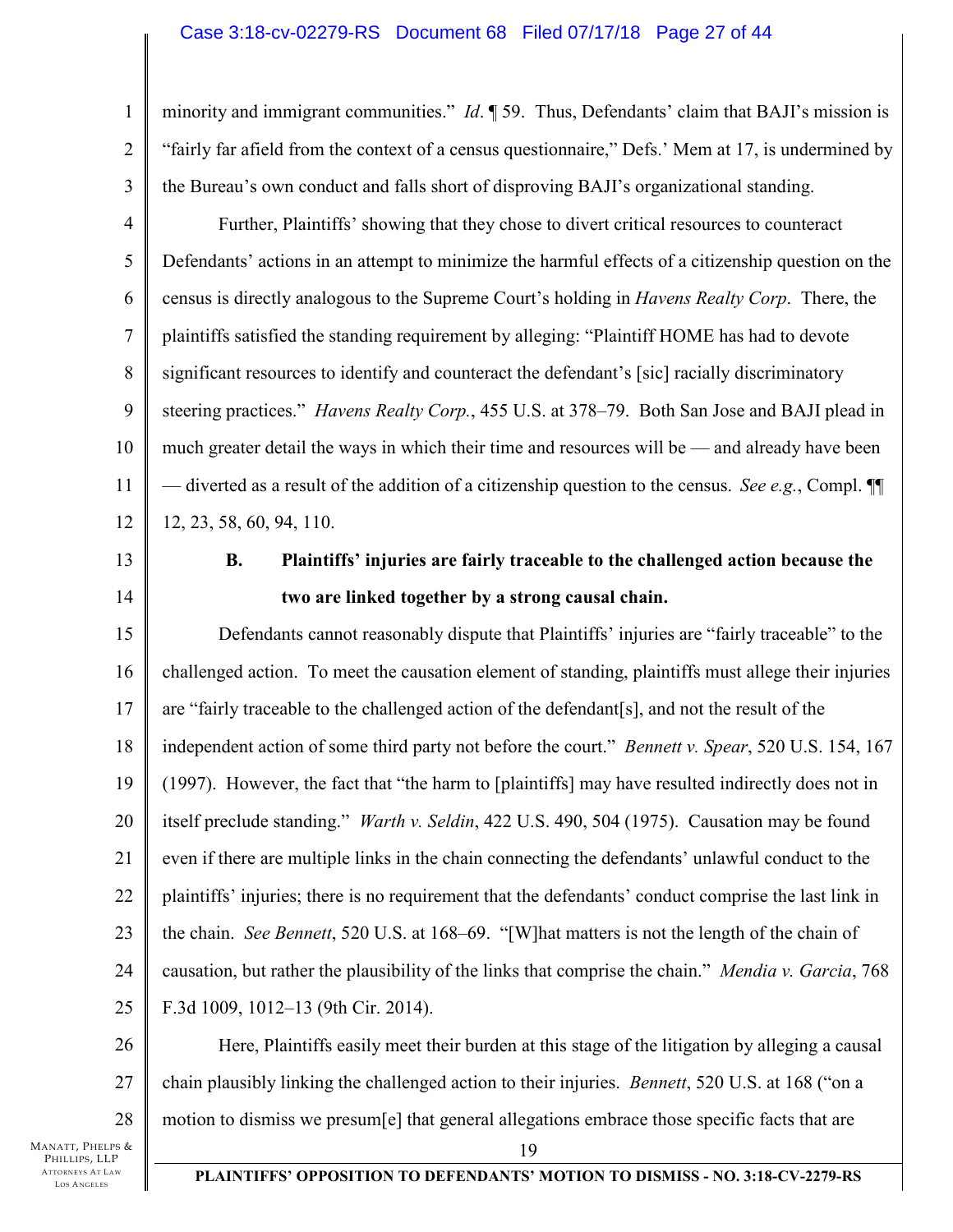### Case 3:18-cv-02279-RS Document 68 Filed 07/17/18 Page 27 of 44

minority and immigrant communities." *Id*. ¶ 59. Thus, Defendants' claim that BAJI's mission is "fairly far afield from the context of a census questionnaire," Defs.' Mem at 17, is undermined by the Bureau's own conduct and falls short of disproving BAJI's organizational standing.

4 5 6 7 8 9 10 11 12 Further, Plaintiffs' showing that they chose to divert critical resources to counteract Defendants' actions in an attempt to minimize the harmful effects of a citizenship question on the census is directly analogous to the Supreme Court's holding in *Havens Realty Corp*. There, the plaintiffs satisfied the standing requirement by alleging: "Plaintiff HOME has had to devote significant resources to identify and counteract the defendant's [sic] racially discriminatory steering practices." *Havens Realty Corp.*, 455 U.S. at 378–79. Both San Jose and BAJI plead in much greater detail the ways in which their time and resources will be — and already have been — diverted as a result of the addition of a citizenship question to the census. *See e.g.*, Compl. ¶¶ 12, 23, 58, 60, 94, 110.

13 14

1

2

3

# **B. Plaintiffs' injuries are fairly traceable to the challenged action because the two are linked together by a strong causal chain.**

15 16 17 18 19 20 21 22 23 24 25 Defendants cannot reasonably dispute that Plaintiffs' injuries are "fairly traceable" to the challenged action. To meet the causation element of standing, plaintiffs must allege their injuries are "fairly traceable to the challenged action of the defendant[s], and not the result of the independent action of some third party not before the court." *Bennett v. Spear*, 520 U.S. 154, 167 (1997). However, the fact that "the harm to [plaintiffs] may have resulted indirectly does not in itself preclude standing." *Warth v. Seldin*, 422 U.S. 490, 504 (1975). Causation may be found even if there are multiple links in the chain connecting the defendants' unlawful conduct to the plaintiffs' injuries; there is no requirement that the defendants' conduct comprise the last link in the chain. *See Bennett*, 520 U.S. at 168–69. "[W]hat matters is not the length of the chain of causation, but rather the plausibility of the links that comprise the chain." *Mendia v. Garcia*, 768 F.3d 1009, 1012–13 (9th Cir. 2014).

26 27 28 Here, Plaintiffs easily meet their burden at this stage of the litigation by alleging a causal chain plausibly linking the challenged action to their injuries. *Bennett*, 520 U.S. at 168 ("on a motion to dismiss we presum[e] that general allegations embrace those specific facts that are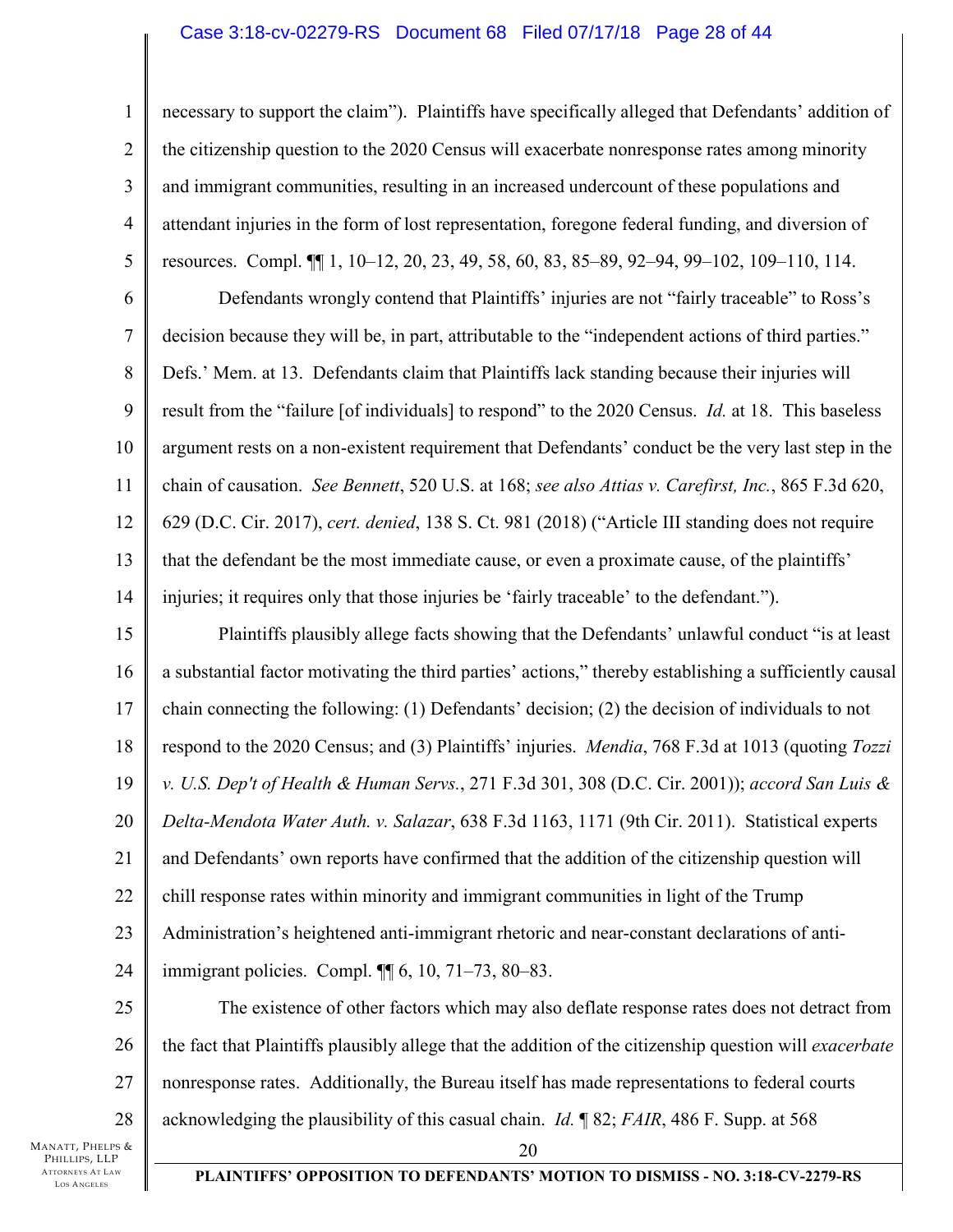#### Case 3:18-cv-02279-RS Document 68 Filed 07/17/18 Page 28 of 44

necessary to support the claim"). Plaintiffs have specifically alleged that Defendants' addition of the citizenship question to the 2020 Census will exacerbate nonresponse rates among minority and immigrant communities, resulting in an increased undercount of these populations and attendant injuries in the form of lost representation, foregone federal funding, and diversion of resources. Compl. ¶¶ 1, 10–12, 20, 23, 49, 58, 60, 83, 85–89, 92–94, 99–102, 109–110, 114.

6 7 8 9 10 11 12 13 14 Defendants wrongly contend that Plaintiffs' injuries are not "fairly traceable" to Ross's decision because they will be, in part, attributable to the "independent actions of third parties." Defs.' Mem. at 13. Defendants claim that Plaintiffs lack standing because their injuries will result from the "failure [of individuals] to respond" to the 2020 Census. *Id.* at 18. This baseless argument rests on a non-existent requirement that Defendants' conduct be the very last step in the chain of causation. *See Bennett*, 520 U.S. at 168; *see also Attias v. Carefirst, Inc.*, 865 F.3d 620, 629 (D.C. Cir. 2017), *cert. denied*, 138 S. Ct. 981 (2018) ("Article III standing does not require that the defendant be the most immediate cause, or even a proximate cause, of the plaintiffs' injuries; it requires only that those injuries be 'fairly traceable' to the defendant.").

15 16 17 18 19 20 21 22 23 24 Plaintiffs plausibly allege facts showing that the Defendants' unlawful conduct "is at least a substantial factor motivating the third parties' actions," thereby establishing a sufficiently causal chain connecting the following: (1) Defendants' decision; (2) the decision of individuals to not respond to the 2020 Census; and (3) Plaintiffs' injuries. *Mendia*, 768 F.3d at 1013 (quoting *Tozzi v. U.S. Dep't of Health & Human Servs.*, 271 F.3d 301, 308 (D.C. Cir. 2001)); *accord San Luis & Delta-Mendota Water Auth. v. Salazar*, 638 F.3d 1163, 1171 (9th Cir. 2011). Statistical experts and Defendants' own reports have confirmed that the addition of the citizenship question will chill response rates within minority and immigrant communities in light of the Trump Administration's heightened anti-immigrant rhetoric and near-constant declarations of antiimmigrant policies. Compl. ¶¶ 6, 10, 71–73, 80–83.

25 26 27 28 The existence of other factors which may also deflate response rates does not detract from the fact that Plaintiffs plausibly allege that the addition of the citizenship question will *exacerbate* nonresponse rates. Additionally, the Bureau itself has made representations to federal courts acknowledging the plausibility of this casual chain. *Id.* ¶ 82; *FAIR*, 486 F. Supp. at 568

MANATT, PHELPS & PHILLIPS, LLP ATTORNEYS AT LAW LOS A NGELES

1

2

3

4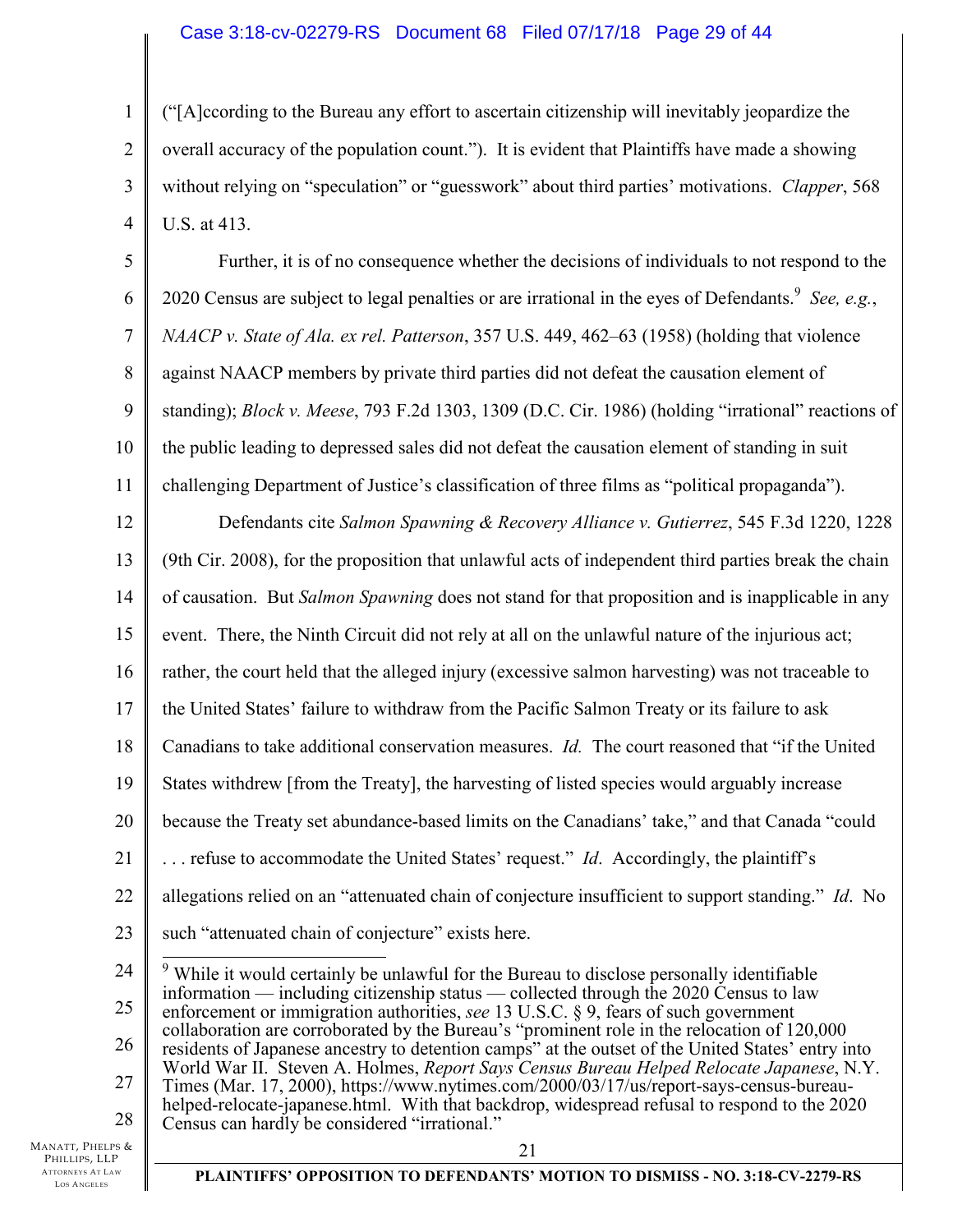# Case 3:18-cv-02279-RS Document 68 Filed 07/17/18 Page 29 of 44

("[A]ccording to the Bureau any effort to ascertain citizenship will inevitably jeopardize the overall accuracy of the population count."). It is evident that Plaintiffs have made a showing without relying on "speculation" or "guesswork" about third parties' motivations. *Clapper*, 568 U.S. at 413.

5 6 7 8 9 10 11 Further, it is of no consequence whether the decisions of individuals to not respond to the 2020 Census are subject to legal penalties or are irrational in the eyes of Defendants.<sup>9</sup> See, e.g., *NAACP v. State of Ala. ex rel. Patterson*, 357 U.S. 449, 462–63 (1958) (holding that violence against NAACP members by private third parties did not defeat the causation element of standing); *Block v. Meese*, 793 F.2d 1303, 1309 (D.C. Cir. 1986) (holding "irrational" reactions of the public leading to depressed sales did not defeat the causation element of standing in suit challenging Department of Justice's classification of three films as "political propaganda").

12 13 14 15 16 17 18 19 20 21 22 23 Defendants cite *Salmon Spawning & Recovery Alliance v. Gutierrez*, 545 F.3d 1220, 1228 (9th Cir. 2008), for the proposition that unlawful acts of independent third parties break the chain of causation. But *Salmon Spawning* does not stand for that proposition and is inapplicable in any event. There, the Ninth Circuit did not rely at all on the unlawful nature of the injurious act; rather, the court held that the alleged injury (excessive salmon harvesting) was not traceable to the United States' failure to withdraw from the Pacific Salmon Treaty or its failure to ask Canadians to take additional conservation measures. *Id.* The court reasoned that "if the United States withdrew [from the Treaty], the harvesting of listed species would arguably increase because the Treaty set abundance-based limits on the Canadians' take," and that Canada "could . . . refuse to accommodate the United States' request." *Id*. Accordingly, the plaintiff's allegations relied on an "attenuated chain of conjecture insufficient to support standing." *Id*. No such "attenuated chain of conjecture" exists here.

MANATT, PHELPS & PHILLIPS, LLP ATTORNEYS AT LAW LOS A NGELES

1

2

3

<sup>24</sup>  25 26 27 28  $\overline{\phantom{0}}$  $9$ <sup>9</sup> While it would certainly be unlawful for the Bureau to disclose personally identifiable information — including citizenship status — collected through the  $2020$  Census to law enforcement or immigration authorities, *see* 13 U.S.C. § 9, fears of such government collaboration are corroborated by the Bureau's "prominent role in the relocation of 120,000 residents of Japanese ancestry to detention camps" at the outset of the United States' entry into World War II. Steven A. Holmes, *Report Says Census Bureau Helped Relocate Japanese*, N.Y. Times (Mar. 17, 2000), https://www.nytimes.com/2000/03/17/us/report-says-census-bureauhelped-relocate-japanese.html. With that backdrop, widespread refusal to respond to the 2020 Census can hardly be considered "irrational."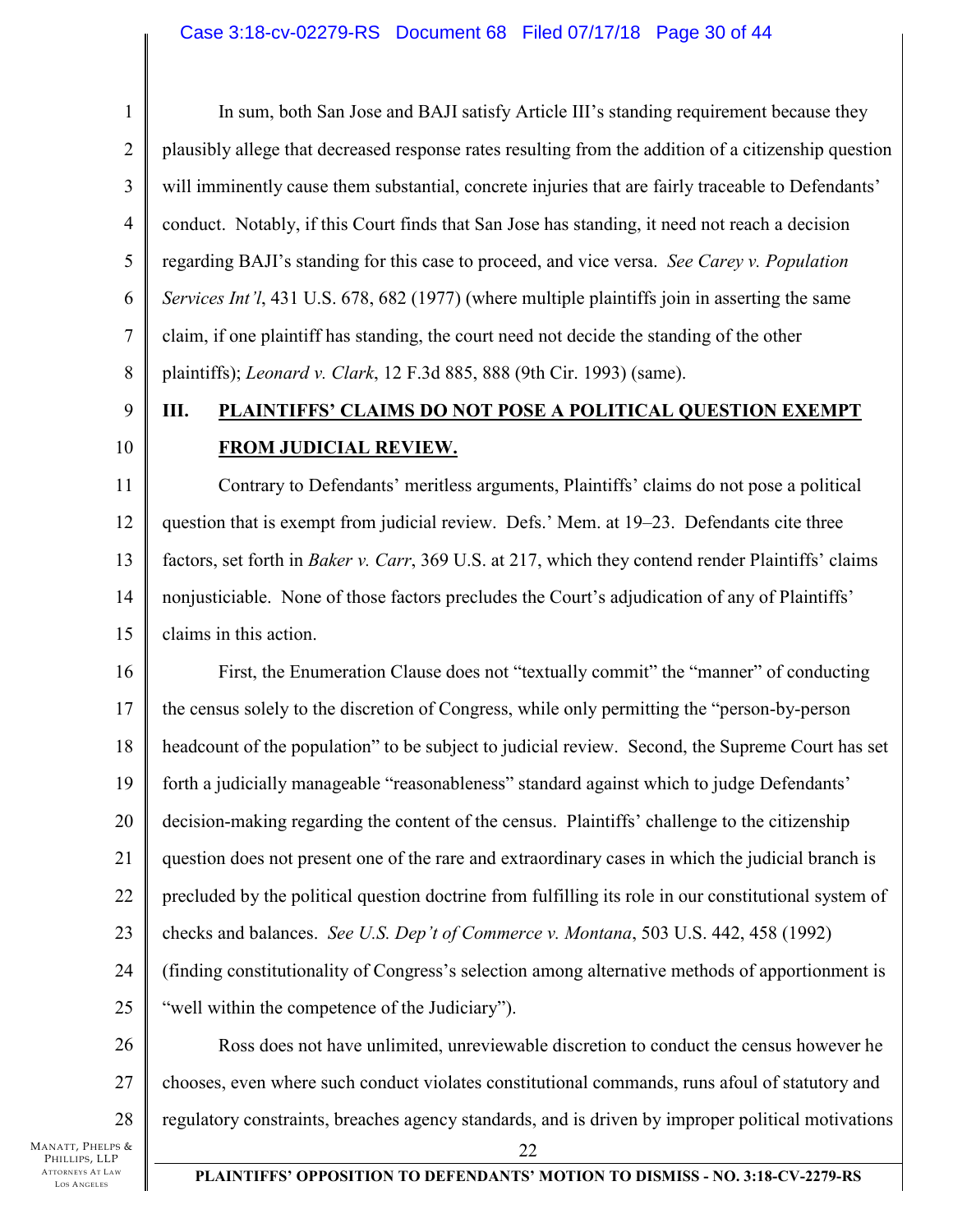# Case 3:18-cv-02279-RS Document 68 Filed 07/17/18 Page 30 of 44

1 2 3 4 5 6 7 8 In sum, both San Jose and BAJI satisfy Article III's standing requirement because they plausibly allege that decreased response rates resulting from the addition of a citizenship question will imminently cause them substantial, concrete injuries that are fairly traceable to Defendants' conduct. Notably, if this Court finds that San Jose has standing, it need not reach a decision regarding BAJI's standing for this case to proceed, and vice versa. *See Carey v. Population Services Int'l*, 431 U.S. 678, 682 (1977) (where multiple plaintiffs join in asserting the same claim, if one plaintiff has standing, the court need not decide the standing of the other plaintiffs); *Leonard v. Clark*, 12 F.3d 885, 888 (9th Cir. 1993) (same).

# **III. PLAINTIFFS' CLAIMS DO NOT POSE A POLITICAL QUESTION EXEMPT FROM JUDICIAL REVIEW.**

11 12 13 14 15 Contrary to Defendants' meritless arguments, Plaintiffs' claims do not pose a political question that is exempt from judicial review. Defs.' Mem. at 19–23. Defendants cite three factors, set forth in *Baker v. Carr*, 369 U.S. at 217, which they contend render Plaintiffs' claims nonjusticiable. None of those factors precludes the Court's adjudication of any of Plaintiffs' claims in this action.

16 17 18 19 20 21 22 23 24 25 First, the Enumeration Clause does not "textually commit" the "manner" of conducting the census solely to the discretion of Congress, while only permitting the "person-by-person headcount of the population" to be subject to judicial review. Second, the Supreme Court has set forth a judicially manageable "reasonableness" standard against which to judge Defendants' decision-making regarding the content of the census. Plaintiffs' challenge to the citizenship question does not present one of the rare and extraordinary cases in which the judicial branch is precluded by the political question doctrine from fulfilling its role in our constitutional system of checks and balances. *See U.S. Dep't of Commerce v. Montana*, 503 U.S. 442, 458 (1992) (finding constitutionality of Congress's selection among alternative methods of apportionment is "well within the competence of the Judiciary").

26 27 28 Ross does not have unlimited, unreviewable discretion to conduct the census however he chooses, even where such conduct violates constitutional commands, runs afoul of statutory and regulatory constraints, breaches agency standards, and is driven by improper political motivations

MANATT, PHELPS & PHILLIPS, LLP ATTORNEYS AT LAW LOS A NGELES

9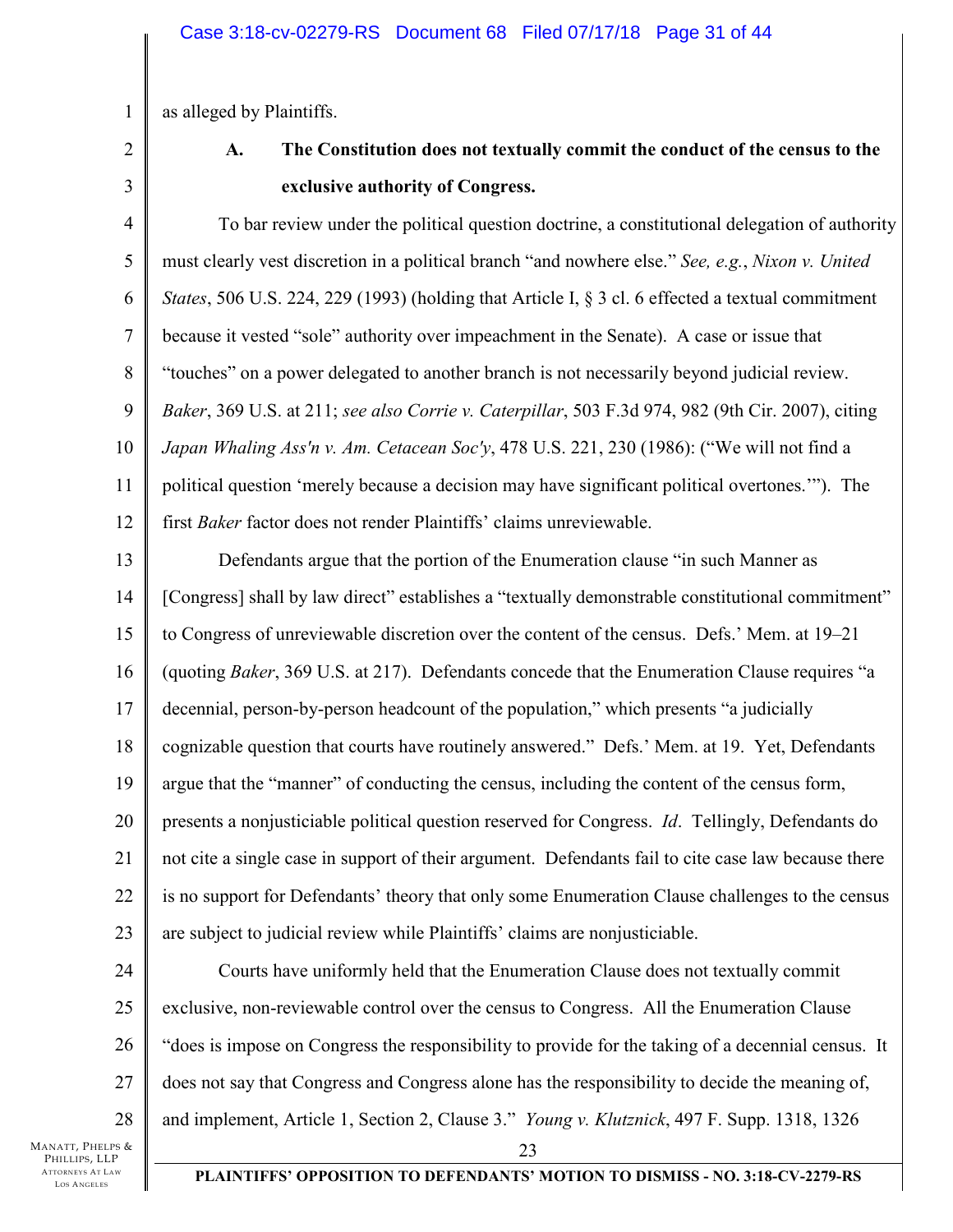as alleged by Plaintiffs.

# 2 3

1

# **A. The Constitution does not textually commit the conduct of the census to the exclusive authority of Congress.**

4 5 6 7 8 9 10 11 12 To bar review under the political question doctrine, a constitutional delegation of authority must clearly vest discretion in a political branch "and nowhere else." *See, e.g.*, *Nixon v. United States*, 506 U.S. 224, 229 (1993) (holding that Article I, § 3 cl. 6 effected a textual commitment because it vested "sole" authority over impeachment in the Senate). A case or issue that "touches" on a power delegated to another branch is not necessarily beyond judicial review. *Baker*, 369 U.S. at 211; *see also Corrie v. Caterpillar*, 503 F.3d 974, 982 (9th Cir. 2007), citing *Japan Whaling Ass'n v. Am. Cetacean Soc'y*, 478 U.S. 221, 230 (1986): ("We will not find a political question 'merely because a decision may have significant political overtones.'"). The first *Baker* factor does not render Plaintiffs' claims unreviewable.

13 14 15 16 17 18 19 20 21 22 23 Defendants argue that the portion of the Enumeration clause "in such Manner as [Congress] shall by law direct" establishes a "textually demonstrable constitutional commitment" to Congress of unreviewable discretion over the content of the census. Defs.' Mem. at 19–21 (quoting *Baker*, 369 U.S. at 217). Defendants concede that the Enumeration Clause requires "a decennial, person-by-person headcount of the population," which presents "a judicially cognizable question that courts have routinely answered." Defs.' Mem. at 19. Yet, Defendants argue that the "manner" of conducting the census, including the content of the census form, presents a nonjusticiable political question reserved for Congress. *Id*. Tellingly, Defendants do not cite a single case in support of their argument. Defendants fail to cite case law because there is no support for Defendants' theory that only some Enumeration Clause challenges to the census are subject to judicial review while Plaintiffs' claims are nonjusticiable.

24 25 26 27 28 23 Courts have uniformly held that the Enumeration Clause does not textually commit exclusive, non-reviewable control over the census to Congress. All the Enumeration Clause "does is impose on Congress the responsibility to provide for the taking of a decennial census. It does not say that Congress and Congress alone has the responsibility to decide the meaning of, and implement, Article 1, Section 2, Clause 3." *Young v. Klutznick*, 497 F. Supp. 1318, 1326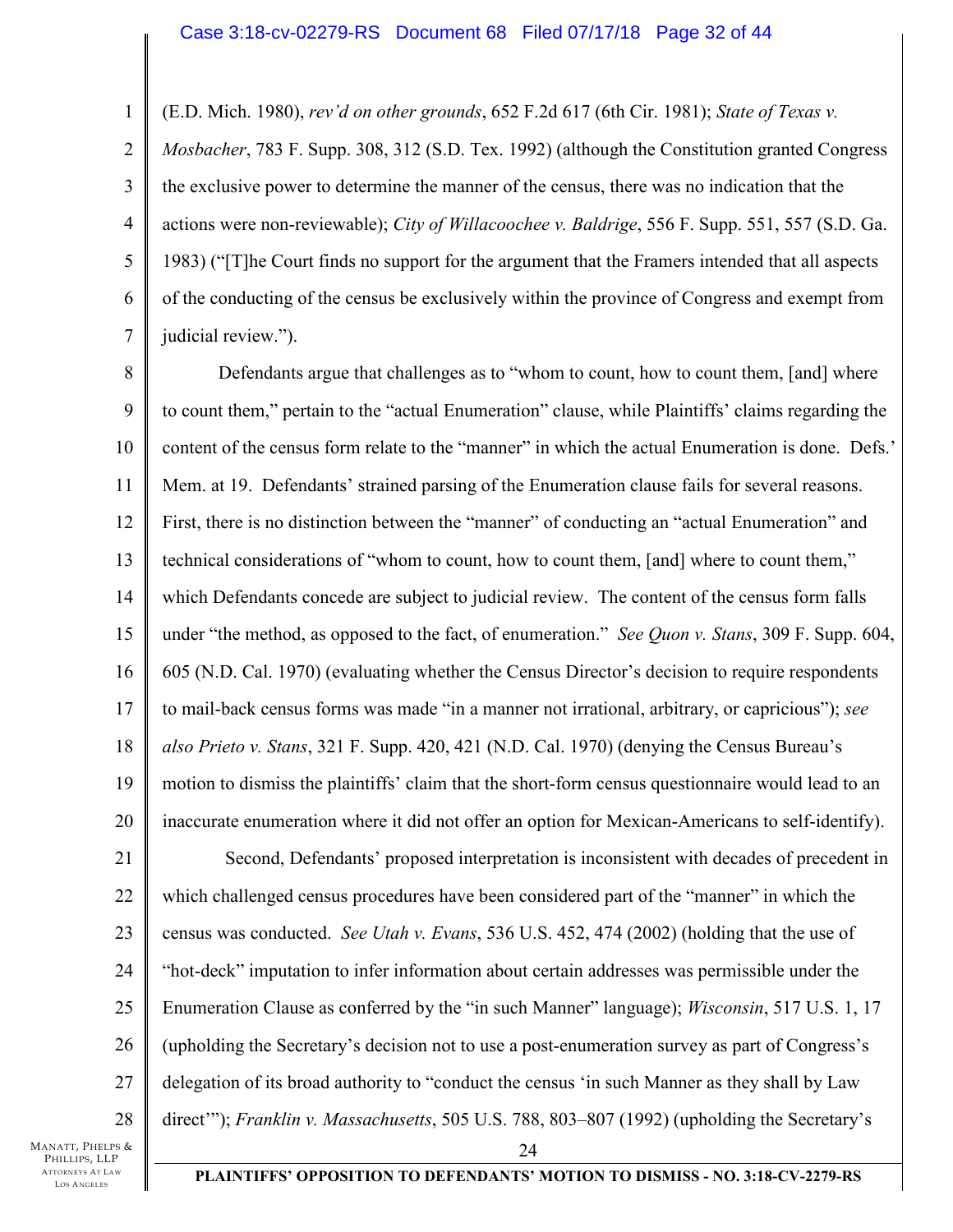#### Case 3:18-cv-02279-RS Document 68 Filed 07/17/18 Page 32 of 44

(E.D. Mich. 1980), *rev'd on other grounds*, 652 F.2d 617 (6th Cir. 1981); *State of Texas v.* 

2 3 4 5 6 7 *Mosbacher*, 783 F. Supp. 308, 312 (S.D. Tex. 1992) (although the Constitution granted Congress the exclusive power to determine the manner of the census, there was no indication that the actions were non-reviewable); *City of Willacoochee v. Baldrige*, 556 F. Supp. 551, 557 (S.D. Ga. 1983) ("[T]he Court finds no support for the argument that the Framers intended that all aspects of the conducting of the census be exclusively within the province of Congress and exempt from judicial review.").

8 9 10 11 12 13 14 15 16 17 18 19 20 Defendants argue that challenges as to "whom to count, how to count them, [and] where to count them," pertain to the "actual Enumeration" clause, while Plaintiffs' claims regarding the content of the census form relate to the "manner" in which the actual Enumeration is done. Defs.' Mem. at 19. Defendants' strained parsing of the Enumeration clause fails for several reasons. First, there is no distinction between the "manner" of conducting an "actual Enumeration" and technical considerations of "whom to count, how to count them, [and] where to count them," which Defendants concede are subject to judicial review. The content of the census form falls under "the method, as opposed to the fact, of enumeration." *See Quon v. Stans*, 309 F. Supp. 604, 605 (N.D. Cal. 1970) (evaluating whether the Census Director's decision to require respondents to mail-back census forms was made "in a manner not irrational, arbitrary, or capricious"); *see also Prieto v. Stans*, 321 F. Supp. 420, 421 (N.D. Cal. 1970) (denying the Census Bureau's motion to dismiss the plaintiffs' claim that the short-form census questionnaire would lead to an inaccurate enumeration where it did not offer an option for Mexican-Americans to self-identify).

21 22 23 24 25 26 27 28 24 Second, Defendants' proposed interpretation is inconsistent with decades of precedent in which challenged census procedures have been considered part of the "manner" in which the census was conducted. *See Utah v. Evans*, 536 U.S. 452, 474 (2002) (holding that the use of "hot-deck" imputation to infer information about certain addresses was permissible under the Enumeration Clause as conferred by the "in such Manner" language); *Wisconsin*, 517 U.S. 1, 17 (upholding the Secretary's decision not to use a post-enumeration survey as part of Congress's delegation of its broad authority to "conduct the census 'in such Manner as they shall by Law direct'"); *Franklin v. Massachusetts*, 505 U.S. 788, 803–807 (1992) (upholding the Secretary's

MANATT, PHELPS & PHILLIPS, LLP ATTORNEYS AT LAW LOS A NGELES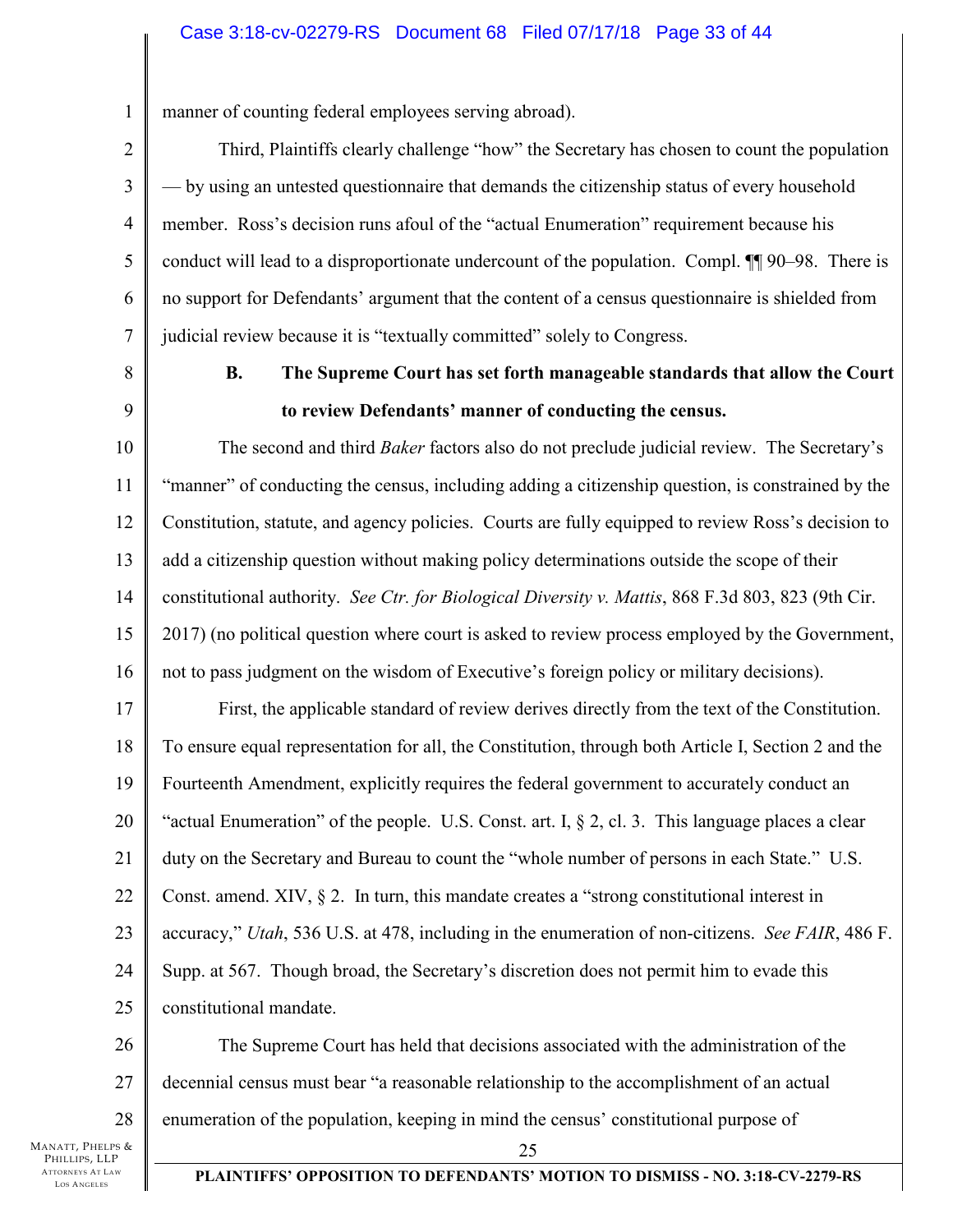### Case 3:18-cv-02279-RS Document 68 Filed 07/17/18 Page 33 of 44

1 manner of counting federal employees serving abroad).

Third, Plaintiffs clearly challenge "how" the Secretary has chosen to count the population — by using an untested questionnaire that demands the citizenship status of every household member. Ross's decision runs afoul of the "actual Enumeration" requirement because his conduct will lead to a disproportionate undercount of the population. Compl. ¶¶ 90–98. There is no support for Defendants' argument that the content of a census questionnaire is shielded from judicial review because it is "textually committed" solely to Congress.

8

9

2

3

4

5

6

7

# **B. The Supreme Court has set forth manageable standards that allow the Court to review Defendants' manner of conducting the census.**

10 11 12 13 14 15 16 The second and third *Baker* factors also do not preclude judicial review. The Secretary's "manner" of conducting the census, including adding a citizenship question, is constrained by the Constitution, statute, and agency policies. Courts are fully equipped to review Ross's decision to add a citizenship question without making policy determinations outside the scope of their constitutional authority. *See Ctr. for Biological Diversity v. Mattis*, 868 F.3d 803, 823 (9th Cir. 2017) (no political question where court is asked to review process employed by the Government, not to pass judgment on the wisdom of Executive's foreign policy or military decisions).

17 18 19 20 21 22 23 24 25 First, the applicable standard of review derives directly from the text of the Constitution. To ensure equal representation for all, the Constitution, through both Article I, Section 2 and the Fourteenth Amendment, explicitly requires the federal government to accurately conduct an "actual Enumeration" of the people. U.S. Const. art. I, § 2, cl. 3. This language places a clear duty on the Secretary and Bureau to count the "whole number of persons in each State." U.S. Const. amend. XIV, § 2. In turn, this mandate creates a "strong constitutional interest in accuracy," *Utah*, 536 U.S. at 478, including in the enumeration of non-citizens. *See FAIR*, 486 F. Supp. at 567. Though broad, the Secretary's discretion does not permit him to evade this constitutional mandate.

26 27 28 The Supreme Court has held that decisions associated with the administration of the decennial census must bear "a reasonable relationship to the accomplishment of an actual enumeration of the population, keeping in mind the census' constitutional purpose of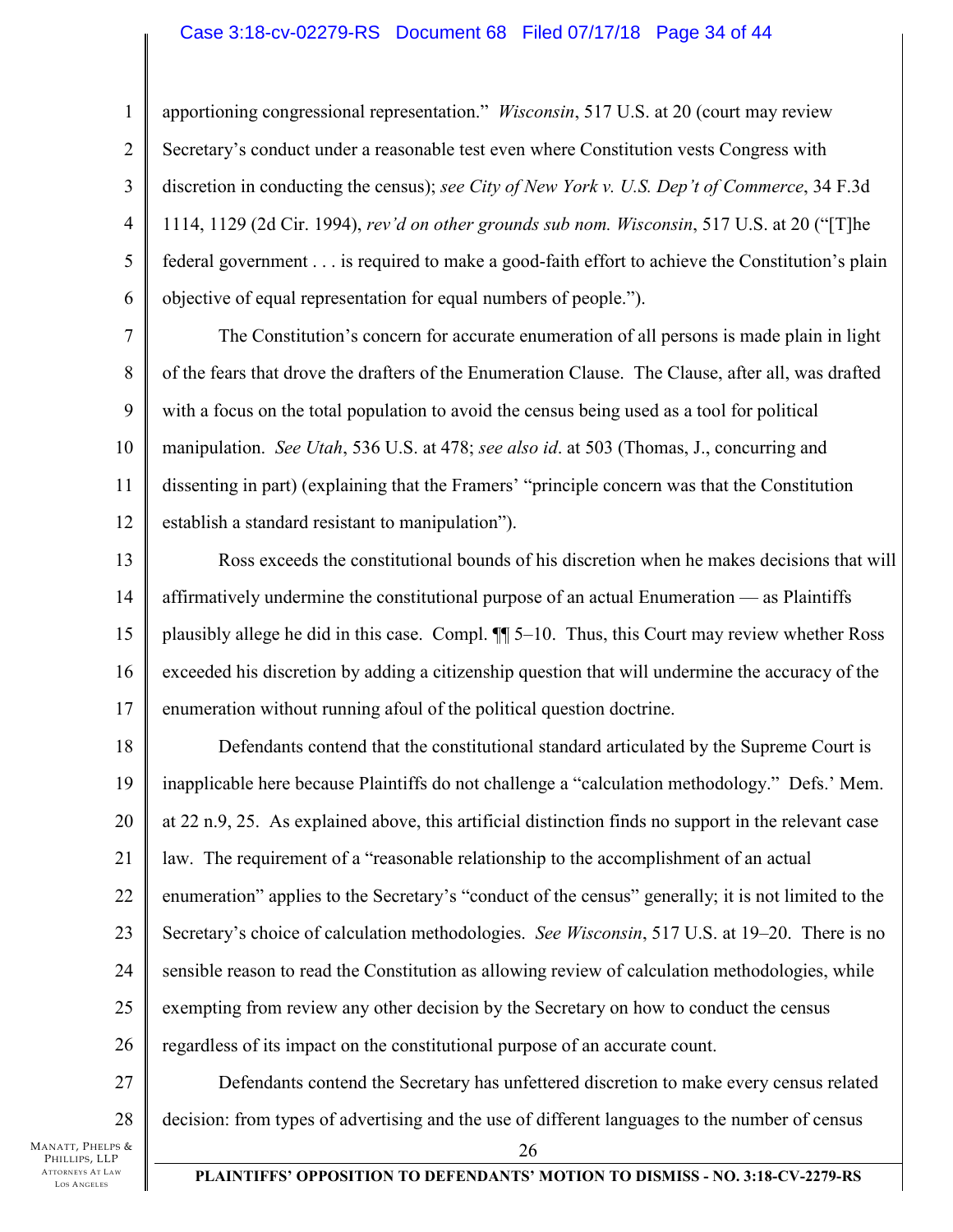### Case 3:18-cv-02279-RS Document 68 Filed 07/17/18 Page 34 of 44

4 apportioning congressional representation." *Wisconsin*, 517 U.S. at 20 (court may review Secretary's conduct under a reasonable test even where Constitution vests Congress with discretion in conducting the census); *see City of New York v. U.S. Dep't of Commerce*, 34 F.3d 1114, 1129 (2d Cir. 1994), *rev'd on other grounds sub nom. Wisconsin*, 517 U.S. at 20 ("[T]he federal government . . . is required to make a good-faith effort to achieve the Constitution's plain objective of equal representation for equal numbers of people.").

7 8 9 10 11 12 The Constitution's concern for accurate enumeration of all persons is made plain in light of the fears that drove the drafters of the Enumeration Clause. The Clause, after all, was drafted with a focus on the total population to avoid the census being used as a tool for political manipulation. *See Utah*, 536 U.S. at 478; *see also id*. at 503 (Thomas, J., concurring and dissenting in part) (explaining that the Framers' "principle concern was that the Constitution establish a standard resistant to manipulation").

13 14 15 16 17 Ross exceeds the constitutional bounds of his discretion when he makes decisions that will affirmatively undermine the constitutional purpose of an actual Enumeration — as Plaintiffs plausibly allege he did in this case. Compl. ¶¶ 5–10. Thus, this Court may review whether Ross exceeded his discretion by adding a citizenship question that will undermine the accuracy of the enumeration without running afoul of the political question doctrine.

18 19 20 21 22 23 24 25 26 Defendants contend that the constitutional standard articulated by the Supreme Court is inapplicable here because Plaintiffs do not challenge a "calculation methodology." Defs.' Mem. at 22 n.9, 25. As explained above, this artificial distinction finds no support in the relevant case law. The requirement of a "reasonable relationship to the accomplishment of an actual enumeration" applies to the Secretary's "conduct of the census" generally; it is not limited to the Secretary's choice of calculation methodologies. *See Wisconsin*, 517 U.S. at 19–20. There is no sensible reason to read the Constitution as allowing review of calculation methodologies, while exempting from review any other decision by the Secretary on how to conduct the census regardless of its impact on the constitutional purpose of an accurate count.

27 28 Defendants contend the Secretary has unfettered discretion to make every census related decision: from types of advertising and the use of different languages to the number of census

MANATT, PHELPS & PHILLIPS, LLP ATTORNEYS AT LAW LOS A NGELES

1

2

3

5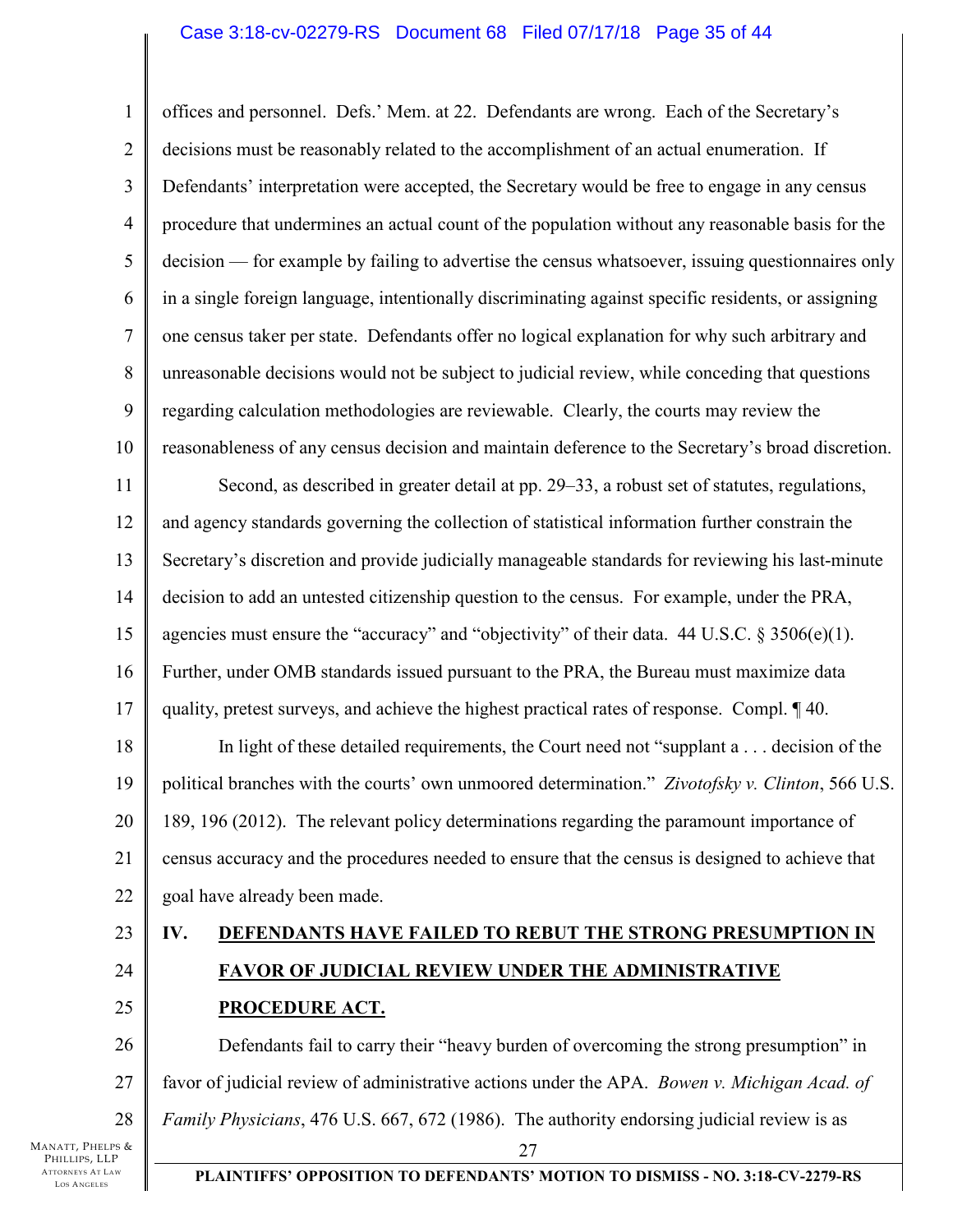### Case 3:18-cv-02279-RS Document 68 Filed 07/17/18 Page 35 of 44

1 2 3 4 5 6 7 8 9 10 11 12 13 14 15 16 17 18 19 20 21 22 23 24 25 offices and personnel. Defs.' Mem. at 22. Defendants are wrong. Each of the Secretary's decisions must be reasonably related to the accomplishment of an actual enumeration. If Defendants' interpretation were accepted, the Secretary would be free to engage in any census procedure that undermines an actual count of the population without any reasonable basis for the decision — for example by failing to advertise the census whatsoever, issuing questionnaires only in a single foreign language, intentionally discriminating against specific residents, or assigning one census taker per state. Defendants offer no logical explanation for why such arbitrary and unreasonable decisions would not be subject to judicial review, while conceding that questions regarding calculation methodologies are reviewable. Clearly, the courts may review the reasonableness of any census decision and maintain deference to the Secretary's broad discretion. Second, as described in greater detail at pp. 29–33, a robust set of statutes, regulations, and agency standards governing the collection of statistical information further constrain the Secretary's discretion and provide judicially manageable standards for reviewing his last-minute decision to add an untested citizenship question to the census. For example, under the PRA, agencies must ensure the "accuracy" and "objectivity" of their data.  $44 \text{ U.S.C.} \$   $3506(e)(1)$ . Further, under OMB standards issued pursuant to the PRA, the Bureau must maximize data quality, pretest surveys, and achieve the highest practical rates of response. Compl. ¶ 40. In light of these detailed requirements, the Court need not "supplant a . . . decision of the political branches with the courts' own unmoored determination." *Zivotofsky v. Clinton*, 566 U.S. 189, 196 (2012). The relevant policy determinations regarding the paramount importance of census accuracy and the procedures needed to ensure that the census is designed to achieve that goal have already been made. **IV. DEFENDANTS HAVE FAILED TO REBUT THE STRONG PRESUMPTION IN FAVOR OF JUDICIAL REVIEW UNDER THE ADMINISTRATIVE PROCEDURE ACT.** 

26 27 28 27 Defendants fail to carry their "heavy burden of overcoming the strong presumption" in favor of judicial review of administrative actions under the APA. *Bowen v. Michigan Acad. of Family Physicians*, 476 U.S. 667, 672 (1986). The authority endorsing judicial review is as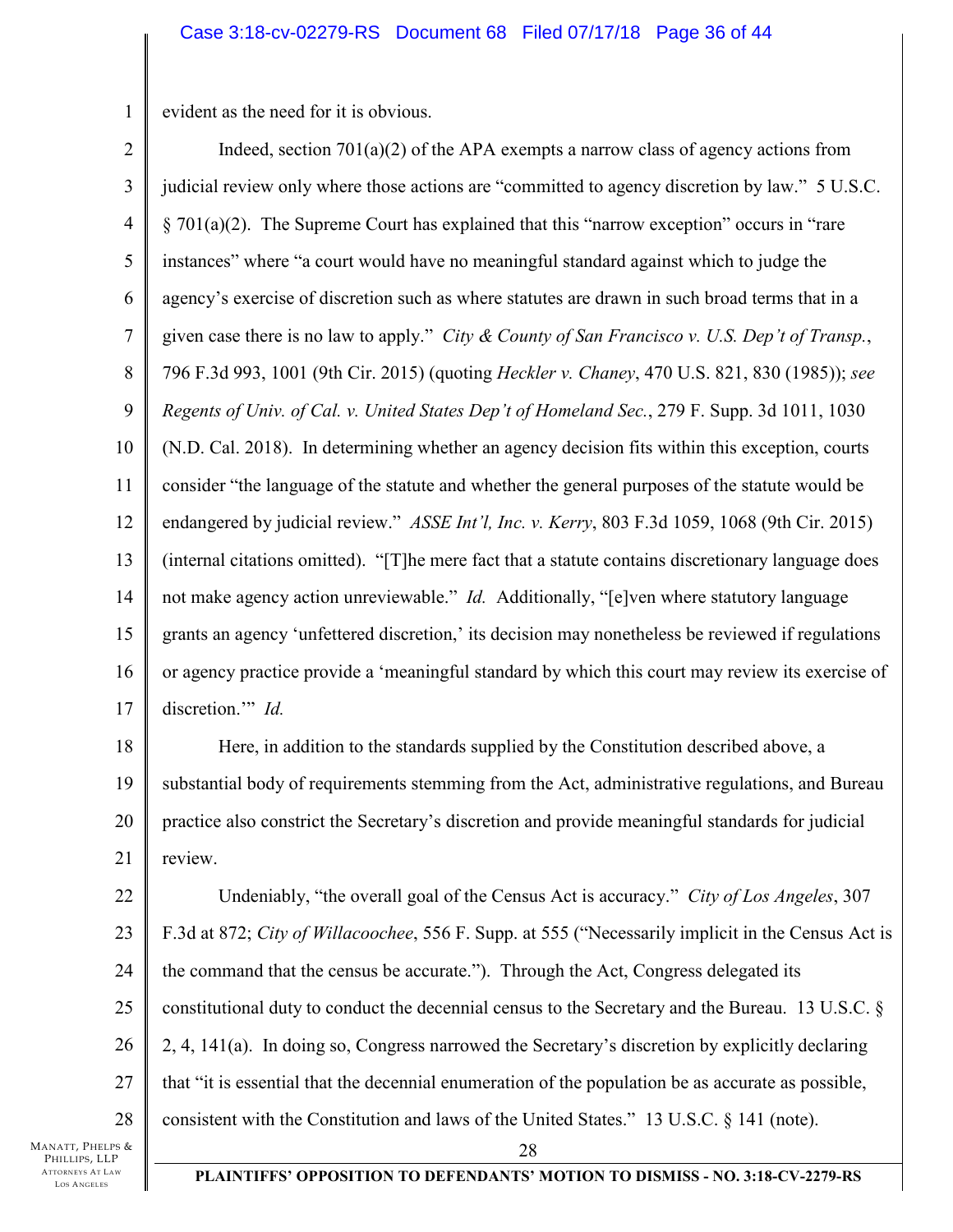1 evident as the need for it is obvious.

2 3 4 5 6 7 8 9 10 11 12 13 14 15 16 17 18 Indeed, section  $701(a)(2)$  of the APA exempts a narrow class of agency actions from judicial review only where those actions are "committed to agency discretion by law." 5 U.S.C. § 701(a)(2). The Supreme Court has explained that this "narrow exception" occurs in "rare instances" where "a court would have no meaningful standard against which to judge the agency's exercise of discretion such as where statutes are drawn in such broad terms that in a given case there is no law to apply." *City & County of San Francisco v. U.S. Dep't of Transp.*, 796 F.3d 993, 1001 (9th Cir. 2015) (quoting *Heckler v. Chaney*, 470 U.S. 821, 830 (1985)); *see Regents of Univ. of Cal. v. United States Dep't of Homeland Sec.*, 279 F. Supp. 3d 1011, 1030 (N.D. Cal. 2018). In determining whether an agency decision fits within this exception, courts consider "the language of the statute and whether the general purposes of the statute would be endangered by judicial review." *ASSE Int'l, Inc. v. Kerry*, 803 F.3d 1059, 1068 (9th Cir. 2015) (internal citations omitted). "[T]he mere fact that a statute contains discretionary language does not make agency action unreviewable." *Id.* Additionally, "[e]ven where statutory language grants an agency 'unfettered discretion,' its decision may nonetheless be reviewed if regulations or agency practice provide a 'meaningful standard by which this court may review its exercise of discretion." *Id.* 

19 20 21 Here, in addition to the standards supplied by the Constitution described above, a substantial body of requirements stemming from the Act, administrative regulations, and Bureau practice also constrict the Secretary's discretion and provide meaningful standards for judicial review.

22 23 24 25 26 27 28 Undeniably, "the overall goal of the Census Act is accuracy." *City of Los Angeles*, 307 F.3d at 872; *City of Willacoochee*, 556 F. Supp. at 555 ("Necessarily implicit in the Census Act is the command that the census be accurate."). Through the Act, Congress delegated its constitutional duty to conduct the decennial census to the Secretary and the Bureau. 13 U.S.C. § 2, 4, 141(a). In doing so, Congress narrowed the Secretary's discretion by explicitly declaring that "it is essential that the decennial enumeration of the population be as accurate as possible, consistent with the Constitution and laws of the United States." 13 U.S.C. § 141 (note).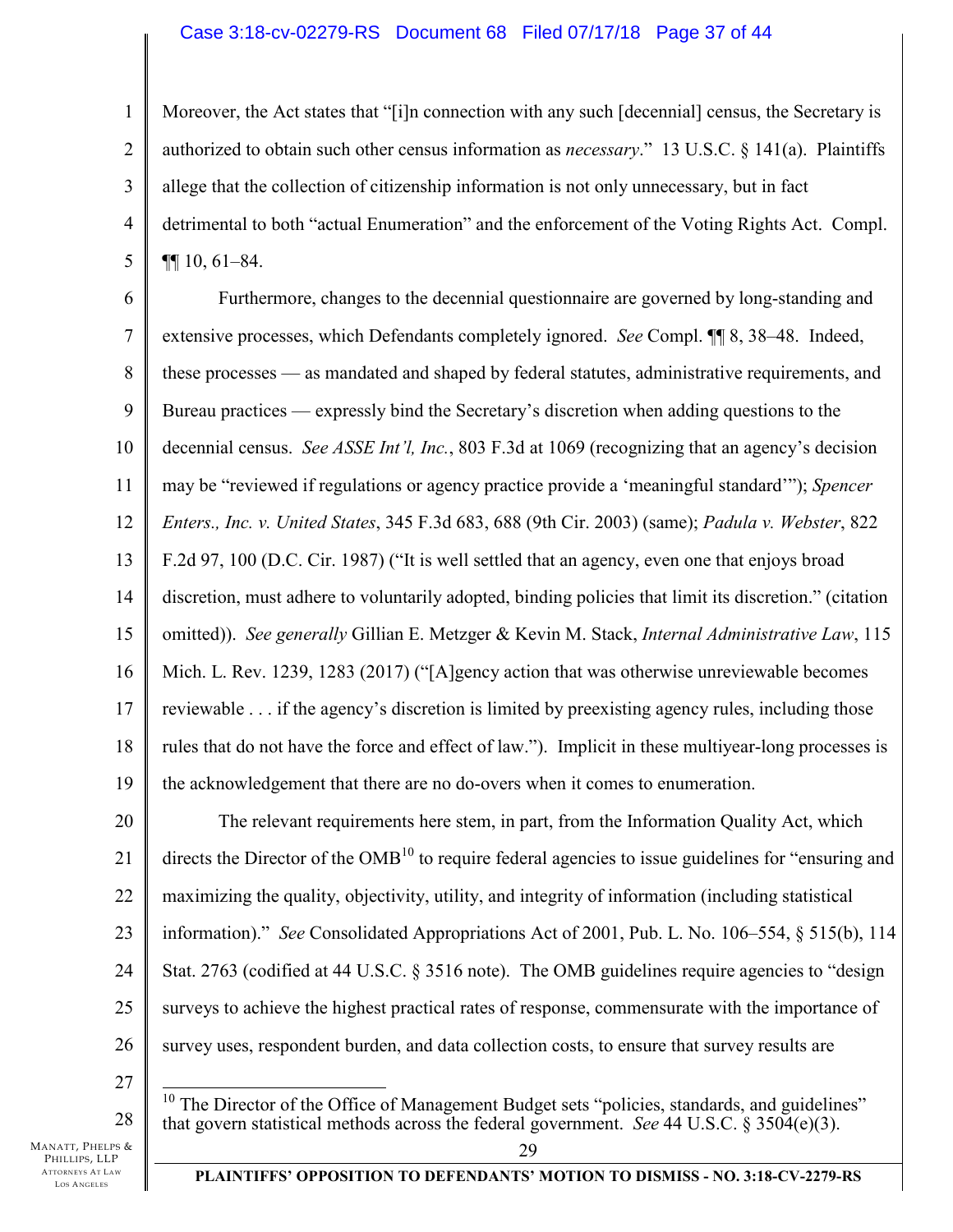### Case 3:18-cv-02279-RS Document 68 Filed 07/17/18 Page 37 of 44

2 3 4 5 Moreover, the Act states that "[i]n connection with any such [decennial] census, the Secretary is authorized to obtain such other census information as *necessary*." 13 U.S.C. § 141(a). Plaintiffs allege that the collection of citizenship information is not only unnecessary, but in fact detrimental to both "actual Enumeration" and the enforcement of the Voting Rights Act. Compl. ¶¶ 10, 61–84.

6 7 8 9 10 11 12 13 14 15 16 17 18 19 Furthermore, changes to the decennial questionnaire are governed by long-standing and extensive processes, which Defendants completely ignored. *See* Compl. ¶¶ 8, 38–48. Indeed, these processes — as mandated and shaped by federal statutes, administrative requirements, and Bureau practices — expressly bind the Secretary's discretion when adding questions to the decennial census. *See ASSE Int'l, Inc.*, 803 F.3d at 1069 (recognizing that an agency's decision may be "reviewed if regulations or agency practice provide a 'meaningful standard'"); *Spencer Enters., Inc. v. United States*, 345 F.3d 683, 688 (9th Cir. 2003) (same); *Padula v. Webster*, 822 F.2d 97, 100 (D.C. Cir. 1987) ("It is well settled that an agency, even one that enjoys broad discretion, must adhere to voluntarily adopted, binding policies that limit its discretion." (citation omitted)). *See generally* Gillian E. Metzger & Kevin M. Stack, *Internal Administrative Law*, 115 Mich. L. Rev. 1239, 1283 (2017) ("[A]gency action that was otherwise unreviewable becomes reviewable . . . if the agency's discretion is limited by preexisting agency rules, including those rules that do not have the force and effect of law."). Implicit in these multiyear-long processes is the acknowledgement that there are no do-overs when it comes to enumeration.

20 21 22 23 24 25 26 The relevant requirements here stem, in part, from the Information Quality Act, which directs the Director of the  $OMB<sup>10</sup>$  to require federal agencies to issue guidelines for "ensuring and maximizing the quality, objectivity, utility, and integrity of information (including statistical information)." *See* Consolidated Appropriations Act of 2001, Pub. L. No. 106–554, § 515(b), 114 Stat. 2763 (codified at 44 U.S.C. § 3516 note). The OMB guidelines require agencies to "design surveys to achieve the highest practical rates of response, commensurate with the importance of survey uses, respondent burden, and data collection costs, to ensure that survey results are

27

28

1

 $\overline{a}$  $10$  The Director of the Office of Management Budget sets "policies, standards, and guidelines" that govern statistical methods across the federal government. *See* 44 U.S.C. § 3504(e)(3).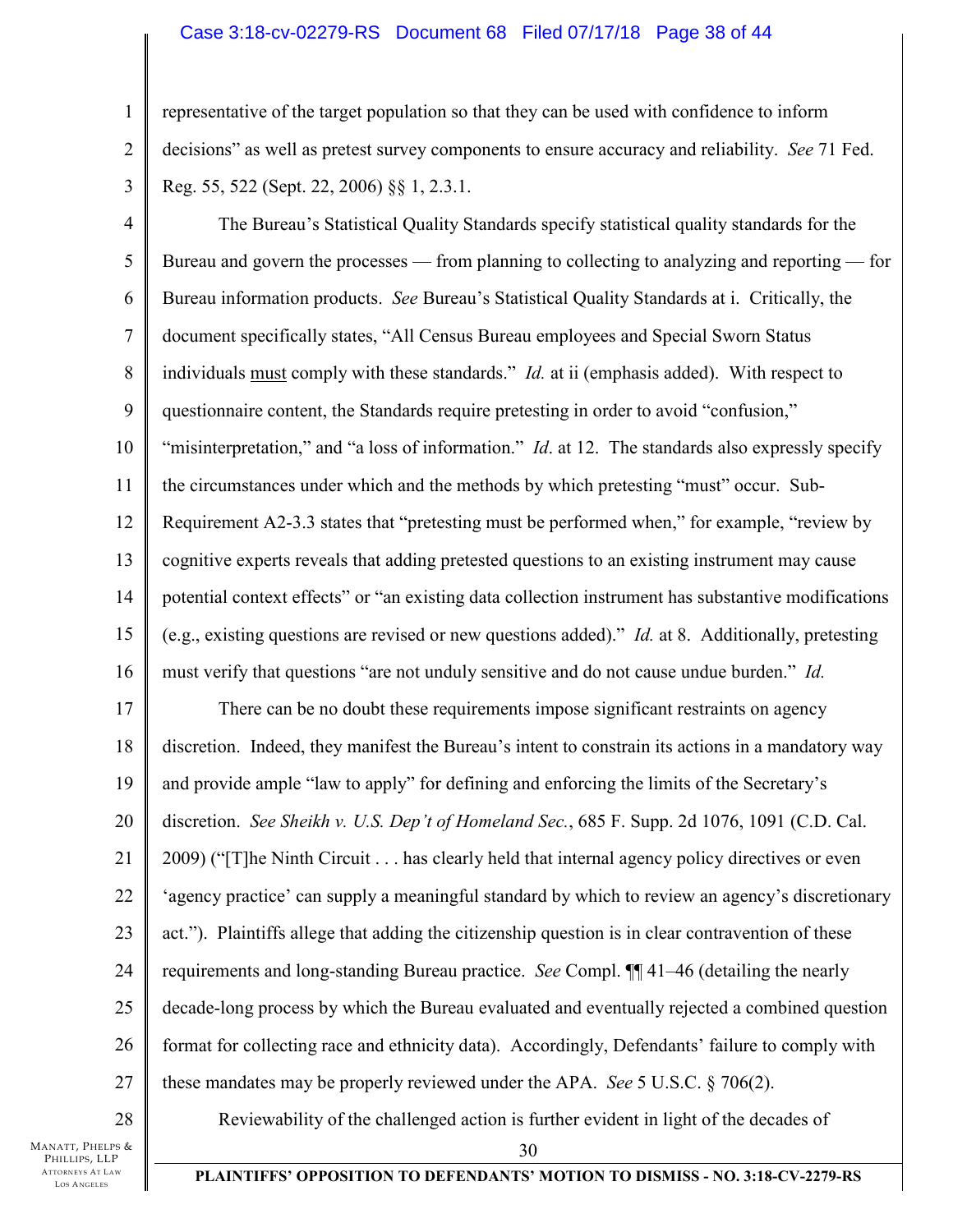### Case 3:18-cv-02279-RS Document 68 Filed 07/17/18 Page 38 of 44

1 2 representative of the target population so that they can be used with confidence to inform decisions" as well as pretest survey components to ensure accuracy and reliability. *See* 71 Fed. Reg. 55, 522 (Sept. 22, 2006) §§ 1, 2.3.1.

3

4 5 6 7 8 9 10 11 12 13 14 15 16 The Bureau's Statistical Quality Standards specify statistical quality standards for the Bureau and govern the processes — from planning to collecting to analyzing and reporting — for Bureau information products. *See* Bureau's Statistical Quality Standards at i. Critically, the document specifically states, "All Census Bureau employees and Special Sworn Status individuals must comply with these standards." *Id.* at ii (emphasis added). With respect to questionnaire content, the Standards require pretesting in order to avoid "confusion," "misinterpretation," and "a loss of information." *Id*. at 12. The standards also expressly specify the circumstances under which and the methods by which pretesting "must" occur. Sub-Requirement A2-3.3 states that "pretesting must be performed when," for example, "review by cognitive experts reveals that adding pretested questions to an existing instrument may cause potential context effects" or "an existing data collection instrument has substantive modifications (e.g., existing questions are revised or new questions added)." *Id.* at 8. Additionally, pretesting must verify that questions "are not unduly sensitive and do not cause undue burden." *Id.*

17 18 19 20 21 22 23 24 25 26 27 There can be no doubt these requirements impose significant restraints on agency discretion. Indeed, they manifest the Bureau's intent to constrain its actions in a mandatory way and provide ample "law to apply" for defining and enforcing the limits of the Secretary's discretion. *See Sheikh v. U.S. Dep't of Homeland Sec.*, 685 F. Supp. 2d 1076, 1091 (C.D. Cal. 2009) ("[T]he Ninth Circuit . . . has clearly held that internal agency policy directives or even 'agency practice' can supply a meaningful standard by which to review an agency's discretionary act."). Plaintiffs allege that adding the citizenship question is in clear contravention of these requirements and long-standing Bureau practice. *See* Compl. ¶¶ 41–46 (detailing the nearly decade-long process by which the Bureau evaluated and eventually rejected a combined question format for collecting race and ethnicity data). Accordingly, Defendants' failure to comply with these mandates may be properly reviewed under the APA. *See* 5 U.S.C. § 706(2).

MANATT, PHELPS & PHILLIPS, LLP ATTORNEYS AT LAW LOS A NGELES 28 Reviewability of the challenged action is further evident in light of the decades of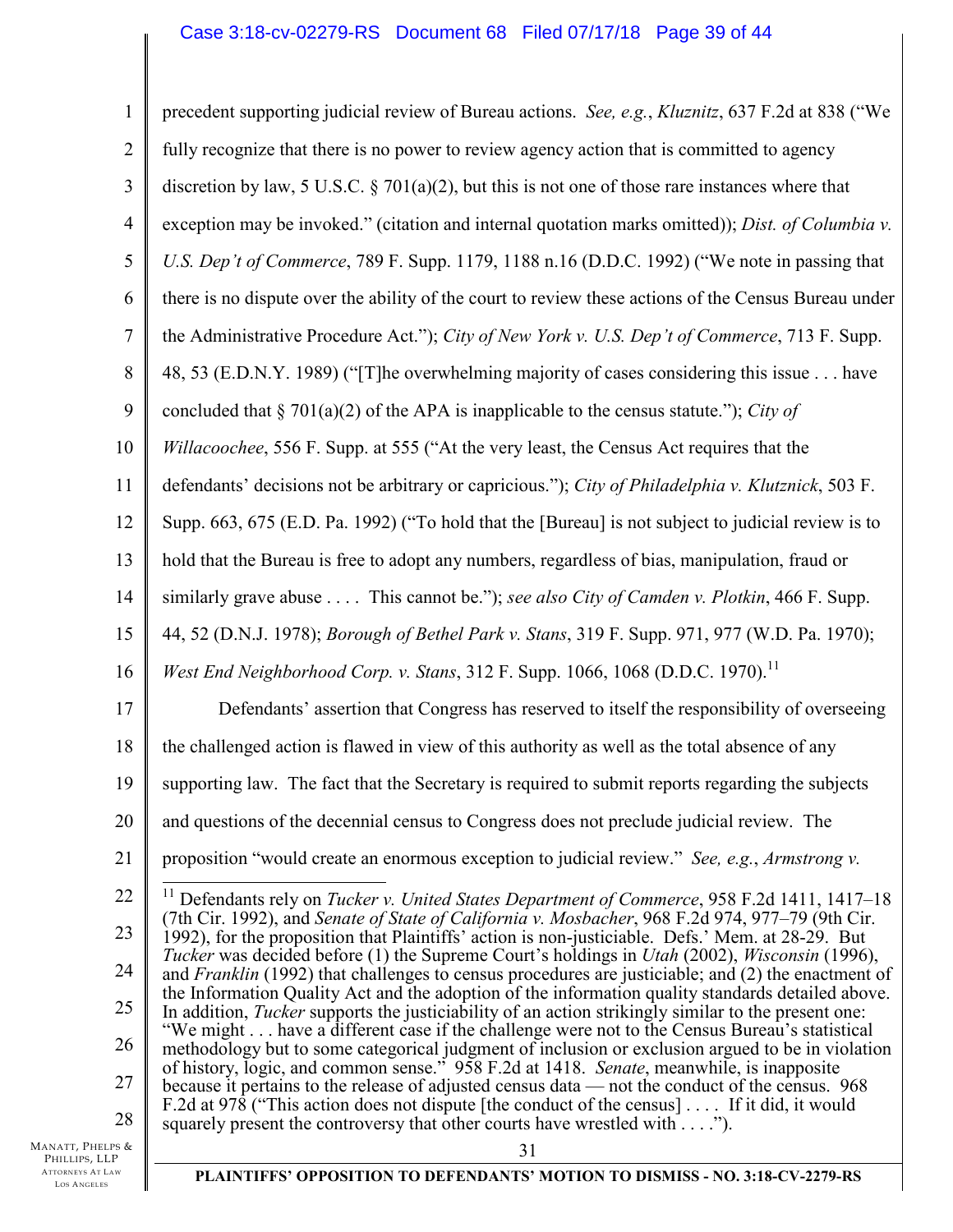### Case 3:18-cv-02279-RS Document 68 Filed 07/17/18 Page 39 of 44

| $\mathbf{1}$   | precedent supporting judicial review of Bureau actions. See, e.g., Kluznitz, 637 F.2d at 838 ("We                                                                                                                              |
|----------------|--------------------------------------------------------------------------------------------------------------------------------------------------------------------------------------------------------------------------------|
| $\overline{2}$ | fully recognize that there is no power to review agency action that is committed to agency                                                                                                                                     |
| 3              | discretion by law, 5 U.S.C. $\S$ 701(a)(2), but this is not one of those rare instances where that                                                                                                                             |
| $\overline{4}$ | exception may be invoked." (citation and internal quotation marks omitted)); Dist. of Columbia v.                                                                                                                              |
| 5              | U.S. Dep't of Commerce, 789 F. Supp. 1179, 1188 n.16 (D.D.C. 1992) ("We note in passing that                                                                                                                                   |
| 6              | there is no dispute over the ability of the court to review these actions of the Census Bureau under                                                                                                                           |
| 7              | the Administrative Procedure Act."); City of New York v. U.S. Dep't of Commerce, 713 F. Supp.                                                                                                                                  |
| 8              | 48, 53 (E.D.N.Y. 1989) ("[T]he overwhelming majority of cases considering this issue have                                                                                                                                      |
| 9              | concluded that § 701(a)(2) of the APA is inapplicable to the census statute."); City of                                                                                                                                        |
| 10             | Willacoochee, 556 F. Supp. at 555 ("At the very least, the Census Act requires that the                                                                                                                                        |
| 11             | defendants' decisions not be arbitrary or capricious."); City of Philadelphia v. Klutznick, 503 F.                                                                                                                             |
| 12             | Supp. 663, 675 (E.D. Pa. 1992) ("To hold that the [Bureau] is not subject to judicial review is to                                                                                                                             |
| 13             | hold that the Bureau is free to adopt any numbers, regardless of bias, manipulation, fraud or                                                                                                                                  |
| 14             | similarly grave abuse This cannot be."); see also City of Camden v. Plotkin, 466 F. Supp.                                                                                                                                      |
| 15             | 44, 52 (D.N.J. 1978); Borough of Bethel Park v. Stans, 319 F. Supp. 971, 977 (W.D. Pa. 1970);                                                                                                                                  |
| 16             | West End Neighborhood Corp. v. Stans, 312 F. Supp. 1066, 1068 (D.D.C. 1970). <sup>11</sup>                                                                                                                                     |
| 17             | Defendants' assertion that Congress has reserved to itself the responsibility of overseeing                                                                                                                                    |
| 18             | the challenged action is flawed in view of this authority as well as the total absence of any                                                                                                                                  |
| 19             | supporting law. The fact that the Secretary is required to submit reports regarding the subjects                                                                                                                               |
| 20             | and questions of the decennial census to Congress does not preclude judicial review. The                                                                                                                                       |
| 21             | proposition "would create an enormous exception to judicial review." See, e.g., Armstrong v.                                                                                                                                   |
| 22             | Defendants rely on Tucker v. United States Department of Commerce, 958 F.2d 1411, 1417-18                                                                                                                                      |
| 23             | (7th Cir. 1992), and Senate of State of California v. Mosbacher, 968 F.2d 974, 977-79 (9th Cir.<br>1992), for the proposition that Plaintiffs' action is non-justiciable. Defs.' Mem. at 28-29. But                            |
| 24             | <i>Tucker</i> was decided before (1) the Supreme Court's holdings in <i>Utah</i> (2002), <i>Wisconsin</i> (1996),<br>and <i>Franklin</i> (1992) that challenges to census procedures are justiciable; and (2) the enactment of |
| 25             | the Information Quality Act and the adoption of the information quality standards detailed above.<br>In addition, <i>Tucker</i> supports the justiciability of an action strikingly similar to the present one:                |
| 26             | "We might have a different case if the challenge were not to the Census Bureau's statistical<br>methodology but to some categorical judgment of inclusion or exclusion argued to be in violation                               |
| 27             | of history, logic, and common sense." 958 F.2d at 1418. Senate, meanwhile, is inapposite<br>because it pertains to the release of adjusted census data — not the conduct of the census. 968                                    |
| 28             | F.2d at 978 ("This action does not dispute [the conduct of the census] If it did, it would<br>squarely present the controversy that other courts have wrestled with").                                                         |
| 'S &           | 31                                                                                                                                                                                                                             |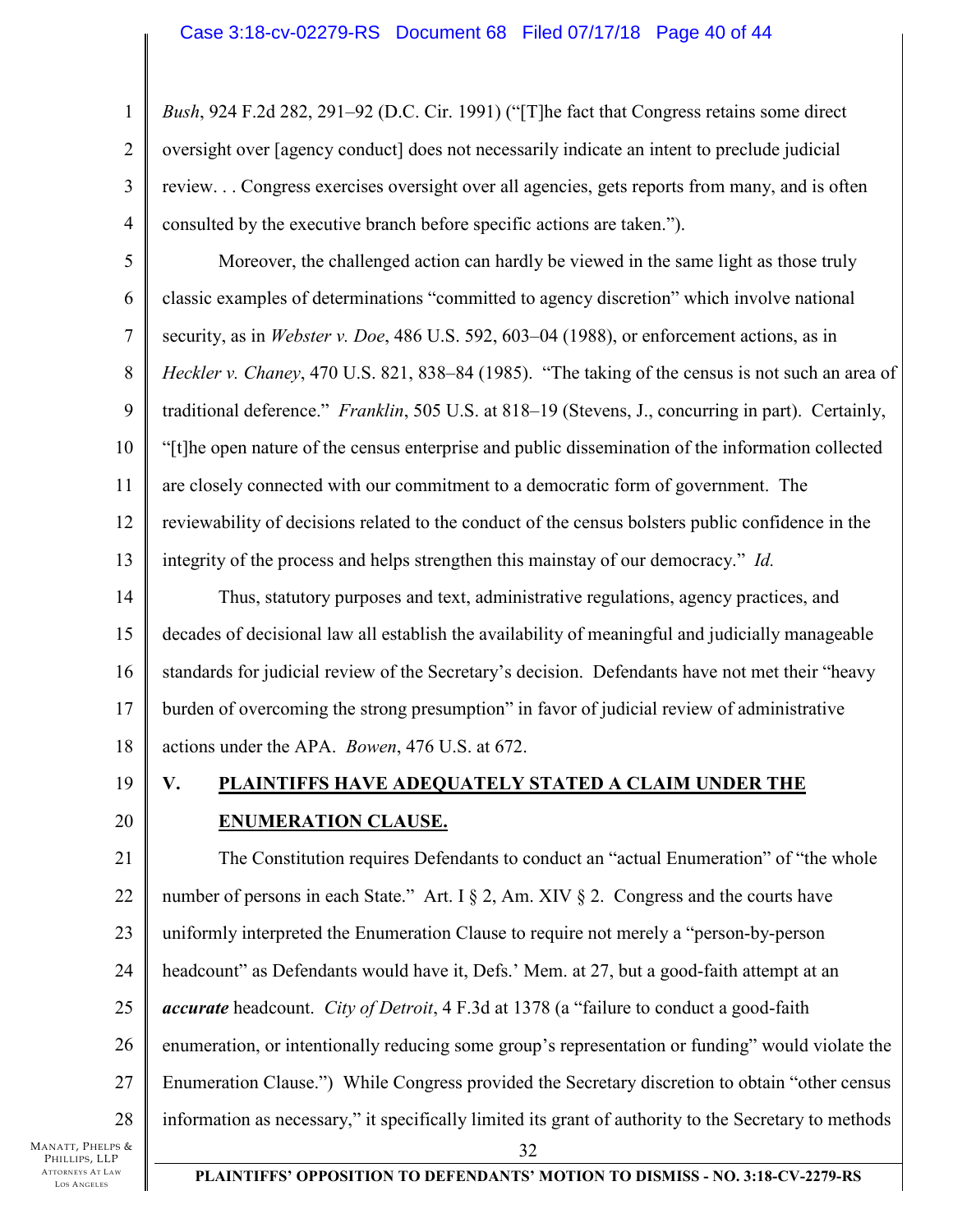1 2 3 4 *Bush*, 924 F.2d 282, 291–92 (D.C. Cir. 1991) ("[T]he fact that Congress retains some direct oversight over [agency conduct] does not necessarily indicate an intent to preclude judicial review. . . Congress exercises oversight over all agencies, gets reports from many, and is often consulted by the executive branch before specific actions are taken.").

5 6 7 8 9 10 11 12 13 Moreover, the challenged action can hardly be viewed in the same light as those truly classic examples of determinations "committed to agency discretion" which involve national security, as in *Webster v. Doe*, 486 U.S. 592, 603–04 (1988), or enforcement actions, as in *Heckler v. Chaney*, 470 U.S. 821, 838–84 (1985). "The taking of the census is not such an area of traditional deference." *Franklin*, 505 U.S. at 818–19 (Stevens, J., concurring in part). Certainly, "[t]he open nature of the census enterprise and public dissemination of the information collected are closely connected with our commitment to a democratic form of government. The reviewability of decisions related to the conduct of the census bolsters public confidence in the integrity of the process and helps strengthen this mainstay of our democracy." *Id.*

14 15 16 17 18 Thus, statutory purposes and text, administrative regulations, agency practices, and decades of decisional law all establish the availability of meaningful and judicially manageable standards for judicial review of the Secretary's decision. Defendants have not met their "heavy burden of overcoming the strong presumption" in favor of judicial review of administrative actions under the APA. *Bowen*, 476 U.S. at 672.

19

20

# **V. PLAINTIFFS HAVE ADEQUATELY STATED A CLAIM UNDER THE ENUMERATION CLAUSE.**

21 22 23 24 25 26 27 28 32 The Constitution requires Defendants to conduct an "actual Enumeration" of "the whole number of persons in each State." Art. I  $\S 2$ , Am. XIV  $\S 2$ . Congress and the courts have uniformly interpreted the Enumeration Clause to require not merely a "person-by-person headcount" as Defendants would have it, Defs.' Mem. at 27, but a good-faith attempt at an *accurate* headcount. *City of Detroit*, 4 F.3d at 1378 (a "failure to conduct a good-faith enumeration, or intentionally reducing some group's representation or funding" would violate the Enumeration Clause.") While Congress provided the Secretary discretion to obtain "other census information as necessary," it specifically limited its grant of authority to the Secretary to methods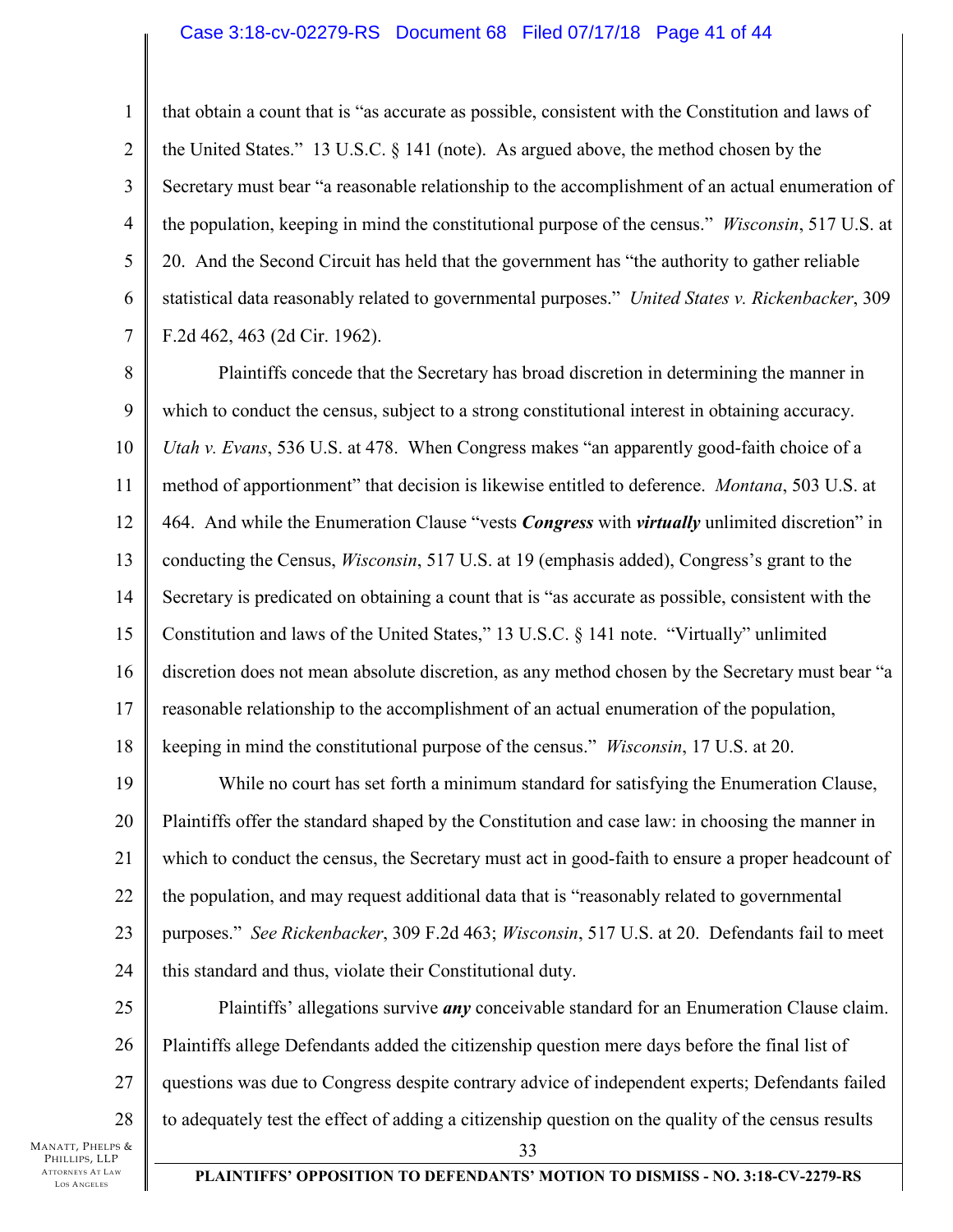### Case 3:18-cv-02279-RS Document 68 Filed 07/17/18 Page 41 of 44

that obtain a count that is "as accurate as possible, consistent with the Constitution and laws of the United States." 13 U.S.C. § 141 (note). As argued above, the method chosen by the Secretary must bear "a reasonable relationship to the accomplishment of an actual enumeration of the population, keeping in mind the constitutional purpose of the census." *Wisconsin*, 517 U.S. at 20. And the Second Circuit has held that the government has "the authority to gather reliable statistical data reasonably related to governmental purposes." *United States v. Rickenbacker*, 309 F.2d 462, 463 (2d Cir. 1962).

8 9 10 11 12 13 14 15 16 17 18 Plaintiffs concede that the Secretary has broad discretion in determining the manner in which to conduct the census, subject to a strong constitutional interest in obtaining accuracy. *Utah v. Evans*, 536 U.S. at 478. When Congress makes "an apparently good-faith choice of a method of apportionment" that decision is likewise entitled to deference. *Montana*, 503 U.S. at 464. And while the Enumeration Clause "vests *Congress* with *virtually* unlimited discretion" in conducting the Census, *Wisconsin*, 517 U.S. at 19 (emphasis added), Congress's grant to the Secretary is predicated on obtaining a count that is "as accurate as possible, consistent with the Constitution and laws of the United States," 13 U.S.C. § 141 note. "Virtually" unlimited discretion does not mean absolute discretion, as any method chosen by the Secretary must bear "a reasonable relationship to the accomplishment of an actual enumeration of the population, keeping in mind the constitutional purpose of the census." *Wisconsin*, 17 U.S. at 20.

19 20 21 22 23 24 While no court has set forth a minimum standard for satisfying the Enumeration Clause, Plaintiffs offer the standard shaped by the Constitution and case law: in choosing the manner in which to conduct the census, the Secretary must act in good-faith to ensure a proper headcount of the population, and may request additional data that is "reasonably related to governmental purposes." *See Rickenbacker*, 309 F.2d 463; *Wisconsin*, 517 U.S. at 20. Defendants fail to meet this standard and thus, violate their Constitutional duty.

25 26 27 28 33 Plaintiffs' allegations survive *any* conceivable standard for an Enumeration Clause claim. Plaintiffs allege Defendants added the citizenship question mere days before the final list of questions was due to Congress despite contrary advice of independent experts; Defendants failed to adequately test the effect of adding a citizenship question on the quality of the census results

MANATT, PHELPS & PHILLIPS, LLP ATTORNEYS AT LAW LOS A NGELES

1

2

3

4

5

6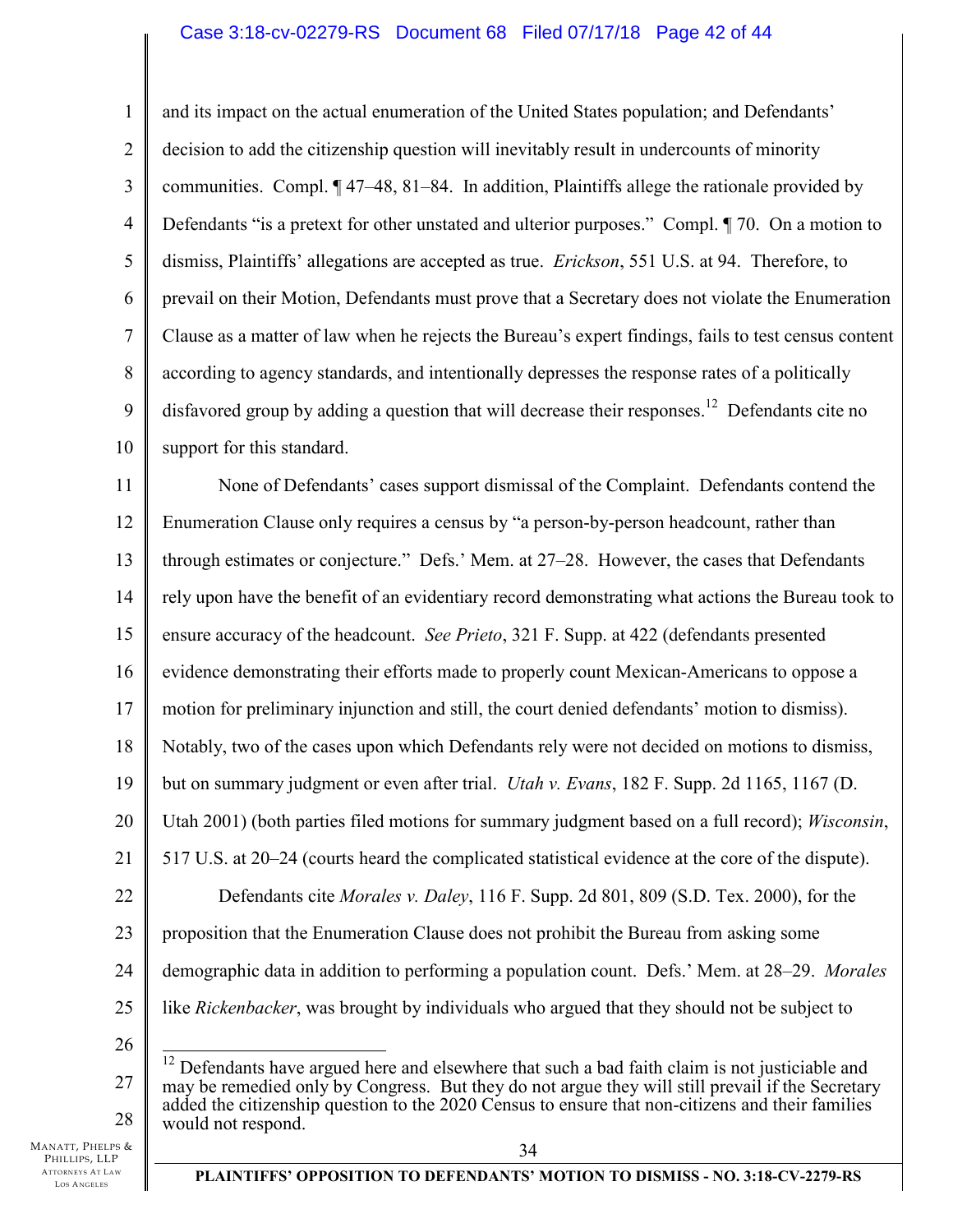### Case 3:18-cv-02279-RS Document 68 Filed 07/17/18 Page 42 of 44

1 2 3 4 5 6 7 8 9 10 and its impact on the actual enumeration of the United States population; and Defendants' decision to add the citizenship question will inevitably result in undercounts of minority communities. Compl. ¶ 47–48, 81–84. In addition, Plaintiffs allege the rationale provided by Defendants "is a pretext for other unstated and ulterior purposes." Compl. ¶ 70. On a motion to dismiss, Plaintiffs' allegations are accepted as true. *Erickson*, 551 U.S. at 94. Therefore, to prevail on their Motion, Defendants must prove that a Secretary does not violate the Enumeration Clause as a matter of law when he rejects the Bureau's expert findings, fails to test census content according to agency standards, and intentionally depresses the response rates of a politically disfavored group by adding a question that will decrease their responses.<sup>12</sup> Defendants cite no support for this standard.

11 12 13 14 15 16 17 18 19 20 21 22 23 24 25 26 None of Defendants' cases support dismissal of the Complaint. Defendants contend the Enumeration Clause only requires a census by "a person-by-person headcount, rather than through estimates or conjecture." Defs.' Mem. at 27–28. However, the cases that Defendants rely upon have the benefit of an evidentiary record demonstrating what actions the Bureau took to ensure accuracy of the headcount. *See Prieto*, 321 F. Supp. at 422 (defendants presented evidence demonstrating their efforts made to properly count Mexican-Americans to oppose a motion for preliminary injunction and still, the court denied defendants' motion to dismiss). Notably, two of the cases upon which Defendants rely were not decided on motions to dismiss, but on summary judgment or even after trial. *Utah v. Evans*, 182 F. Supp. 2d 1165, 1167 (D. Utah 2001) (both parties filed motions for summary judgment based on a full record); *Wisconsin*, 517 U.S. at 20–24 (courts heard the complicated statistical evidence at the core of the dispute). Defendants cite *Morales v. Daley*, 116 F. Supp. 2d 801, 809 (S.D. Tex. 2000), for the proposition that the Enumeration Clause does not prohibit the Bureau from asking some demographic data in addition to performing a population count. Defs.' Mem. at 28–29. *Morales* like *Rickenbacker*, was brought by individuals who argued that they should not be subject to  $\overline{a}$  $12$  Defendants have argued here and elsewhere that such a bad faith claim is not justiciable and

27 28 may be remedied only by Congress. But they do not argue they will still prevail if the Secretary added the citizenship question to the 2020 Census to ensure that non-citizens and their families would not respond.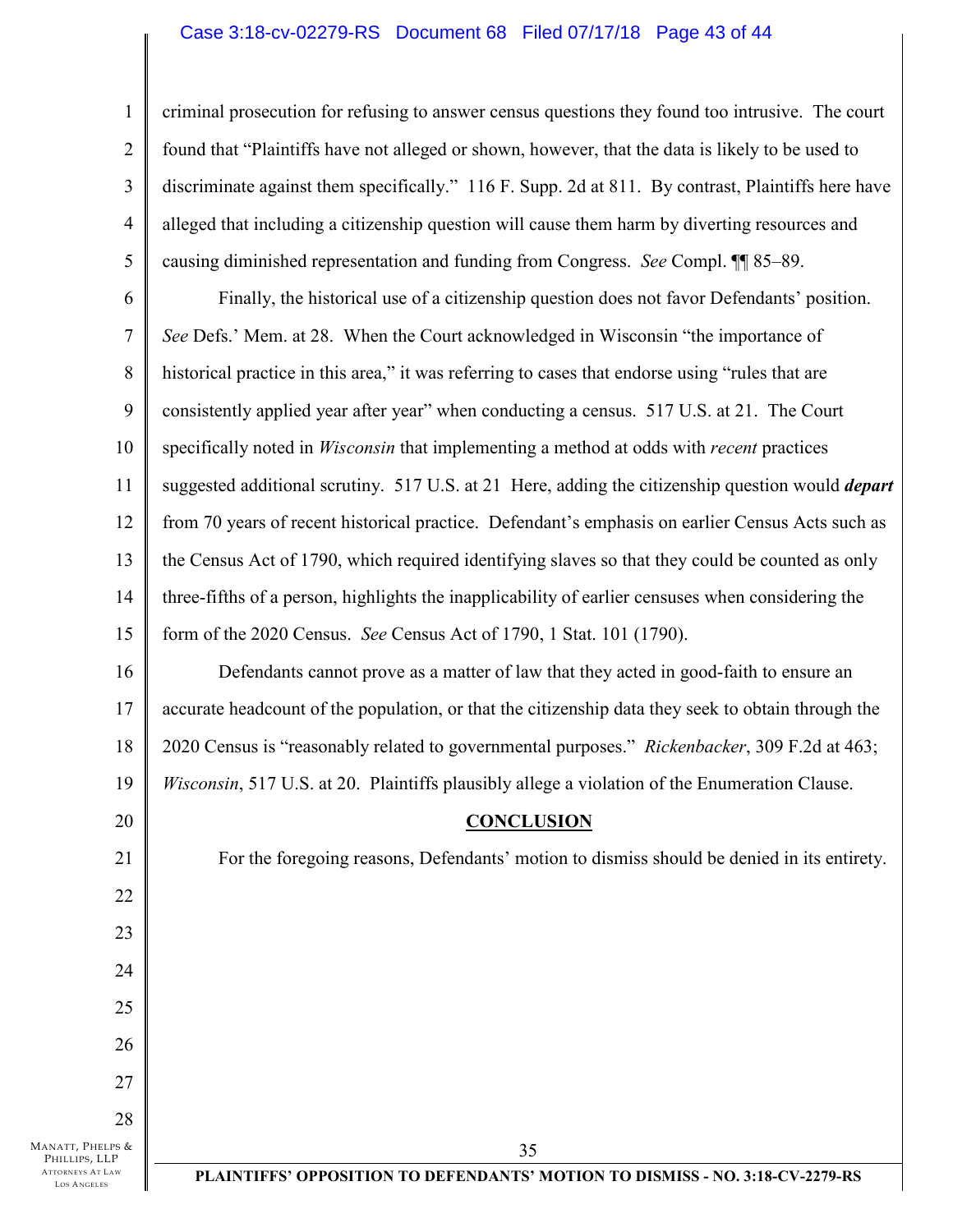### Case 3:18-cv-02279-RS Document 68 Filed 07/17/18 Page 43 of 44

criminal prosecution for refusing to answer census questions they found too intrusive. The court found that "Plaintiffs have not alleged or shown, however, that the data is likely to be used to discriminate against them specifically." 116 F. Supp. 2d at 811. By contrast, Plaintiffs here have alleged that including a citizenship question will cause them harm by diverting resources and causing diminished representation and funding from Congress. *See* Compl. ¶¶ 85–89.

6 7 8 9 10 11 12 13 14 15 Finally, the historical use of a citizenship question does not favor Defendants' position. *See* Defs.' Mem. at 28. When the Court acknowledged in Wisconsin "the importance of historical practice in this area," it was referring to cases that endorse using "rules that are consistently applied year after year" when conducting a census. 517 U.S. at 21. The Court specifically noted in *Wisconsin* that implementing a method at odds with *recent* practices suggested additional scrutiny. 517 U.S. at 21 Here, adding the citizenship question would *depart* from 70 years of recent historical practice. Defendant's emphasis on earlier Census Acts such as the Census Act of 1790, which required identifying slaves so that they could be counted as only three-fifths of a person, highlights the inapplicability of earlier censuses when considering the form of the 2020 Census. *See* Census Act of 1790, 1 Stat. 101 (1790).

16 17 18 19 Defendants cannot prove as a matter of law that they acted in good-faith to ensure an accurate headcount of the population, or that the citizenship data they seek to obtain through the 2020 Census is "reasonably related to governmental purposes." *Rickenbacker*, 309 F.2d at 463; *Wisconsin*, 517 U.S. at 20. Plaintiffs plausibly allege a violation of the Enumeration Clause.

#### **CONCLUSION**

For the foregoing reasons, Defendants' motion to dismiss should be denied in its entirety.

MANATT, PHELPS & PHILLIPS, LLP ATTORNEYS AT LAW LOS A NGELES

1

2

3

4

5

20

21

22

23

24

25

26

27

28